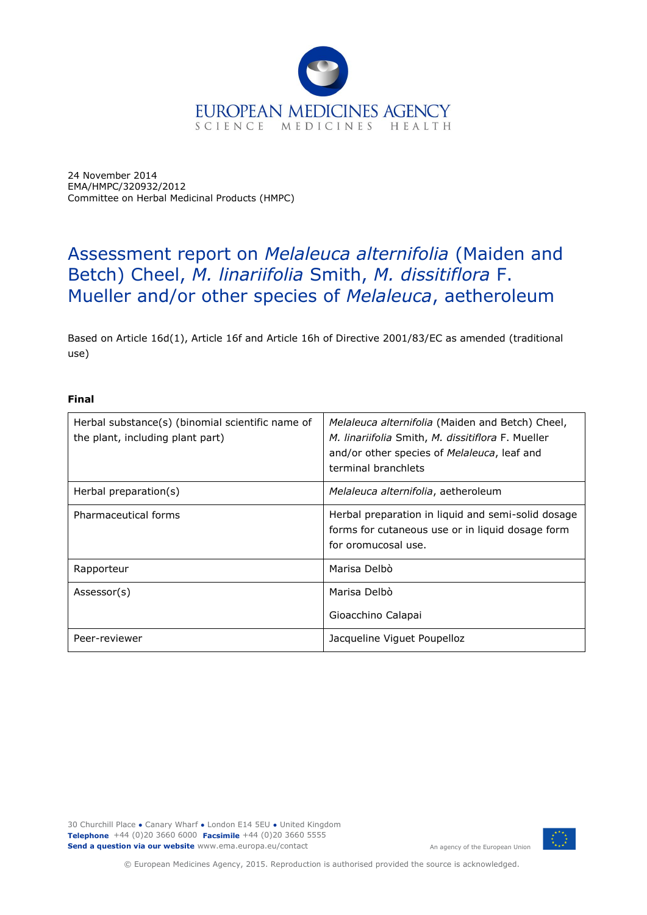

24 November 2014 EMA/HMPC/320932/2012 Committee on Herbal Medicinal Products (HMPC)

# Assessment report on *Melaleuca alternifolia* (Maiden and Betch) Cheel, *M. linariifolia* Smith, *M. dissitiflora* F. Mueller and/or other species of *Melaleuca*, aetheroleum

Based on Article 16d(1), Article 16f and Article 16h of Directive 2001/83/EC as amended (traditional use)

### **Final**

| Herbal substance(s) (binomial scientific name of<br>the plant, including plant part) | Melaleuca alternifolia (Maiden and Betch) Cheel,<br>M. linariifolia Smith, M. dissitiflora F. Mueller<br>and/or other species of Melaleuca, leaf and<br>terminal branchlets |
|--------------------------------------------------------------------------------------|-----------------------------------------------------------------------------------------------------------------------------------------------------------------------------|
| Herbal preparation(s)                                                                | Melaleuca alternifolia, aetheroleum                                                                                                                                         |
| Pharmaceutical forms                                                                 | Herbal preparation in liquid and semi-solid dosage<br>forms for cutaneous use or in liquid dosage form<br>for oromucosal use.                                               |
| Rapporteur                                                                           | Marisa Delbò                                                                                                                                                                |
| Assessor(s)                                                                          | Marisa Delbò<br>Gioacchino Calapai                                                                                                                                          |
| Peer-reviewer                                                                        | Jacqueline Viquet Poupelloz                                                                                                                                                 |

30 Churchill Place **●** Canary Wharf **●** London E14 5EU **●** United Kingdom **Telephone** +44 (0)20 3660 6000 **Facsimile** +44 (0)20 3660 5555 **Send a question via our website** www.ema.europa.eu/contact



An agency of the European Union

© European Medicines Agency, 2015. Reproduction is authorised provided the source is acknowledged.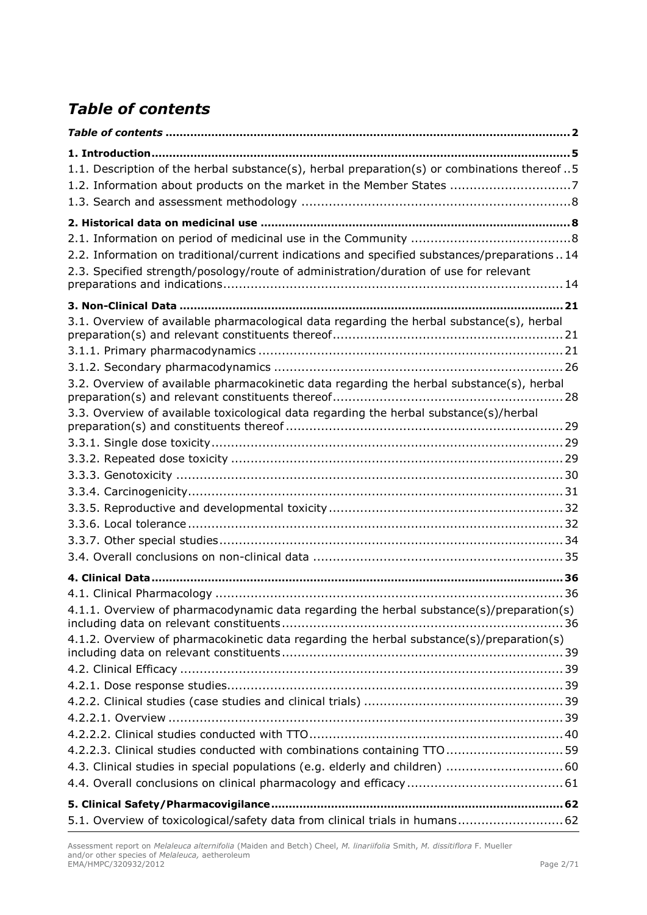# <span id="page-1-0"></span>*Table of contents*

| 1.1. Description of the herbal substance(s), herbal preparation(s) or combinations thereof5<br>1.2. Information about products on the market in the Member States 7                                                                                                              |
|----------------------------------------------------------------------------------------------------------------------------------------------------------------------------------------------------------------------------------------------------------------------------------|
|                                                                                                                                                                                                                                                                                  |
|                                                                                                                                                                                                                                                                                  |
| 2.2. Information on traditional/current indications and specified substances/preparations14                                                                                                                                                                                      |
| 2.3. Specified strength/posology/route of administration/duration of use for relevant                                                                                                                                                                                            |
|                                                                                                                                                                                                                                                                                  |
| 3.1. Overview of available pharmacological data regarding the herbal substance(s), herbal<br>3.2. Overview of available pharmacokinetic data regarding the herbal substance(s), herbal<br>3.3. Overview of available toxicological data regarding the herbal substance(s)/herbal |
|                                                                                                                                                                                                                                                                                  |
|                                                                                                                                                                                                                                                                                  |
| 4.1.1. Overview of pharmacodynamic data regarding the herbal substance(s)/preparation(s)                                                                                                                                                                                         |
| 4.1.2. Overview of pharmacokinetic data regarding the herbal substance(s)/preparation(s)                                                                                                                                                                                         |
|                                                                                                                                                                                                                                                                                  |
|                                                                                                                                                                                                                                                                                  |
|                                                                                                                                                                                                                                                                                  |
|                                                                                                                                                                                                                                                                                  |
| 4.2.2.3. Clinical studies conducted with combinations containing TTO 59                                                                                                                                                                                                          |
| 4.3. Clinical studies in special populations (e.g. elderly and children)  60                                                                                                                                                                                                     |
|                                                                                                                                                                                                                                                                                  |
|                                                                                                                                                                                                                                                                                  |
| 5.1. Overview of toxicological/safety data from clinical trials in humans 62                                                                                                                                                                                                     |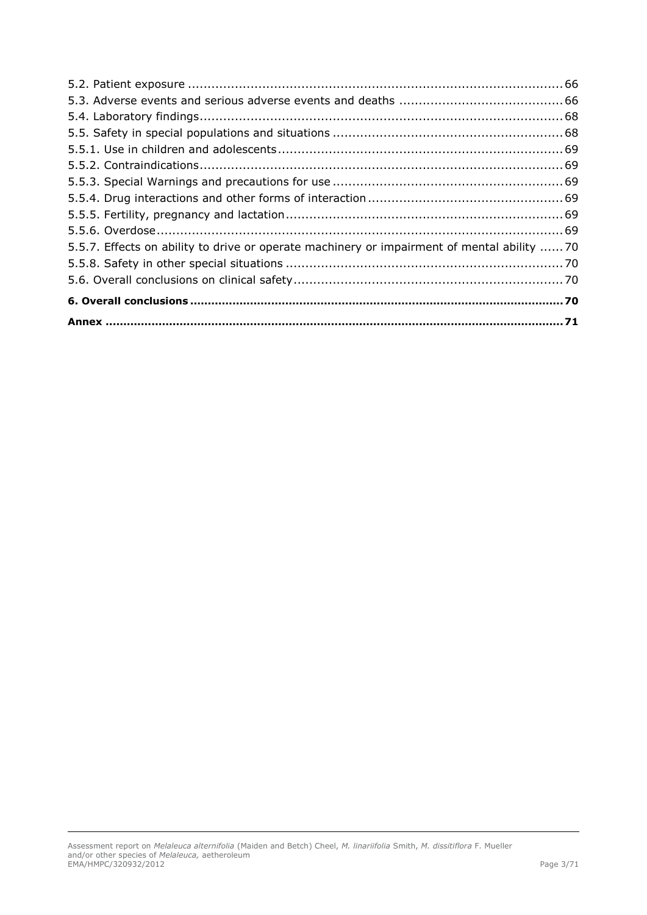| 5.5.7. Effects on ability to drive or operate machinery or impairment of mental ability 70 |  |
|--------------------------------------------------------------------------------------------|--|
|                                                                                            |  |
|                                                                                            |  |
|                                                                                            |  |
|                                                                                            |  |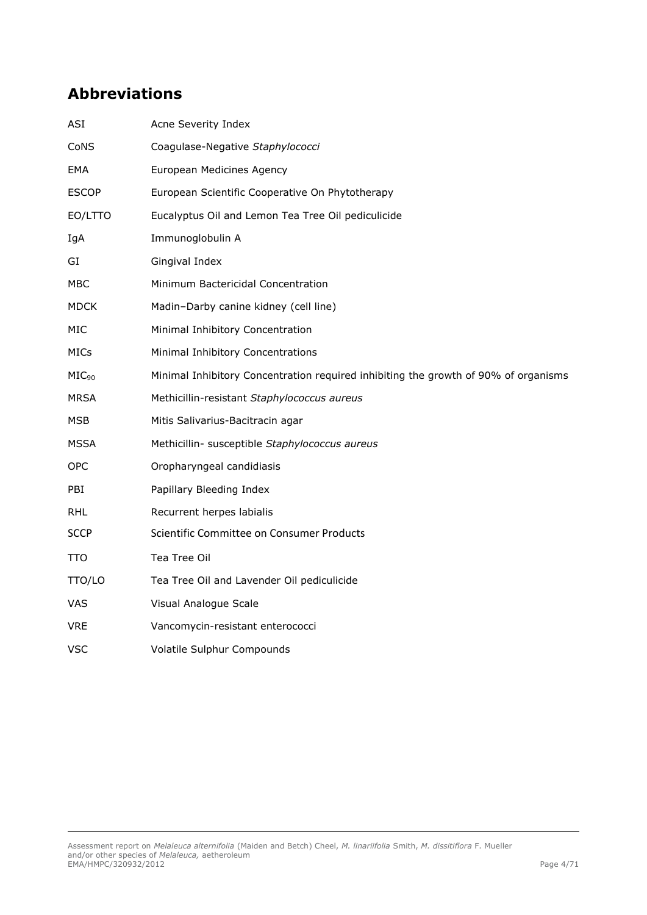# **Abbreviations**

| <b>ASI</b>        | Acne Severity Index                                                                 |
|-------------------|-------------------------------------------------------------------------------------|
| CoNS              | Coagulase-Negative Staphylococci                                                    |
| EMA               | European Medicines Agency                                                           |
| <b>ESCOP</b>      | European Scientific Cooperative On Phytotherapy                                     |
| EO/LTTO           | Eucalyptus Oil and Lemon Tea Tree Oil pediculicide                                  |
| IgA               | Immunoglobulin A                                                                    |
| GI                | Gingival Index                                                                      |
| MBC               | Minimum Bactericidal Concentration                                                  |
| <b>MDCK</b>       | Madin-Darby canine kidney (cell line)                                               |
| <b>MIC</b>        | Minimal Inhibitory Concentration                                                    |
| MICs              | Minimal Inhibitory Concentrations                                                   |
| MIC <sub>90</sub> | Minimal Inhibitory Concentration required inhibiting the growth of 90% of organisms |
| <b>MRSA</b>       | Methicillin-resistant Staphylococcus aureus                                         |
| <b>MSB</b>        | Mitis Salivarius-Bacitracin agar                                                    |
| MSSA              | Methicillin- susceptible Staphylococcus aureus                                      |
| <b>OPC</b>        | Oropharyngeal candidiasis                                                           |
| PBI               | Papillary Bleeding Index                                                            |
| RHL               | Recurrent herpes labialis                                                           |
| <b>SCCP</b>       | Scientific Committee on Consumer Products                                           |
| TTO               | Tea Tree Oil                                                                        |
| TTO/LO            | Tea Tree Oil and Lavender Oil pediculicide                                          |
| <b>VAS</b>        | Visual Analogue Scale                                                               |
| <b>VRE</b>        | Vancomycin-resistant enterococci                                                    |
| <b>VSC</b>        | Volatile Sulphur Compounds                                                          |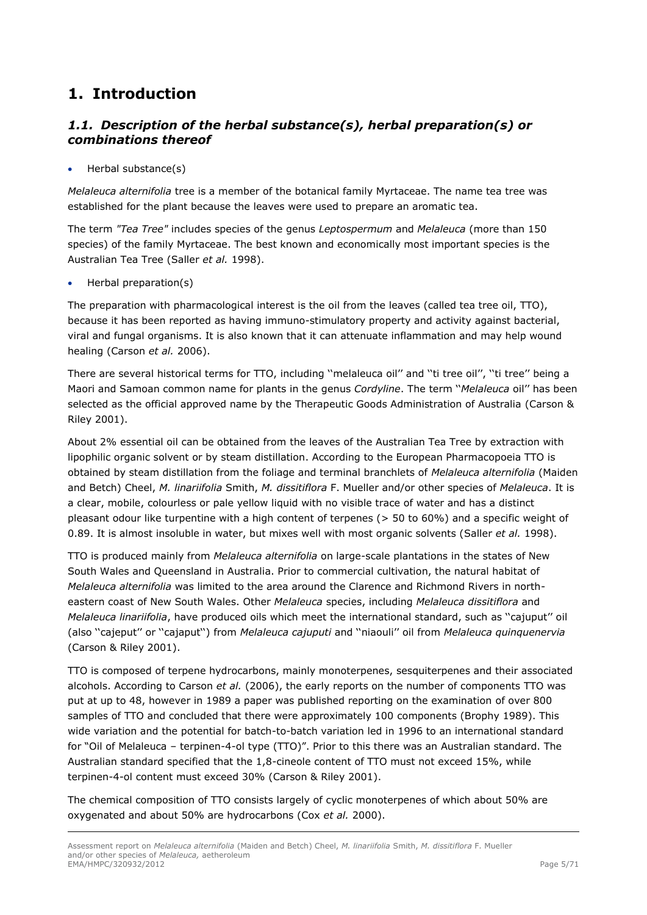# <span id="page-4-0"></span>**1. Introduction**

# <span id="page-4-1"></span>*1.1. Description of the herbal substance(s), herbal preparation(s) or combinations thereof*

Herbal substance(s)

*Melaleuca alternifolia* tree is a member of the botanical family Myrtaceae. The name tea tree was established for the plant because the leaves were used to prepare an aromatic tea.

The term *"Tea Tree"* includes species of the genus *Leptospermum* and *Melaleuca* (more than 150 species) of the family Myrtaceae. The best known and economically most important species is the Australian Tea Tree (Saller *et al.* 1998).

Herbal preparation(s)

The preparation with pharmacological interest is the oil from the leaves (called tea tree oil, TTO), because it has been reported as having immuno-stimulatory property and activity against bacterial, viral and fungal organisms. It is also known that it can attenuate inflammation and may help wound healing (Carson *et al.* 2006).

There are several historical terms for TTO, including "melaleuca oil" and "ti tree oil", "ti tree" being a Maori and Samoan common name for plants in the genus *Cordyline*. The term ''*Melaleuca* oil'' has been selected as the official approved name by the Therapeutic Goods Administration of Australia (Carson & Riley 2001).

About 2% essential oil can be obtained from the leaves of the Australian Tea Tree by extraction with lipophilic organic solvent or by steam distillation. According to the European Pharmacopoeia TTO is obtained by steam distillation from the foliage and terminal branchlets of *Melaleuca alternifolia* (Maiden and Betch) Cheel, *M. linariifolia* Smith, *M. dissitiflora* F. Mueller and/or other species of *Melaleuca*. It is a clear, mobile, colourless or pale yellow liquid with no visible trace of water and has a distinct pleasant odour like turpentine with a high content of terpenes (> 50 to 60%) and a specific weight of 0.89. It is almost insoluble in water, but mixes well with most organic solvents (Saller *et al.* 1998).

TTO is produced mainly from *Melaleuca alternifolia* on large-scale plantations in the states of New South Wales and Queensland in Australia. Prior to commercial cultivation, the natural habitat of *Melaleuca alternifolia* was limited to the area around the Clarence and Richmond Rivers in northeastern coast of New South Wales. Other *Melaleuca* species, including *Melaleuca dissitiflora* and *Melaleuca linariifolia*, have produced oils which meet the international standard, such as ''cajuput'' oil (also ''cajeput'' or ''cajaput'') from *Melaleuca cajuputi* and ''niaouli'' oil from *Melaleuca quinquenervia* (Carson & Riley 2001).

TTO is composed of terpene hydrocarbons, mainly monoterpenes, sesquiterpenes and their associated alcohols. According to Carson *et al.* (2006), the early reports on the number of components TTO was put at up to 48, however in 1989 a paper was published reporting on the examination of over 800 samples of TTO and concluded that there were approximately 100 components (Brophy 1989). This wide variation and the potential for batch-to-batch variation led in 1996 to an international standard for "Oil of Melaleuca – terpinen-4-ol type (TTO)". Prior to this there was an Australian standard. The Australian standard specified that the 1,8-cineole content of TTO must not exceed 15%, while terpinen-4-ol content must exceed 30% (Carson & Riley 2001).

The chemical composition of TTO consists largely of cyclic monoterpenes of which about 50% are oxygenated and about 50% are hydrocarbons (Cox *et al.* 2000).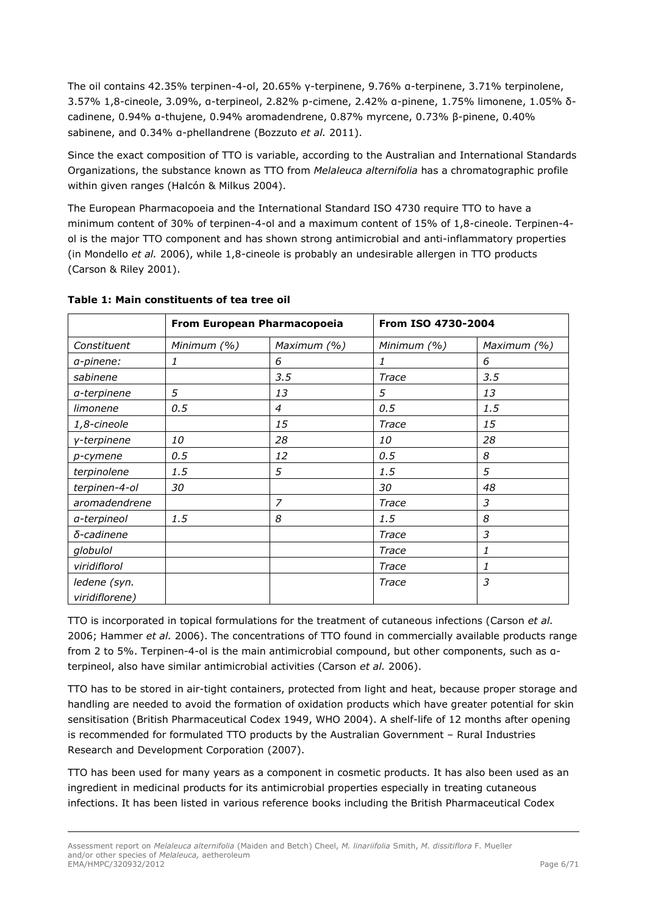The oil contains 42.35% terpinen-4-ol, 20.65% γ-terpinene, 9.76% α-terpinene, 3.71% terpinolene, 3.57% 1,8-cineole, 3.09%, α-terpineol, 2.82% p-cimene, 2.42% α-pinene, 1.75% limonene, 1.05% δcadinene, 0.94% α-thujene, 0.94% aromadendrene, 0.87% myrcene, 0.73% β-pinene, 0.40% sabinene, and 0.34% α-phellandrene (Bozzuto *et al.* 2011).

Since the exact composition of TTO is variable, according to the Australian and International Standards Organizations, the substance known as TTO from *Melaleuca alternifolia* has a chromatographic profile within given ranges (Halcón & Milkus 2004).

The European Pharmacopoeia and the International Standard ISO 4730 require TTO to have a minimum content of 30% of terpinen-4-ol and a maximum content of 15% of 1,8-cineole. Terpinen-4 ol is the major TTO component and has shown strong antimicrobial and anti-inflammatory properties (in Mondello *et al.* 2006), while 1,8-cineole is probably an undesirable allergen in TTO products (Carson & Riley 2001).

| From European Pharmacopoeia |             |                | From ISO 4730-2004 |             |
|-----------------------------|-------------|----------------|--------------------|-------------|
| Constituent                 | Minimum (%) | Maximum (%)    | Minimum (%)        | Maximum (%) |
| a-pinene:                   | 1           | 6              | 1                  | 6           |
| sabinene                    |             | 3.5            | Trace              | 3.5         |
| a-terpinene                 | 5           | 13             | 5                  | 13          |
| limonene                    | 0.5         | $\overline{4}$ | 0.5                | 1.5         |
| 1,8-cineole                 |             | 15             | Trace              | 15          |
| y-terpinene                 | <i>10</i>   | 28             | 10                 | 28          |
| p-cymene                    | 0.5         | 12             | 0.5                | 8           |
| terpinolene                 | 1.5         | 5              | 1.5                | 5           |
| terpinen-4-ol               | 30          |                | 30                 | 48          |
| aromadendrene               |             | 7              | Trace              | 3           |
| a-terpineol                 | 1.5         | 8              | 1.5                | 8           |
| δ-cadinene                  |             |                | Trace              | 3           |
| globulol                    |             |                | Trace              | 1           |
| viridiflorol                |             |                | Trace              | 1           |
| ledene (syn.                |             |                | Trace              | 3           |
| viridiflorene)              |             |                |                    |             |

### **Table 1: Main constituents of tea tree oil**

TTO is incorporated in topical formulations for the treatment of cutaneous infections (Carson *et al.* 2006; Hammer *et al.* 2006). The concentrations of TTO found in commercially available products range from 2 to 5%. Terpinen-4-ol is the main antimicrobial compound, but other components, such as αterpineol, also have similar antimicrobial activities (Carson *et al.* 2006).

TTO has to be stored in air-tight containers, protected from light and heat, because proper storage and handling are needed to avoid the formation of oxidation products which have greater potential for skin sensitisation (British Pharmaceutical Codex 1949, WHO 2004). A shelf-life of 12 months after opening is recommended for formulated TTO products by the Australian Government – Rural Industries Research and Development Corporation (2007).

TTO has been used for many years as a component in cosmetic products. It has also been used as an ingredient in medicinal products for its antimicrobial properties especially in treating cutaneous infections. It has been listed in various reference books including the British Pharmaceutical Codex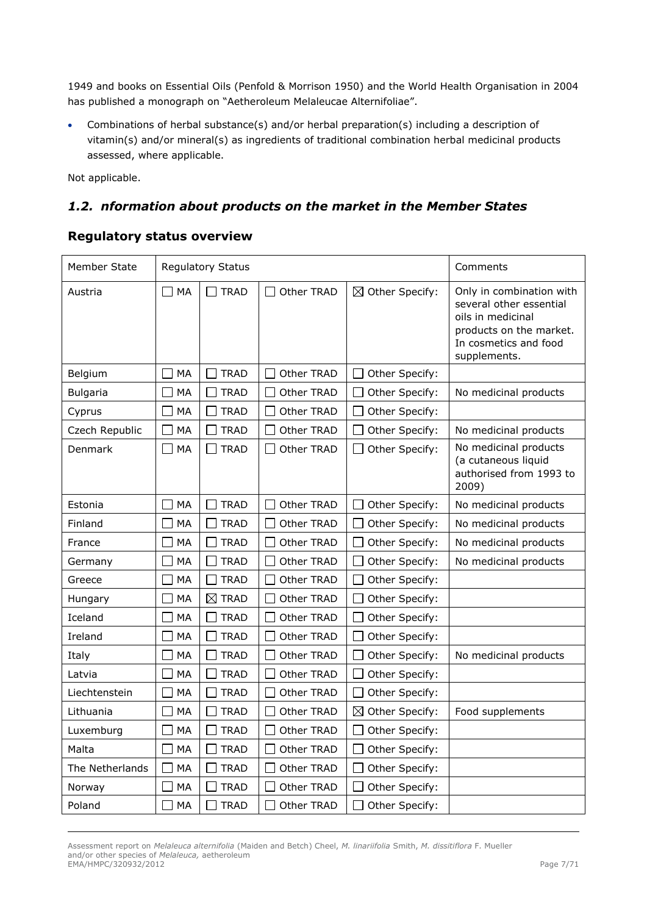1949 and books on Essential Oils (Penfold & Morrison 1950) and the World Health Organisation in 2004 has published a monograph on "Aetheroleum Melaleucae Alternifoliae".

 Combinations of herbal substance(s) and/or herbal preparation(s) including a description of vitamin(s) and/or mineral(s) as ingredients of traditional combination herbal medicinal products assessed, where applicable.

Not applicable.

# <span id="page-6-0"></span>*1.2. nformation about products on the market in the Member States*

# **Regulatory status overview**

| Member State    |                                | <b>Regulatory Status</b> |            |                            | Comments                                                                                                                                     |
|-----------------|--------------------------------|--------------------------|------------|----------------------------|----------------------------------------------------------------------------------------------------------------------------------------------|
| Austria         | $\square$ MA                   | <b>TRAD</b>              | Other TRAD | $\boxtimes$ Other Specify: | Only in combination with<br>several other essential<br>oils in medicinal<br>products on the market.<br>In cosmetics and food<br>supplements. |
| Belgium         | ⊣<br>MA                        | <b>TRAD</b>              | Other TRAD | Other Specify:             |                                                                                                                                              |
| <b>Bulgaria</b> | $\overline{\phantom{a}}$<br>MA | <b>TRAD</b>              | Other TRAD | Other Specify:             | No medicinal products                                                                                                                        |
| Cyprus          | <b>MA</b><br>٦                 | <b>TRAD</b>              | Other TRAD | Other Specify:             |                                                                                                                                              |
| Czech Republic  | MA                             | <b>TRAD</b>              | Other TRAD | Other Specify:             | No medicinal products                                                                                                                        |
| Denmark         | ┓<br>MA                        | <b>TRAD</b>              | Other TRAD | Other Specify:             | No medicinal products<br>(a cutaneous liquid<br>authorised from 1993 to<br>2009)                                                             |
| Estonia         | $\overline{\phantom{a}}$<br>MA | <b>TRAD</b>              | Other TRAD | Other Specify:             | No medicinal products                                                                                                                        |
| Finland         | $\bigcap$<br>MA                | <b>TRAD</b>              | Other TRAD | Other Specify:             | No medicinal products                                                                                                                        |
| France          | MA                             | <b>TRAD</b>              | Other TRAD | Other Specify:             | No medicinal products                                                                                                                        |
| Germany         | MA                             | <b>TRAD</b>              | Other TRAD | Other Specify:             | No medicinal products                                                                                                                        |
| Greece          | MA                             | <b>TRAD</b>              | Other TRAD | Other Specify:             |                                                                                                                                              |
| Hungary         | MA                             | $\boxtimes$ TRAD         | Other TRAD | Other Specify:             |                                                                                                                                              |
| Iceland         | MA                             | <b>TRAD</b>              | Other TRAD | Other Specify:             |                                                                                                                                              |
| Ireland         | MA                             | <b>TRAD</b>              | Other TRAD | Other Specify:             |                                                                                                                                              |
| Italy           | MA                             | <b>TRAD</b>              | Other TRAD | Other Specify:             | No medicinal products                                                                                                                        |
| Latvia          | MA                             | <b>TRAD</b>              | Other TRAD | Other Specify:             |                                                                                                                                              |
| Liechtenstein   | MA                             | <b>TRAD</b>              | Other TRAD | Other Specify:             |                                                                                                                                              |
| Lithuania       | MA                             | <b>TRAD</b>              | Other TRAD | $\boxtimes$ Other Specify: | Food supplements                                                                                                                             |
| Luxemburg       | MA                             | <b>TRAD</b>              | Other TRAD | Other Specify:             |                                                                                                                                              |
| Malta           | MA                             | <b>TRAD</b>              | Other TRAD | Other Specify:             |                                                                                                                                              |
| The Netherlands | MA                             | <b>TRAD</b>              | Other TRAD | Other Specify:             |                                                                                                                                              |
| Norway          | MA                             | <b>TRAD</b>              | Other TRAD | Other Specify:             |                                                                                                                                              |
| Poland          | MA                             | <b>TRAD</b>              | Other TRAD | Other Specify:             |                                                                                                                                              |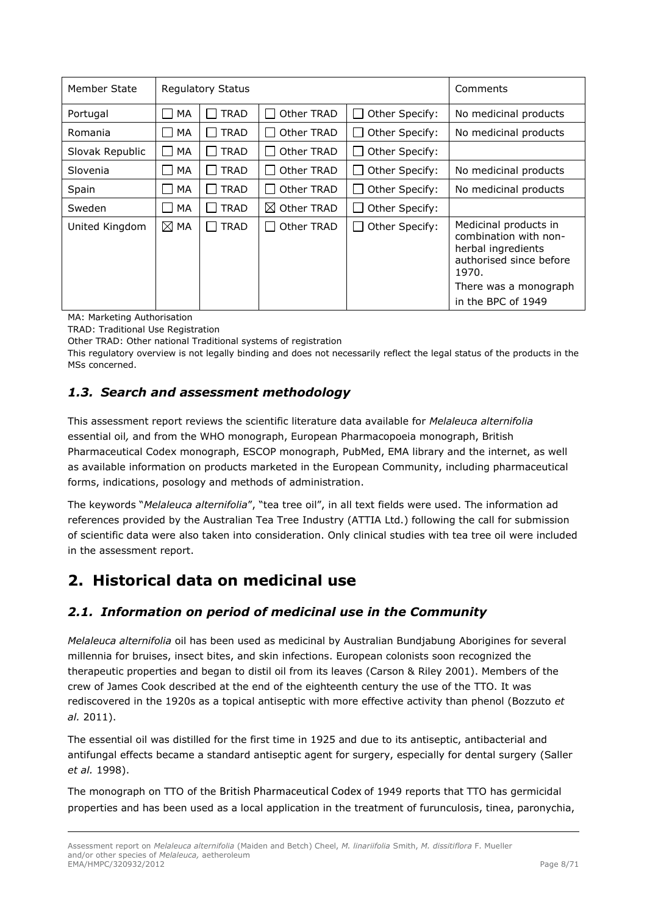| Member State    |                | <b>Regulatory Status</b> | Comments               |                          |                                                                                                                                                         |
|-----------------|----------------|--------------------------|------------------------|--------------------------|---------------------------------------------------------------------------------------------------------------------------------------------------------|
| Portugal        | MA             | <b>TRAD</b>              | Other TRAD             | Other Specify:<br>$\sim$ | No medicinal products                                                                                                                                   |
| Romania         | MA             | <b>TRAD</b>              | Other TRAD             | Other Specify:           | No medicinal products                                                                                                                                   |
| Slovak Republic | MA             | <b>TRAD</b>              | Other TRAD             | Other Specify:           |                                                                                                                                                         |
| Slovenia        | MA             | <b>TRAD</b>              | Other TRAD             | Other Specify:           | No medicinal products                                                                                                                                   |
| Spain           | MA             | <b>TRAD</b>              | Other TRAD             | Other Specify:           | No medicinal products                                                                                                                                   |
| Sweden          | MA             | <b>TRAD</b>              | $\boxtimes$ Other TRAD | Other Specify:           |                                                                                                                                                         |
| United Kingdom  | $\boxtimes$ MA | <b>TRAD</b>              | Other TRAD             | Other Specify:           | Medicinal products in<br>combination with non-<br>herbal ingredients<br>authorised since before<br>1970.<br>There was a monograph<br>in the BPC of 1949 |

MA: Marketing Authorisation

TRAD: Traditional Use Registration

Other TRAD: Other national Traditional systems of registration

This regulatory overview is not legally binding and does not necessarily reflect the legal status of the products in the MSs concerned.

# <span id="page-7-0"></span>*1.3. Search and assessment methodology*

This assessment report reviews the scientific literature data available for *Melaleuca alternifolia*  essential oil*,* and from the WHO monograph, European Pharmacopoeia monograph, British Pharmaceutical Codex monograph, ESCOP monograph, PubMed, EMA library and the internet, as well as available information on products marketed in the European Community, including pharmaceutical forms, indications, posology and methods of administration.

The keywords "*Melaleuca alternifolia*", "tea tree oil", in all text fields were used. The information ad references provided by the Australian Tea Tree Industry (ATTIA Ltd.) following the call for submission of scientific data were also taken into consideration. Only clinical studies with tea tree oil were included in the assessment report.

# <span id="page-7-1"></span>**2. Historical data on medicinal use**

# <span id="page-7-2"></span>*2.1. Information on period of medicinal use in the Community*

*Melaleuca alternifolia* oil has been used as medicinal by Australian Bundjabung Aborigines for several millennia for bruises, insect bites, and skin infections. European colonists soon recognized the therapeutic properties and began to distil oil from its leaves (Carson & Riley 2001). Members of the crew of James Cook described at the end of the eighteenth century the use of the TTO. It was rediscovered in the 1920s as a topical antiseptic with more effective activity than phenol (Bozzuto *et al.* 2011).

The essential oil was distilled for the first time in 1925 and due to its antiseptic, antibacterial and antifungal effects became a standard antiseptic agent for surgery, especially for dental surgery (Saller *et al.* 1998).

The monograph on TTO of the British Pharmaceutical Codex of 1949 reports that TTO has germicidal properties and has been used as a local application in the treatment of furunculosis, tinea, paronychia,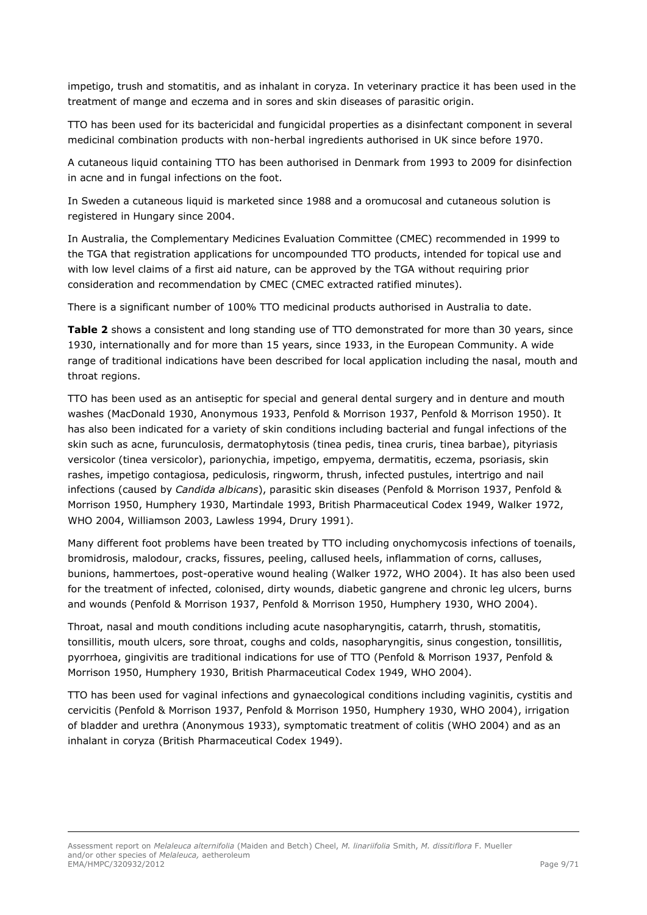impetigo, trush and stomatitis, and as inhalant in coryza. In veterinary practice it has been used in the treatment of mange and eczema and in sores and skin diseases of parasitic origin.

TTO has been used for its bactericidal and fungicidal properties as a disinfectant component in several medicinal combination products with non-herbal ingredients authorised in UK since before 1970.

A cutaneous liquid containing TTO has been authorised in Denmark from 1993 to 2009 for disinfection in acne and in fungal infections on the foot.

In Sweden a cutaneous liquid is marketed since 1988 and a oromucosal and cutaneous solution is registered in Hungary since 2004.

In Australia, the Complementary Medicines Evaluation Committee (CMEC) recommended in 1999 to the TGA that registration applications for uncompounded TTO products, intended for topical use and with low level claims of a first aid nature, can be approved by the TGA without requiring prior consideration and recommendation by CMEC (CMEC extracted ratified minutes).

There is a significant number of 100% TTO medicinal products authorised in Australia to date.

Table 2 shows a consistent and long standing use of TTO demonstrated for more than 30 years, since 1930, internationally and for more than 15 years, since 1933, in the European Community. A wide range of traditional indications have been described for local application including the nasal, mouth and throat regions.

TTO has been used as an antiseptic for special and general dental surgery and in denture and mouth washes (MacDonald 1930, Anonymous 1933, Penfold & Morrison 1937, Penfold & Morrison 1950). It has also been indicated for a variety of skin conditions including bacterial and fungal infections of the skin such as acne, furunculosis, dermatophytosis (tinea pedis, tinea cruris, tinea barbae), pityriasis versicolor (tinea versicolor), parionychia, impetigo, empyema, dermatitis, eczema, psoriasis, skin rashes, impetigo contagiosa, pediculosis, ringworm, thrush, infected pustules, intertrigo and nail infections (caused by *Candida albicans*), parasitic skin diseases (Penfold & Morrison 1937, Penfold & Morrison 1950, Humphery 1930, Martindale 1993, British Pharmaceutical Codex 1949, Walker 1972, WHO 2004, Williamson 2003, Lawless 1994, Drury 1991).

Many different foot problems have been treated by TTO including onychomycosis infections of toenails, bromidrosis, malodour, cracks, fissures, peeling, callused heels, inflammation of corns, calluses, bunions, hammertoes, post-operative wound healing (Walker 1972, WHO 2004). It has also been used for the treatment of infected, colonised, dirty wounds, diabetic gangrene and chronic leg ulcers, burns and wounds (Penfold & Morrison 1937, Penfold & Morrison 1950, Humphery 1930, WHO 2004).

Throat, nasal and mouth conditions including acute nasopharyngitis, catarrh, thrush, stomatitis, tonsillitis, mouth ulcers, sore throat, coughs and colds, nasopharyngitis, sinus congestion, tonsillitis, pyorrhoea, gingivitis are traditional indications for use of TTO (Penfold & Morrison 1937, Penfold & Morrison 1950, Humphery 1930, British Pharmaceutical Codex 1949, WHO 2004).

TTO has been used for vaginal infections and gynaecological conditions including vaginitis, cystitis and cervicitis (Penfold & Morrison 1937, Penfold & Morrison 1950, Humphery 1930, WHO 2004), irrigation of bladder and urethra (Anonymous 1933), symptomatic treatment of colitis (WHO 2004) and as an inhalant in coryza (British Pharmaceutical Codex 1949).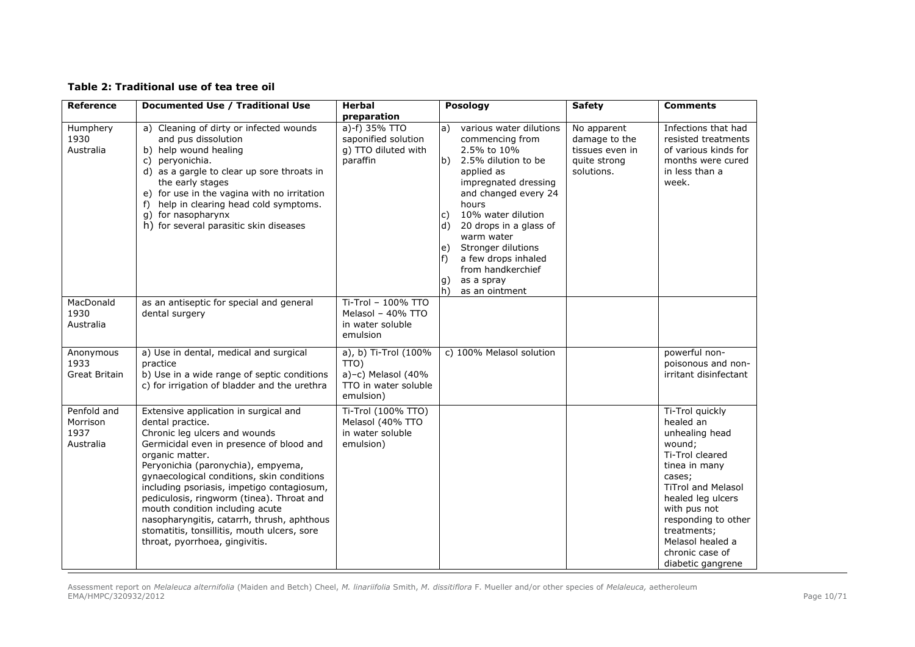### **Table 2: Traditional use of tea tree oil**

| <b>Reference</b>                             | Documented Use / Traditional Use                                                                                                                                                                                                                                                                                                                                                                                                                                                                           | <b>Herbal</b>                                                                              | Posology                                                                                                                                                                                                                                                                                                                                                             | <b>Safety</b>                                                                 | <b>Comments</b>                                                                                                                                                                                                                                                            |
|----------------------------------------------|------------------------------------------------------------------------------------------------------------------------------------------------------------------------------------------------------------------------------------------------------------------------------------------------------------------------------------------------------------------------------------------------------------------------------------------------------------------------------------------------------------|--------------------------------------------------------------------------------------------|----------------------------------------------------------------------------------------------------------------------------------------------------------------------------------------------------------------------------------------------------------------------------------------------------------------------------------------------------------------------|-------------------------------------------------------------------------------|----------------------------------------------------------------------------------------------------------------------------------------------------------------------------------------------------------------------------------------------------------------------------|
|                                              |                                                                                                                                                                                                                                                                                                                                                                                                                                                                                                            | preparation                                                                                |                                                                                                                                                                                                                                                                                                                                                                      |                                                                               |                                                                                                                                                                                                                                                                            |
| Humphery<br>1930<br>Australia                | a) Cleaning of dirty or infected wounds<br>and pus dissolution<br>b) help wound healing<br>c) peryonichia.<br>d) as a gargle to clear up sore throats in<br>the early stages<br>e) for use in the vagina with no irritation<br>help in clearing head cold symptoms.<br>f)<br>g) for nasopharynx<br>h) for several parasitic skin diseases                                                                                                                                                                  | a)-f) 35% TTO<br>saponified solution<br>g) TTO diluted with<br>paraffin                    | various water dilutions<br>a)<br>commencing from<br>2.5% to 10%<br>b) 2.5% dilution to be<br>applied as<br>impregnated dressing<br>and changed every 24<br>hours<br>10% water dilution<br>c)<br>d)<br>20 drops in a glass of<br>warm water<br>Stronger dilutions<br>e)<br>a few drops inhaled<br>f)<br>from handkerchief<br>as a spray<br>g)<br>h)<br>as an ointment | No apparent<br>damage to the<br>tissues even in<br>quite strong<br>solutions. | Infections that had<br>resisted treatments<br>of various kinds for<br>months were cured<br>in less than a<br>week.                                                                                                                                                         |
| MacDonald<br>1930<br>Australia               | as an antiseptic for special and general<br>dental surgery                                                                                                                                                                                                                                                                                                                                                                                                                                                 | Ti-Trol - 100% TTO<br>Melasol - 40% TTO<br>in water soluble<br>emulsion                    |                                                                                                                                                                                                                                                                                                                                                                      |                                                                               |                                                                                                                                                                                                                                                                            |
| Anonymous<br>1933<br>Great Britain           | a) Use in dental, medical and surgical<br>practice<br>b) Use in a wide range of septic conditions<br>c) for irrigation of bladder and the urethra                                                                                                                                                                                                                                                                                                                                                          | a), b) Ti-Trol (100%<br>TTO)<br>$a$ )-c) Melasol (40%<br>TTO in water soluble<br>emulsion) | c) 100% Melasol solution                                                                                                                                                                                                                                                                                                                                             |                                                                               | powerful non-<br>poisonous and non-<br>irritant disinfectant                                                                                                                                                                                                               |
| Penfold and<br>Morrison<br>1937<br>Australia | Extensive application in surgical and<br>dental practice.<br>Chronic leg ulcers and wounds<br>Germicidal even in presence of blood and<br>organic matter.<br>Peryonichia (paronychia), empyema,<br>gynaecological conditions, skin conditions<br>including psoriasis, impetigo contagiosum,<br>pediculosis, ringworm (tinea). Throat and<br>mouth condition including acute<br>nasopharyngitis, catarrh, thrush, aphthous<br>stomatitis, tonsillitis, mouth ulcers, sore<br>throat, pyorrhoea, gingivitis. | Ti-Trol (100% TTO)<br>Melasol (40% TTO<br>in water soluble<br>emulsion)                    |                                                                                                                                                                                                                                                                                                                                                                      |                                                                               | Ti-Trol quickly<br>healed an<br>unhealing head<br>wound;<br>Ti-Trol cleared<br>tinea in many<br>cases;<br><b>TiTrol and Melasol</b><br>healed leg ulcers<br>with pus not<br>responding to other<br>treatments;<br>Melasol healed a<br>chronic case of<br>diabetic gangrene |

Assessment report on *Melaleuca alternifolia* (Maiden and Betch) Cheel, *M. linariifolia* Smith, *M. dissitiflora* F. Mueller and/or other species of *Melaleuca,* aetheroleum EMA/HMPC/320932/2012 Page 10/71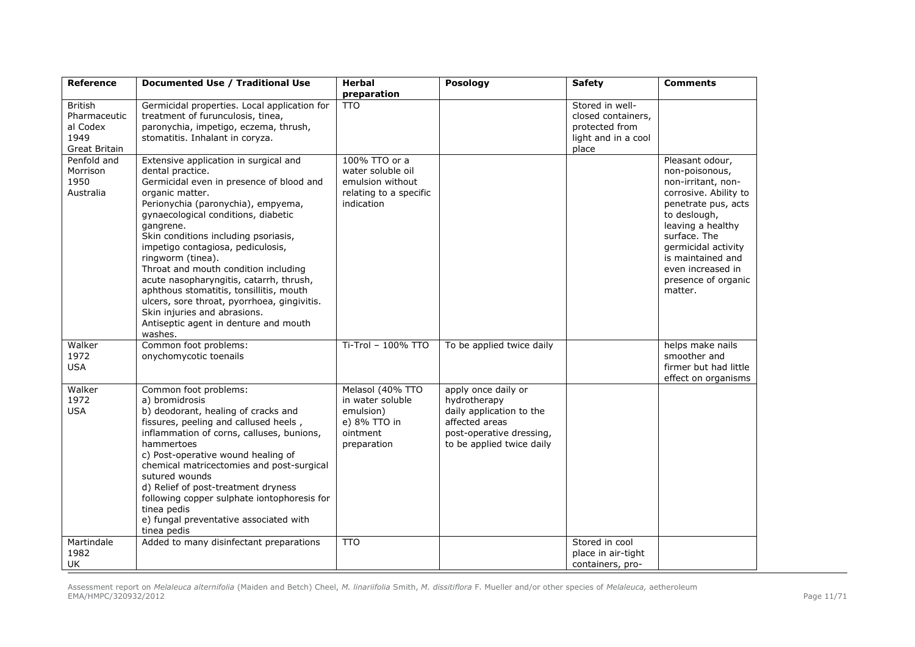| <b>Reference</b>                                                           | Documented Use / Traditional Use                                                                                                                                                                                                                                                                                                                                                                                                                                                                                                                                                      | Herbal                                                                                         | Posology                                                                                                                                   | <b>Safety</b>                                                                           | <b>Comments</b>                                                                                                                                                                                                                                                 |
|----------------------------------------------------------------------------|---------------------------------------------------------------------------------------------------------------------------------------------------------------------------------------------------------------------------------------------------------------------------------------------------------------------------------------------------------------------------------------------------------------------------------------------------------------------------------------------------------------------------------------------------------------------------------------|------------------------------------------------------------------------------------------------|--------------------------------------------------------------------------------------------------------------------------------------------|-----------------------------------------------------------------------------------------|-----------------------------------------------------------------------------------------------------------------------------------------------------------------------------------------------------------------------------------------------------------------|
|                                                                            |                                                                                                                                                                                                                                                                                                                                                                                                                                                                                                                                                                                       | preparation                                                                                    |                                                                                                                                            |                                                                                         |                                                                                                                                                                                                                                                                 |
| <b>British</b><br>Pharmaceutic<br>al Codex<br>1949<br><b>Great Britain</b> | Germicidal properties. Local application for<br>treatment of furunculosis, tinea,<br>paronychia, impetigo, eczema, thrush,<br>stomatitis. Inhalant in coryza.                                                                                                                                                                                                                                                                                                                                                                                                                         | <b>TTO</b>                                                                                     |                                                                                                                                            | Stored in well-<br>closed containers,<br>protected from<br>light and in a cool<br>place |                                                                                                                                                                                                                                                                 |
| Penfold and<br>Morrison<br>1950<br>Australia                               | Extensive application in surgical and<br>dental practice.<br>Germicidal even in presence of blood and<br>organic matter.<br>Perionychia (paronychia), empyema,<br>gynaecological conditions, diabetic<br>gangrene.<br>Skin conditions including psoriasis,<br>impetigo contagiosa, pediculosis,<br>ringworm (tinea).<br>Throat and mouth condition including<br>acute nasopharyngitis, catarrh, thrush,<br>aphthous stomatitis, tonsillitis, mouth<br>ulcers, sore throat, pyorrhoea, gingivitis.<br>Skin injuries and abrasions.<br>Antiseptic agent in denture and mouth<br>washes. | 100% TTO or a<br>water soluble oil<br>emulsion without<br>relating to a specific<br>indication |                                                                                                                                            |                                                                                         | Pleasant odour,<br>non-poisonous,<br>non-irritant, non-<br>corrosive. Ability to<br>penetrate pus, acts<br>to deslough,<br>leaving a healthy<br>surface. The<br>germicidal activity<br>is maintained and<br>even increased in<br>presence of organic<br>matter. |
| Walker<br>1972<br><b>USA</b>                                               | Common foot problems:<br>onychomycotic toenails                                                                                                                                                                                                                                                                                                                                                                                                                                                                                                                                       | Ti-Trol - 100% TTO                                                                             | To be applied twice daily                                                                                                                  |                                                                                         | helps make nails<br>smoother and<br>firmer but had little<br>effect on organisms                                                                                                                                                                                |
| Walker<br>1972<br><b>USA</b>                                               | Common foot problems:<br>a) bromidrosis<br>b) deodorant, healing of cracks and<br>fissures, peeling and callused heels,<br>inflammation of corns, calluses, bunions,<br>hammertoes<br>c) Post-operative wound healing of<br>chemical matricectomies and post-surgical<br>sutured wounds<br>d) Relief of post-treatment dryness<br>following copper sulphate iontophoresis for<br>tinea pedis<br>e) fungal preventative associated with<br>tinea pedis                                                                                                                                 | Melasol (40% TTO<br>in water soluble<br>emulsion)<br>e) 8% TTO in<br>ointment<br>preparation   | apply once daily or<br>hydrotherapy<br>daily application to the<br>affected areas<br>post-operative dressing,<br>to be applied twice daily |                                                                                         |                                                                                                                                                                                                                                                                 |
| Martindale<br>1982<br><b>UK</b>                                            | Added to many disinfectant preparations                                                                                                                                                                                                                                                                                                                                                                                                                                                                                                                                               | <b>TTO</b>                                                                                     |                                                                                                                                            | Stored in cool<br>place in air-tight<br>containers, pro-                                |                                                                                                                                                                                                                                                                 |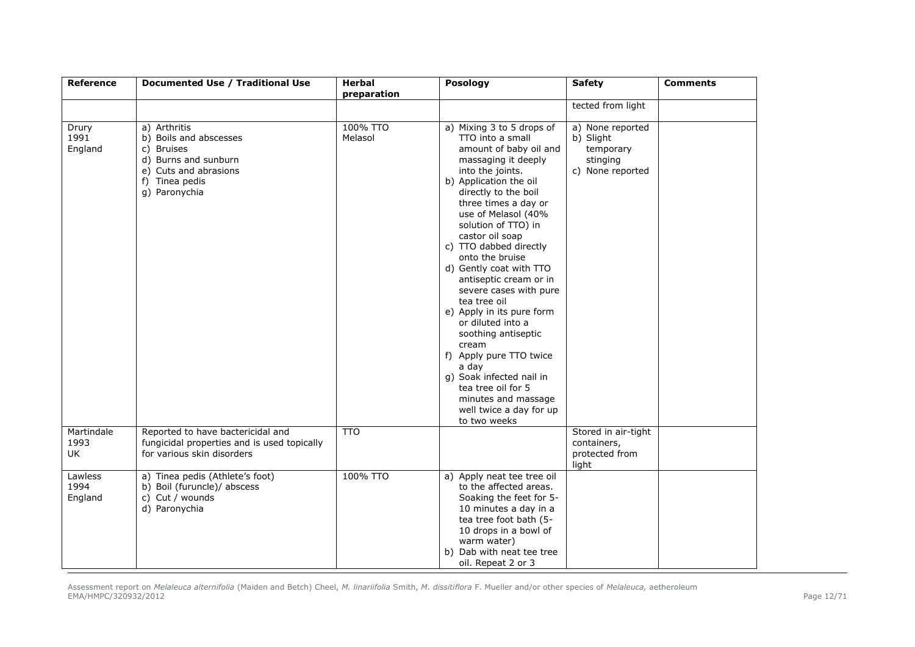| <b>Reference</b>                | Documented Use / Traditional Use                                                                                                         | <b>Herbal</b>       | Posology                                                                                                                                                                                                                                                                                                                                                                                                                                                                                                                                                                                                                                            | <b>Safety</b>                                                              | <b>Comments</b> |
|---------------------------------|------------------------------------------------------------------------------------------------------------------------------------------|---------------------|-----------------------------------------------------------------------------------------------------------------------------------------------------------------------------------------------------------------------------------------------------------------------------------------------------------------------------------------------------------------------------------------------------------------------------------------------------------------------------------------------------------------------------------------------------------------------------------------------------------------------------------------------------|----------------------------------------------------------------------------|-----------------|
|                                 |                                                                                                                                          | preparation         |                                                                                                                                                                                                                                                                                                                                                                                                                                                                                                                                                                                                                                                     | tected from light                                                          |                 |
| Drury<br>1991<br>England        | a) Arthritis<br>b) Boils and abscesses<br>c) Bruises<br>d) Burns and sunburn<br>e) Cuts and abrasions<br>f) Tinea pedis<br>g) Paronychia | 100% TTO<br>Melasol | a) Mixing 3 to 5 drops of<br>TTO into a small<br>amount of baby oil and<br>massaging it deeply<br>into the joints.<br>b) Application the oil<br>directly to the boil<br>three times a day or<br>use of Melasol (40%<br>solution of TTO) in<br>castor oil soap<br>c) TTO dabbed directly<br>onto the bruise<br>d) Gently coat with TTO<br>antiseptic cream or in<br>severe cases with pure<br>tea tree oil<br>e) Apply in its pure form<br>or diluted into a<br>soothing antiseptic<br>cream<br>f) Apply pure TTO twice<br>a day<br>q) Soak infected nail in<br>tea tree oil for 5<br>minutes and massage<br>well twice a day for up<br>to two weeks | a) None reported<br>b) Slight<br>temporary<br>stinging<br>c) None reported |                 |
| Martindale<br>1993<br><b>UK</b> | Reported to have bactericidal and<br>fungicidal properties and is used topically<br>for various skin disorders                           | <b>TTO</b>          |                                                                                                                                                                                                                                                                                                                                                                                                                                                                                                                                                                                                                                                     | Stored in air-tight<br>containers,<br>protected from<br>light              |                 |
| Lawless<br>1994<br>England      | a) Tinea pedis (Athlete's foot)<br>b) Boil (furuncle)/ abscess<br>c) Cut / wounds<br>d) Paronychia                                       | 100% TTO            | a) Apply neat tee tree oil<br>to the affected areas.<br>Soaking the feet for 5-<br>10 minutes a day in a<br>tea tree foot bath (5-<br>10 drops in a bowl of<br>warm water)<br>b) Dab with neat tee tree<br>oil. Repeat 2 or 3                                                                                                                                                                                                                                                                                                                                                                                                                       |                                                                            |                 |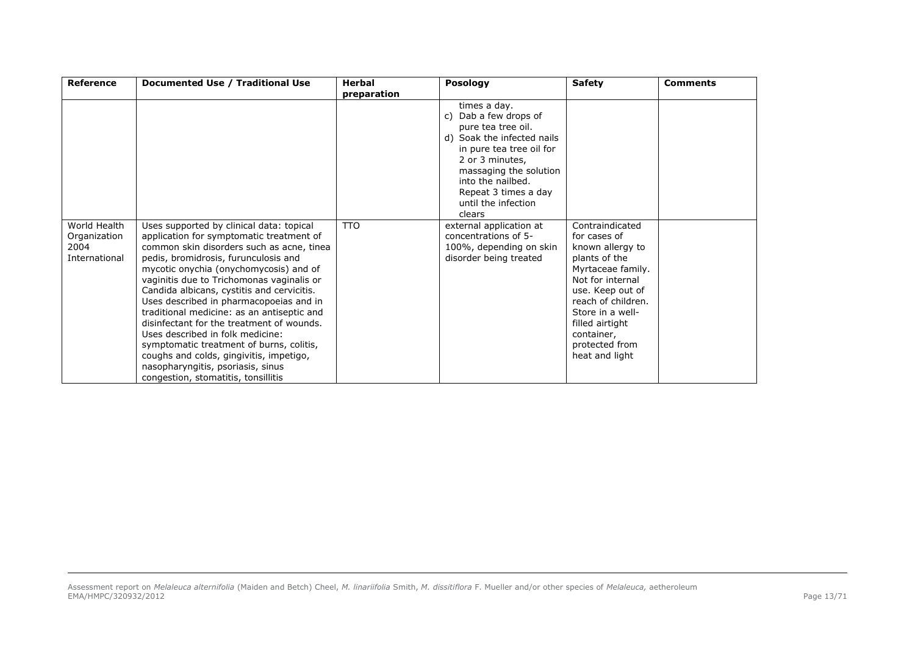| <b>Reference</b>                                      | Documented Use / Traditional Use                                                                                                                                                                                                                                                                                                                                                                                                                                                                                                                                                                                                                            | Herbal          | <b>Posology</b>                                                                                                                                                                                                                                     | <b>Safety</b>                                                                                                                                                                                                                                    | <b>Comments</b> |
|-------------------------------------------------------|-------------------------------------------------------------------------------------------------------------------------------------------------------------------------------------------------------------------------------------------------------------------------------------------------------------------------------------------------------------------------------------------------------------------------------------------------------------------------------------------------------------------------------------------------------------------------------------------------------------------------------------------------------------|-----------------|-----------------------------------------------------------------------------------------------------------------------------------------------------------------------------------------------------------------------------------------------------|--------------------------------------------------------------------------------------------------------------------------------------------------------------------------------------------------------------------------------------------------|-----------------|
|                                                       |                                                                                                                                                                                                                                                                                                                                                                                                                                                                                                                                                                                                                                                             | preparation     |                                                                                                                                                                                                                                                     |                                                                                                                                                                                                                                                  |                 |
|                                                       |                                                                                                                                                                                                                                                                                                                                                                                                                                                                                                                                                                                                                                                             |                 | times a day.<br>Dab a few drops of<br>C)<br>pure tea tree oil.<br>d) Soak the infected nails<br>in pure tea tree oil for<br>2 or 3 minutes,<br>massaging the solution<br>into the nailbed.<br>Repeat 3 times a day<br>until the infection<br>clears |                                                                                                                                                                                                                                                  |                 |
| World Health<br>Organization<br>2004<br>International | Uses supported by clinical data: topical<br>application for symptomatic treatment of<br>common skin disorders such as acne, tinea<br>pedis, bromidrosis, furunculosis and<br>mycotic onychia (onychomycosis) and of<br>vaginitis due to Trichomonas vaginalis or<br>Candida albicans, cystitis and cervicitis.<br>Uses described in pharmacopoeias and in<br>traditional medicine: as an antiseptic and<br>disinfectant for the treatment of wounds.<br>Uses described in folk medicine:<br>symptomatic treatment of burns, colitis,<br>coughs and colds, gingivitis, impetigo,<br>nasopharyngitis, psoriasis, sinus<br>congestion, stomatitis, tonsillitis | TT <sub>0</sub> | external application at<br>concentrations of 5-<br>100%, depending on skin<br>disorder being treated                                                                                                                                                | Contraindicated<br>for cases of<br>known allergy to<br>plants of the<br>Myrtaceae family.<br>Not for internal<br>use. Keep out of<br>reach of children.<br>Store in a well-<br>filled airtight<br>container,<br>protected from<br>heat and light |                 |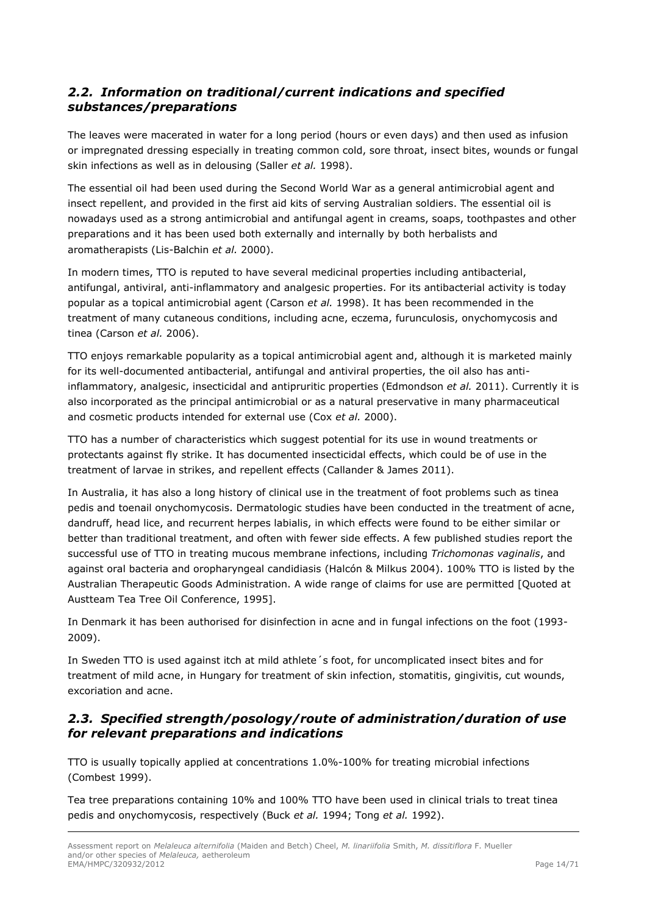# <span id="page-13-0"></span>*2.2. Information on traditional/current indications and specified substances/preparations*

The leaves were macerated in water for a long period (hours or even days) and then used as infusion or impregnated dressing especially in treating common cold, sore throat, insect bites, wounds or fungal skin infections as well as in delousing (Saller *et al.* 1998).

The essential oil had been used during the Second World War as a general antimicrobial agent and insect repellent, and provided in the first aid kits of serving Australian soldiers. The essential oil is nowadays used as a strong antimicrobial and antifungal agent in creams, soaps, toothpastes and other preparations and it has been used both externally and internally by both herbalists and aromatherapists (Lis-Balchin *et al.* 2000).

In modern times, TTO is reputed to have several medicinal properties including antibacterial, antifungal, antiviral, anti-inflammatory and analgesic properties. For its antibacterial activity is today popular as a topical antimicrobial agent (Carson *et al.* 1998). It has been recommended in the treatment of many cutaneous conditions, including acne, eczema, furunculosis, onychomycosis and tinea (Carson *et al.* 2006).

TTO enjoys remarkable popularity as a topical antimicrobial agent and, although it is marketed mainly for its well-documented antibacterial, antifungal and antiviral properties, the oil also has antiinflammatory, analgesic, insecticidal and antipruritic properties (Edmondson *et al.* 2011). Currently it is also incorporated as the principal antimicrobial or as a natural preservative in many pharmaceutical and cosmetic products intended for external use (Cox *et al.* 2000).

TTO has a number of characteristics which suggest potential for its use in wound treatments or protectants against fly strike. It has documented insecticidal effects, which could be of use in the treatment of larvae in strikes, and repellent effects (Callander & James 2011).

In Australia, it has also a long history of clinical use in the treatment of foot problems such as tinea pedis and toenail onychomycosis. Dermatologic studies have been conducted in the treatment of acne, dandruff, head lice, and recurrent herpes labialis, in which effects were found to be either similar or better than traditional treatment, and often with fewer side effects. A few published studies report the successful use of TTO in treating mucous membrane infections, including *Trichomonas vaginalis*, and against oral bacteria and oropharyngeal candidiasis (Halcón & Milkus 2004). 100% TTO is listed by the Australian Therapeutic Goods Administration. A wide range of claims for use are permitted [Quoted at Austteam Tea Tree Oil Conference, 1995].

In Denmark it has been authorised for disinfection in acne and in fungal infections on the foot (1993- 2009).

In Sweden TTO is used against itch at mild athlete´s foot, for uncomplicated insect bites and for treatment of mild acne, in Hungary for treatment of skin infection, stomatitis, gingivitis, cut wounds, excoriation and acne.

# <span id="page-13-1"></span>*2.3. Specified strength/posology/route of administration/duration of use for relevant preparations and indications*

TTO is usually topically applied at concentrations 1.0%-100% for treating microbial infections (Combest 1999).

Tea tree preparations containing 10% and 100% TTO have been used in clinical trials to treat tinea pedis and onychomycosis, respectively (Buck *et al.* 1994; Tong *et al.* 1992).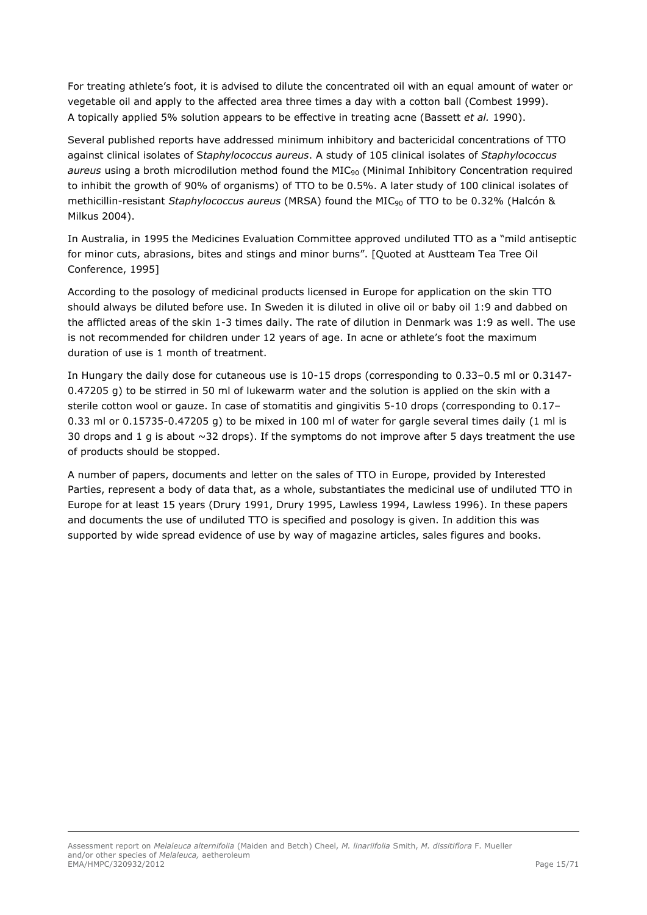For treating athlete's foot, it is advised to dilute the concentrated oil with an equal amount of water or vegetable oil and apply to the affected area three times a day with a cotton ball (Combest 1999). A topically applied 5% solution appears to be effective in treating acne (Bassett *et al.* 1990).

Several published reports have addressed minimum inhibitory and bactericidal concentrations of TTO against clinical isolates of S*taphylococcus aureus*. A study of 105 clinical isolates of *Staphylococcus* aureus using a broth microdilution method found the MIC<sub>90</sub> (Minimal Inhibitory Concentration required to inhibit the growth of 90% of organisms) of TTO to be 0.5%. A later study of 100 clinical isolates of methicillin-resistant *Staphylococcus aureus* (MRSA) found the MIC<sub>90</sub> of TTO to be 0.32% (Halcón & Milkus 2004).

In Australia, in 1995 the Medicines Evaluation Committee approved undiluted TTO as a "mild antiseptic for minor cuts, abrasions, bites and stings and minor burns". [Quoted at Austteam Tea Tree Oil Conference, 1995]

According to the posology of medicinal products licensed in Europe for application on the skin TTO should always be diluted before use. In Sweden it is diluted in olive oil or baby oil 1:9 and dabbed on the afflicted areas of the skin 1-3 times daily. The rate of dilution in Denmark was 1:9 as well. The use is not recommended for children under 12 years of age. In acne or athlete's foot the maximum duration of use is 1 month of treatment.

In Hungary the daily dose for cutaneous use is 10-15 drops (corresponding to 0.33–0.5 ml or 0.3147- 0.47205 g) to be stirred in 50 ml of lukewarm water and the solution is applied on the skin with a sterile cotton wool or gauze. In case of stomatitis and gingivitis 5-10 drops (corresponding to 0.17– 0.33 ml or 0.15735-0.47205 g) to be mixed in 100 ml of water for gargle several times daily (1 ml is 30 drops and 1 g is about  $\sim$ 32 drops). If the symptoms do not improve after 5 days treatment the use of products should be stopped.

A number of papers, documents and letter on the sales of TTO in Europe, provided by Interested Parties, represent a body of data that, as a whole, substantiates the medicinal use of undiluted TTO in Europe for at least 15 years (Drury 1991, Drury 1995, Lawless 1994, Lawless 1996). In these papers and documents the use of undiluted TTO is specified and posology is given. In addition this was supported by wide spread evidence of use by way of magazine articles, sales figures and books.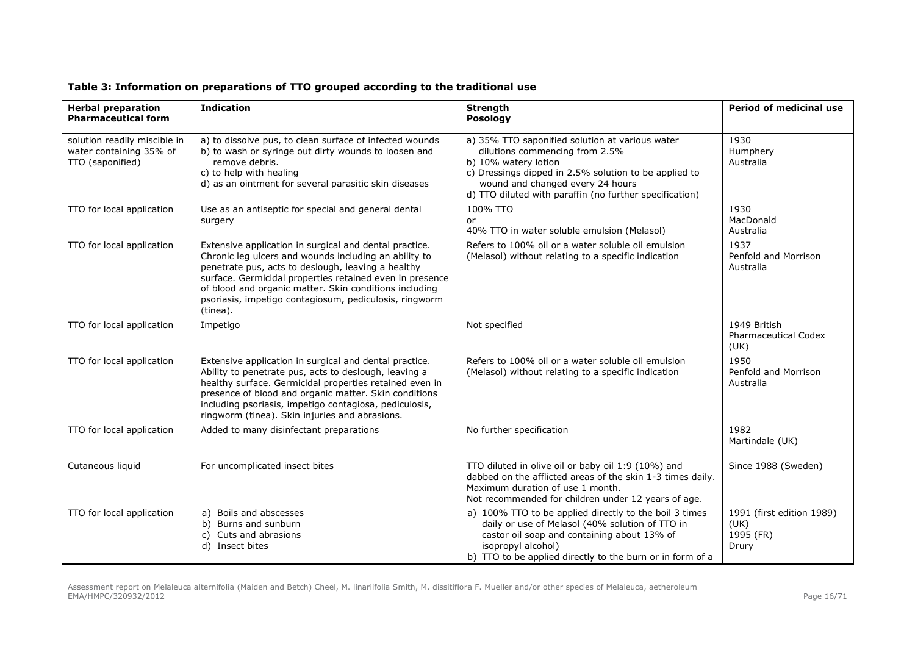| <b>Herbal preparation</b><br><b>Pharmaceutical form</b>                     | <b>Indication</b>                                                                                                                                                                                                                                                                                                                                                 | <b>Strength</b><br>Posology                                                                                                                                                                                                                                       | <b>Period of medicinal use</b>                          |
|-----------------------------------------------------------------------------|-------------------------------------------------------------------------------------------------------------------------------------------------------------------------------------------------------------------------------------------------------------------------------------------------------------------------------------------------------------------|-------------------------------------------------------------------------------------------------------------------------------------------------------------------------------------------------------------------------------------------------------------------|---------------------------------------------------------|
| solution readily miscible in<br>water containing 35% of<br>TTO (saponified) | a) to dissolve pus, to clean surface of infected wounds<br>b) to wash or syringe out dirty wounds to loosen and<br>remove debris.<br>c) to help with healing<br>d) as an ointment for several parasitic skin diseases                                                                                                                                             | a) 35% TTO saponified solution at various water<br>dilutions commencing from 2.5%<br>b) 10% watery lotion<br>c) Dressings dipped in 2.5% solution to be applied to<br>wound and changed every 24 hours<br>d) TTO diluted with paraffin (no further specification) | 1930<br>Humphery<br>Australia                           |
| TTO for local application                                                   | Use as an antiseptic for special and general dental<br>surgery                                                                                                                                                                                                                                                                                                    | 100% TTO<br>or<br>40% TTO in water soluble emulsion (Melasol)                                                                                                                                                                                                     | 1930<br>MacDonald<br>Australia                          |
| TTO for local application                                                   | Extensive application in surgical and dental practice.<br>Chronic leg ulcers and wounds including an ability to<br>penetrate pus, acts to deslough, leaving a healthy<br>surface. Germicidal properties retained even in presence<br>of blood and organic matter. Skin conditions including<br>psoriasis, impetigo contagiosum, pediculosis, ringworm<br>(tinea). | Refers to 100% oil or a water soluble oil emulsion<br>(Melasol) without relating to a specific indication                                                                                                                                                         | 1937<br>Penfold and Morrison<br>Australia               |
| TTO for local application                                                   | Impetigo                                                                                                                                                                                                                                                                                                                                                          | Not specified                                                                                                                                                                                                                                                     | 1949 British<br><b>Pharmaceutical Codex</b><br>(UK)     |
| TTO for local application                                                   | Extensive application in surgical and dental practice.<br>Ability to penetrate pus, acts to deslough, leaving a<br>healthy surface. Germicidal properties retained even in<br>presence of blood and organic matter. Skin conditions<br>including psoriasis, impetigo contagiosa, pediculosis,<br>ringworm (tinea). Skin injuries and abrasions.                   | Refers to 100% oil or a water soluble oil emulsion<br>(Melasol) without relating to a specific indication                                                                                                                                                         | 1950<br>Penfold and Morrison<br>Australia               |
| TTO for local application                                                   | Added to many disinfectant preparations                                                                                                                                                                                                                                                                                                                           | No further specification                                                                                                                                                                                                                                          | 1982<br>Martindale (UK)                                 |
| Cutaneous liquid                                                            | For uncomplicated insect bites                                                                                                                                                                                                                                                                                                                                    | TTO diluted in olive oil or baby oil 1:9 (10%) and<br>dabbed on the afflicted areas of the skin 1-3 times daily.<br>Maximum duration of use 1 month.<br>Not recommended for children under 12 years of age.                                                       | Since 1988 (Sweden)                                     |
| TTO for local application                                                   | Boils and abscesses<br>a)<br>b) Burns and sunburn<br>Cuts and abrasions<br>C)<br>d) Insect bites                                                                                                                                                                                                                                                                  | a) 100% TTO to be applied directly to the boil 3 times<br>daily or use of Melasol (40% solution of TTO in<br>castor oil soap and containing about 13% of<br>isopropyl alcohol)<br>b) TTO to be applied directly to the burn or in form of a                       | 1991 (first edition 1989)<br>(UK)<br>1995 (FR)<br>Drury |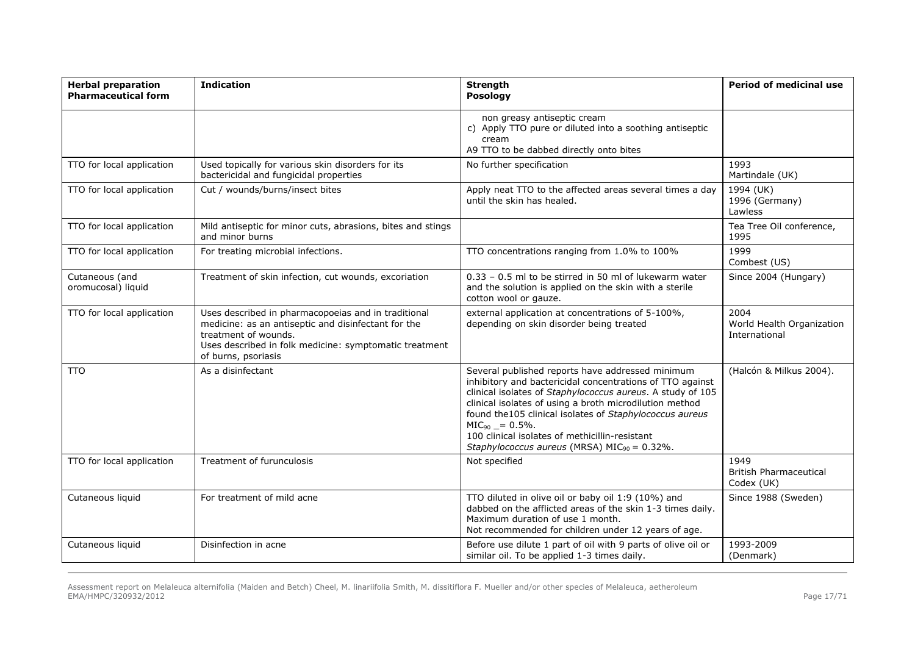| <b>Herbal preparation</b><br><b>Pharmaceutical form</b> | <b>Indication</b>                                                                                                                                                                                                   | <b>Strength</b><br>Posology                                                                                                                                                                                                                                                                                                                                                                                               | Period of medicinal use                             |
|---------------------------------------------------------|---------------------------------------------------------------------------------------------------------------------------------------------------------------------------------------------------------------------|---------------------------------------------------------------------------------------------------------------------------------------------------------------------------------------------------------------------------------------------------------------------------------------------------------------------------------------------------------------------------------------------------------------------------|-----------------------------------------------------|
|                                                         |                                                                                                                                                                                                                     | non greasy antiseptic cream<br>c) Apply TTO pure or diluted into a soothing antiseptic<br>cream<br>A9 TTO to be dabbed directly onto bites                                                                                                                                                                                                                                                                                |                                                     |
| TTO for local application                               | Used topically for various skin disorders for its<br>bactericidal and fungicidal properties                                                                                                                         | No further specification                                                                                                                                                                                                                                                                                                                                                                                                  | 1993<br>Martindale (UK)                             |
| TTO for local application                               | Cut / wounds/burns/insect bites                                                                                                                                                                                     | Apply neat TTO to the affected areas several times a day<br>until the skin has healed.                                                                                                                                                                                                                                                                                                                                    | 1994 (UK)<br>1996 (Germany)<br>Lawless              |
| TTO for local application                               | Mild antiseptic for minor cuts, abrasions, bites and stings<br>and minor burns                                                                                                                                      |                                                                                                                                                                                                                                                                                                                                                                                                                           | Tea Tree Oil conference,<br>1995                    |
| TTO for local application                               | For treating microbial infections.                                                                                                                                                                                  | TTO concentrations ranging from 1.0% to 100%                                                                                                                                                                                                                                                                                                                                                                              | 1999<br>Combest (US)                                |
| Cutaneous (and<br>oromucosal) liquid                    | Treatment of skin infection, cut wounds, excoriation                                                                                                                                                                | 0.33 - 0.5 ml to be stirred in 50 ml of lukewarm water<br>and the solution is applied on the skin with a sterile<br>cotton wool or gauze.                                                                                                                                                                                                                                                                                 | Since 2004 (Hungary)                                |
| TTO for local application                               | Uses described in pharmacopoeias and in traditional<br>medicine: as an antiseptic and disinfectant for the<br>treatment of wounds.<br>Uses described in folk medicine: symptomatic treatment<br>of burns, psoriasis | external application at concentrations of 5-100%,<br>depending on skin disorder being treated                                                                                                                                                                                                                                                                                                                             | 2004<br>World Health Organization<br>International  |
| <b>TTO</b>                                              | As a disinfectant                                                                                                                                                                                                   | Several published reports have addressed minimum<br>inhibitory and bactericidal concentrations of TTO against<br>clinical isolates of Staphylococcus aureus. A study of 105<br>clinical isolates of using a broth microdilution method<br>found the105 clinical isolates of Staphylococcus aureus<br>$MIC90 = 0.5\%.$<br>100 clinical isolates of methicillin-resistant<br>Staphylococcus aureus (MRSA) $MIC90 = 0.32$ %. | (Halcón & Milkus 2004).                             |
| TTO for local application                               | Treatment of furunculosis                                                                                                                                                                                           | Not specified                                                                                                                                                                                                                                                                                                                                                                                                             | 1949<br><b>British Pharmaceutical</b><br>Codex (UK) |
| Cutaneous liquid                                        | For treatment of mild acne                                                                                                                                                                                          | TTO diluted in olive oil or baby oil 1:9 (10%) and<br>dabbed on the afflicted areas of the skin 1-3 times daily.<br>Maximum duration of use 1 month.<br>Not recommended for children under 12 years of age.                                                                                                                                                                                                               | Since 1988 (Sweden)                                 |
| Cutaneous liquid                                        | Disinfection in acne                                                                                                                                                                                                | Before use dilute 1 part of oil with 9 parts of olive oil or<br>similar oil. To be applied 1-3 times daily.                                                                                                                                                                                                                                                                                                               | 1993-2009<br>(Denmark)                              |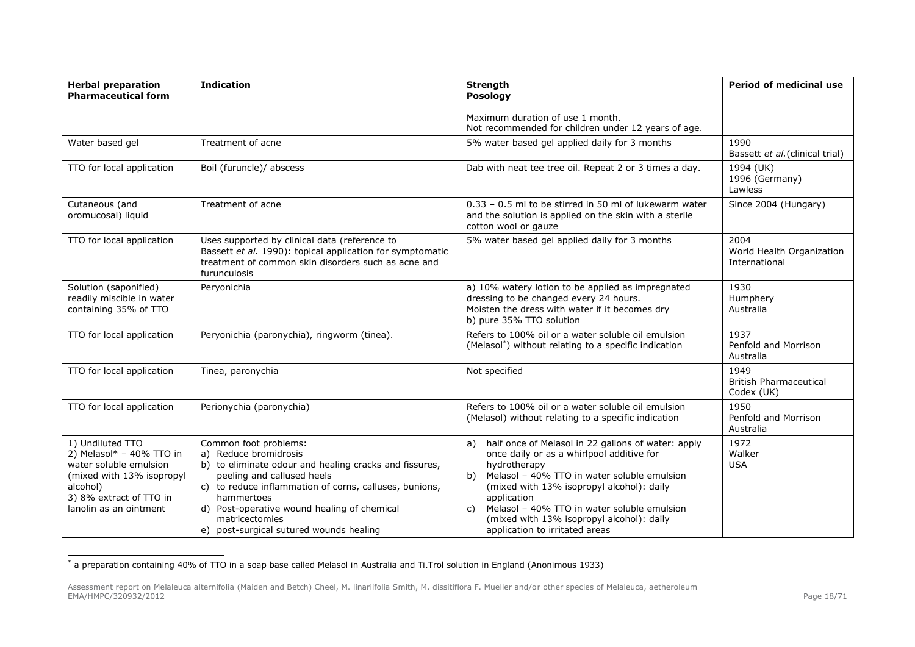| <b>Herbal preparation</b><br><b>Pharmaceutical form</b>                                                                                                                  | <b>Indication</b>                                                                                                                                                                                                                                                                                                          | <b>Strength</b><br>Posology                                                                                                                                                                                                                                                                                                                                                | <b>Period of medicinal use</b>                      |
|--------------------------------------------------------------------------------------------------------------------------------------------------------------------------|----------------------------------------------------------------------------------------------------------------------------------------------------------------------------------------------------------------------------------------------------------------------------------------------------------------------------|----------------------------------------------------------------------------------------------------------------------------------------------------------------------------------------------------------------------------------------------------------------------------------------------------------------------------------------------------------------------------|-----------------------------------------------------|
|                                                                                                                                                                          |                                                                                                                                                                                                                                                                                                                            | Maximum duration of use 1 month.<br>Not recommended for children under 12 years of age.                                                                                                                                                                                                                                                                                    |                                                     |
| Water based gel                                                                                                                                                          | Treatment of acne                                                                                                                                                                                                                                                                                                          | 5% water based gel applied daily for 3 months                                                                                                                                                                                                                                                                                                                              | 1990<br>Bassett et al. (clinical trial)             |
| TTO for local application                                                                                                                                                | Boil (furuncle)/ abscess                                                                                                                                                                                                                                                                                                   | Dab with neat tee tree oil. Repeat 2 or 3 times a day.                                                                                                                                                                                                                                                                                                                     | 1994 (UK)<br>1996 (Germany)<br>Lawless              |
| Cutaneous (and<br>oromucosal) liquid                                                                                                                                     | Treatment of acne                                                                                                                                                                                                                                                                                                          | 0.33 - 0.5 ml to be stirred in 50 ml of lukewarm water<br>and the solution is applied on the skin with a sterile<br>cotton wool or gauze                                                                                                                                                                                                                                   | Since 2004 (Hungary)                                |
| TTO for local application                                                                                                                                                | Uses supported by clinical data (reference to<br>Bassett et al. 1990): topical application for symptomatic<br>treatment of common skin disorders such as acne and<br>furunculosis                                                                                                                                          | 5% water based gel applied daily for 3 months                                                                                                                                                                                                                                                                                                                              | 2004<br>World Health Organization<br>International  |
| Solution (saponified)<br>readily miscible in water<br>containing 35% of TTO                                                                                              | Peryonichia                                                                                                                                                                                                                                                                                                                | a) 10% watery lotion to be applied as impregnated<br>dressing to be changed every 24 hours.<br>Moisten the dress with water if it becomes dry<br>b) pure 35% TTO solution                                                                                                                                                                                                  | 1930<br>Humphery<br>Australia                       |
| TTO for local application                                                                                                                                                | Peryonichia (paronychia), ringworm (tinea).                                                                                                                                                                                                                                                                                | Refers to 100% oil or a water soluble oil emulsion<br>(Melasol <sup>*</sup> ) without relating to a specific indication                                                                                                                                                                                                                                                    | 1937<br>Penfold and Morrison<br>Australia           |
| TTO for local application                                                                                                                                                | Tinea, paronychia                                                                                                                                                                                                                                                                                                          | Not specified                                                                                                                                                                                                                                                                                                                                                              | 1949<br><b>British Pharmaceutical</b><br>Codex (UK) |
| TTO for local application                                                                                                                                                | Perionychia (paronychia)                                                                                                                                                                                                                                                                                                   | Refers to 100% oil or a water soluble oil emulsion<br>(Melasol) without relating to a specific indication                                                                                                                                                                                                                                                                  | 1950<br>Penfold and Morrison<br>Australia           |
| 1) Undiluted TTO<br>2) Melasol $* - 40\%$ TTO in<br>water soluble emulsion<br>(mixed with 13% isopropyl<br>alcohol)<br>3) 8% extract of TTO in<br>lanolin as an ointment | Common foot problems:<br>a) Reduce bromidrosis<br>b) to eliminate odour and healing cracks and fissures,<br>peeling and callused heels<br>c) to reduce inflammation of corns, calluses, bunions,<br>hammertoes<br>d) Post-operative wound healing of chemical<br>matricectomies<br>e) post-surgical sutured wounds healing | half once of Melasol in 22 gallons of water: apply<br>a)<br>once daily or as a whirlpool additive for<br>hydrotherapy<br>Melasol - 40% TTO in water soluble emulsion<br>b)<br>(mixed with 13% isopropyl alcohol): daily<br>application<br>Melasol - 40% TTO in water soluble emulsion<br>C)<br>(mixed with 13% isopropyl alcohol): daily<br>application to irritated areas | 1972<br>Walker<br><b>USA</b>                        |

 \* a preparation containing 40% of TTO in a soap base called Melasol in Australia and Ti.Trol solution in England (Anonimous 1933)

Assessment report on Melaleuca alternifolia (Maiden and Betch) Cheel, M. linariifolia Smith, M. dissitiflora F. Mueller and/or other species of Melaleuca, aetheroleum EMA/HMPC/320932/2012 Page 18/71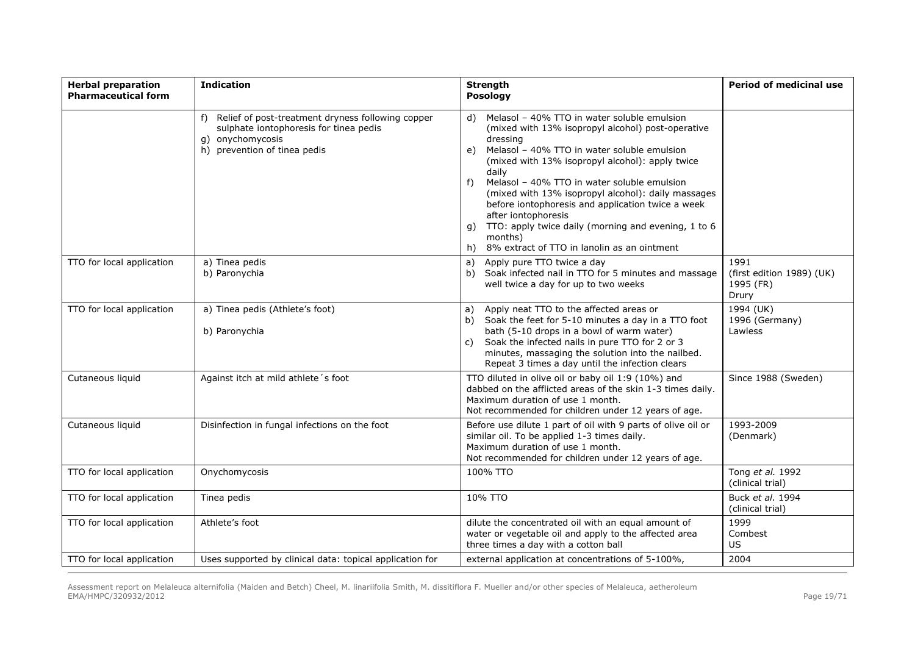| <b>Herbal preparation</b><br><b>Pharmaceutical form</b> | <b>Indication</b>                                                                                                                                        | <b>Strength</b><br>Posology                                                                                                                                                                                                                                                                                                                                                                                                                                                                                                                          | <b>Period of medicinal use</b>                          |
|---------------------------------------------------------|----------------------------------------------------------------------------------------------------------------------------------------------------------|------------------------------------------------------------------------------------------------------------------------------------------------------------------------------------------------------------------------------------------------------------------------------------------------------------------------------------------------------------------------------------------------------------------------------------------------------------------------------------------------------------------------------------------------------|---------------------------------------------------------|
|                                                         | Relief of post-treatment dryness following copper<br>f)<br>sulphate iontophoresis for tinea pedis<br>onychomycosis<br>q)<br>h) prevention of tinea pedis | d) Melasol - 40% TTO in water soluble emulsion<br>(mixed with 13% isopropyl alcohol) post-operative<br>dressing<br>Melasol - 40% TTO in water soluble emulsion<br>e)<br>(mixed with 13% isopropyl alcohol): apply twice<br>daily<br>Melasol - 40% TTO in water soluble emulsion<br>f)<br>(mixed with 13% isopropyl alcohol): daily massages<br>before iontophoresis and application twice a week<br>after iontophoresis<br>TTO: apply twice daily (morning and evening, 1 to 6<br>q)<br>months)<br>8% extract of TTO in lanolin as an ointment<br>h) |                                                         |
| TTO for local application                               | a) Tinea pedis<br>b) Paronychia                                                                                                                          | Apply pure TTO twice a day<br>a)<br>Soak infected nail in TTO for 5 minutes and massage<br>b)<br>well twice a day for up to two weeks                                                                                                                                                                                                                                                                                                                                                                                                                | 1991<br>(first edition 1989) (UK)<br>1995 (FR)<br>Drury |
| TTO for local application                               | a) Tinea pedis (Athlete's foot)<br>b) Paronychia                                                                                                         | Apply neat TTO to the affected areas or<br>a)<br>b) Soak the feet for 5-10 minutes a day in a TTO foot<br>bath (5-10 drops in a bowl of warm water)<br>Soak the infected nails in pure TTO for 2 or 3<br>C)<br>minutes, massaging the solution into the nailbed.<br>Repeat 3 times a day until the infection clears                                                                                                                                                                                                                                  | 1994 (UK)<br>1996 (Germany)<br>Lawless                  |
| Cutaneous liquid                                        | Against itch at mild athlete's foot                                                                                                                      | TTO diluted in olive oil or baby oil 1:9 (10%) and<br>dabbed on the afflicted areas of the skin 1-3 times daily.<br>Maximum duration of use 1 month.<br>Not recommended for children under 12 years of age.                                                                                                                                                                                                                                                                                                                                          | Since 1988 (Sweden)                                     |
| Cutaneous liquid                                        | Disinfection in fungal infections on the foot                                                                                                            | Before use dilute 1 part of oil with 9 parts of olive oil or<br>similar oil. To be applied 1-3 times daily.<br>Maximum duration of use 1 month.<br>Not recommended for children under 12 years of age.                                                                                                                                                                                                                                                                                                                                               | 1993-2009<br>(Denmark)                                  |
| TTO for local application                               | Onychomycosis                                                                                                                                            | 100% TTO                                                                                                                                                                                                                                                                                                                                                                                                                                                                                                                                             | Tong et al. 1992<br>(clinical trial)                    |
| TTO for local application                               | Tinea pedis                                                                                                                                              | 10% TTO                                                                                                                                                                                                                                                                                                                                                                                                                                                                                                                                              | Buck et al. 1994<br>(clinical trial)                    |
| TTO for local application                               | Athlete's foot                                                                                                                                           | dilute the concentrated oil with an equal amount of<br>water or vegetable oil and apply to the affected area<br>three times a day with a cotton ball                                                                                                                                                                                                                                                                                                                                                                                                 | 1999<br>Combest<br>US.                                  |
| TTO for local application                               | Uses supported by clinical data: topical application for                                                                                                 | external application at concentrations of 5-100%,                                                                                                                                                                                                                                                                                                                                                                                                                                                                                                    | 2004                                                    |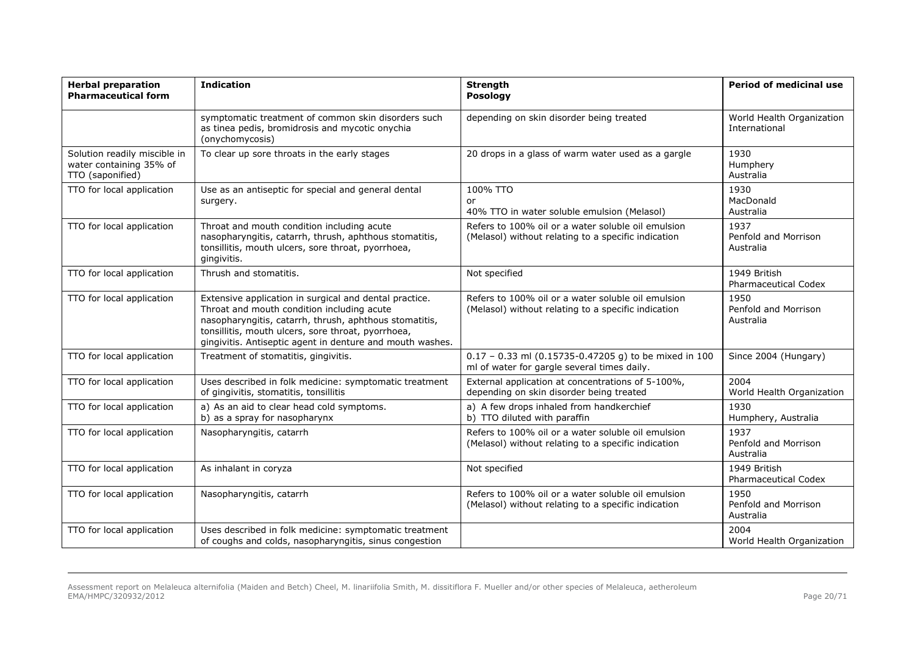| <b>Herbal preparation</b><br><b>Pharmaceutical form</b>                     | <b>Indication</b>                                                                                                                                                                                                                                                                 | <b>Strength</b><br>Posology                                                                               | Period of medicinal use                     |
|-----------------------------------------------------------------------------|-----------------------------------------------------------------------------------------------------------------------------------------------------------------------------------------------------------------------------------------------------------------------------------|-----------------------------------------------------------------------------------------------------------|---------------------------------------------|
|                                                                             | symptomatic treatment of common skin disorders such<br>as tinea pedis, bromidrosis and mycotic onychia<br>(onychomycosis)                                                                                                                                                         | depending on skin disorder being treated                                                                  | World Health Organization<br>International  |
| Solution readily miscible in<br>water containing 35% of<br>TTO (saponified) | To clear up sore throats in the early stages                                                                                                                                                                                                                                      | 20 drops in a glass of warm water used as a gargle                                                        | 1930<br>Humphery<br>Australia               |
| TTO for local application                                                   | Use as an antiseptic for special and general dental<br>surgery.                                                                                                                                                                                                                   | 100% TTO<br>or<br>40% TTO in water soluble emulsion (Melasol)                                             | 1930<br>MacDonald<br>Australia              |
| TTO for local application                                                   | Throat and mouth condition including acute<br>nasopharyngitis, catarrh, thrush, aphthous stomatitis,<br>tonsillitis, mouth ulcers, sore throat, pyorrhoea,<br>gingivitis.                                                                                                         | Refers to 100% oil or a water soluble oil emulsion<br>(Melasol) without relating to a specific indication | 1937<br>Penfold and Morrison<br>Australia   |
| TTO for local application                                                   | Thrush and stomatitis.                                                                                                                                                                                                                                                            | Not specified                                                                                             | 1949 British<br><b>Pharmaceutical Codex</b> |
| TTO for local application                                                   | Extensive application in surgical and dental practice.<br>Throat and mouth condition including acute<br>nasopharyngitis, catarrh, thrush, aphthous stomatitis,<br>tonsillitis, mouth ulcers, sore throat, pyorrhoea,<br>gingivitis. Antiseptic agent in denture and mouth washes. | Refers to 100% oil or a water soluble oil emulsion<br>(Melasol) without relating to a specific indication | 1950<br>Penfold and Morrison<br>Australia   |
| TTO for local application                                                   | Treatment of stomatitis, gingivitis.                                                                                                                                                                                                                                              | $0.17 - 0.33$ ml (0.15735-0.47205 g) to be mixed in 100<br>ml of water for gargle several times daily.    | Since 2004 (Hungary)                        |
| TTO for local application                                                   | Uses described in folk medicine: symptomatic treatment<br>of gingivitis, stomatitis, tonsillitis                                                                                                                                                                                  | External application at concentrations of 5-100%,<br>depending on skin disorder being treated             | 2004<br>World Health Organization           |
| TTO for local application                                                   | a) As an aid to clear head cold symptoms.<br>b) as a spray for nasopharynx                                                                                                                                                                                                        | a) A few drops inhaled from handkerchief<br>b) TTO diluted with paraffin                                  | 1930<br>Humphery, Australia                 |
| TTO for local application                                                   | Nasopharyngitis, catarrh                                                                                                                                                                                                                                                          | Refers to 100% oil or a water soluble oil emulsion<br>(Melasol) without relating to a specific indication | 1937<br>Penfold and Morrison<br>Australia   |
| TTO for local application                                                   | As inhalant in coryza                                                                                                                                                                                                                                                             | Not specified                                                                                             | 1949 British<br><b>Pharmaceutical Codex</b> |
| TTO for local application                                                   | Nasopharyngitis, catarrh                                                                                                                                                                                                                                                          | Refers to 100% oil or a water soluble oil emulsion<br>(Melasol) without relating to a specific indication | 1950<br>Penfold and Morrison<br>Australia   |
| TTO for local application                                                   | Uses described in folk medicine: symptomatic treatment<br>of coughs and colds, nasopharyngitis, sinus congestion                                                                                                                                                                  |                                                                                                           | 2004<br>World Health Organization           |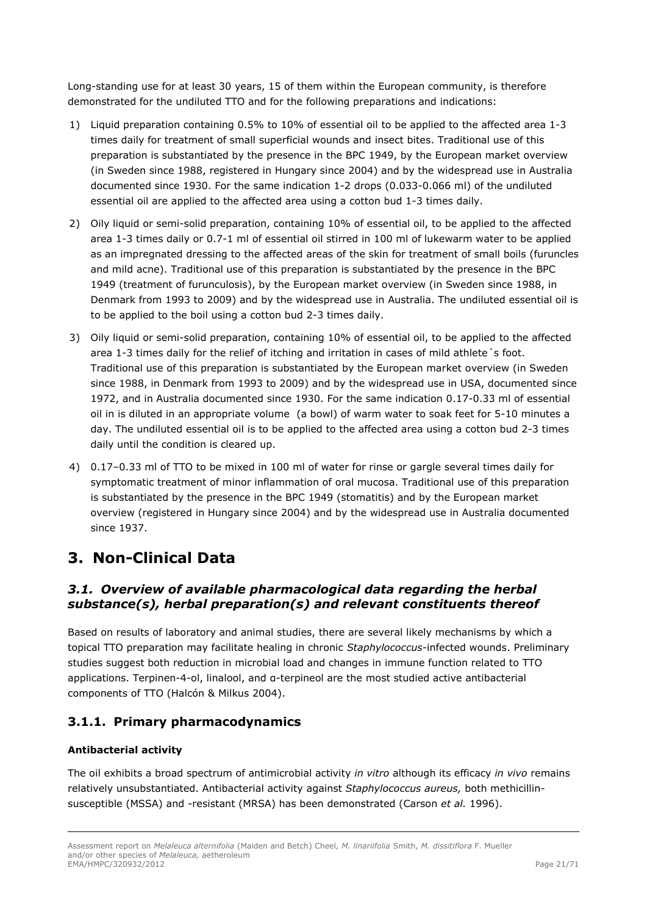Long-standing use for at least 30 years, 15 of them within the European community, is therefore demonstrated for the undiluted TTO and for the following preparations and indications:

- 1) Liquid preparation containing 0.5% to 10% of essential oil to be applied to the affected area 1-3 times daily for treatment of small superficial wounds and insect bites. Traditional use of this preparation is substantiated by the presence in the BPC 1949, by the European market overview (in Sweden since 1988, registered in Hungary since 2004) and by the widespread use in Australia documented since 1930. For the same indication 1-2 drops (0.033-0.066 ml) of the undiluted essential oil are applied to the affected area using a cotton bud 1-3 times daily.
- 2) Oily liquid or semi-solid preparation, containing 10% of essential oil, to be applied to the affected area 1-3 times daily or 0.7-1 ml of essential oil stirred in 100 ml of lukewarm water to be applied as an impregnated dressing to the affected areas of the skin for treatment of small boils (furuncles and mild acne). Traditional use of this preparation is substantiated by the presence in the BPC 1949 (treatment of furunculosis), by the European market overview (in Sweden since 1988, in Denmark from 1993 to 2009) and by the widespread use in Australia. The undiluted essential oil is to be applied to the boil using a cotton bud 2-3 times daily.
- 3) Oily liquid or semi-solid preparation, containing 10% of essential oil, to be applied to the affected area 1-3 times daily for the relief of itching and irritation in cases of mild athlete´s foot. Traditional use of this preparation is substantiated by the European market overview (in Sweden since 1988, in Denmark from 1993 to 2009) and by the widespread use in USA, documented since 1972, and in Australia documented since 1930. For the same indication 0.17-0.33 ml of essential oil in is diluted in an appropriate volume (a bowl) of warm water to soak feet for 5-10 minutes a day. The undiluted essential oil is to be applied to the affected area using a cotton bud 2-3 times daily until the condition is cleared up.
- 4) 0.17–0.33 ml of TTO to be mixed in 100 ml of water for rinse or gargle several times daily for symptomatic treatment of minor inflammation of oral mucosa. Traditional use of this preparation is substantiated by the presence in the BPC 1949 (stomatitis) and by the European market overview (registered in Hungary since 2004) and by the widespread use in Australia documented since 1937.

# <span id="page-20-0"></span>**3. Non-Clinical Data**

# <span id="page-20-1"></span>*3.1. Overview of available pharmacological data regarding the herbal substance(s), herbal preparation(s) and relevant constituents thereof*

Based on results of laboratory and animal studies, there are several likely mechanisms by which a topical TTO preparation may facilitate healing in chronic *Staphylococcus*-infected wounds. Preliminary studies suggest both reduction in microbial load and changes in immune function related to TTO applications. Terpinen-4-ol, linalool, and α-terpineol are the most studied active antibacterial components of TTO (Halcón & Milkus 2004).

# <span id="page-20-2"></span>**3.1.1. Primary pharmacodynamics**

# **Antibacterial activity**

The oil exhibits a broad spectrum of antimicrobial activity *in vitro* although its efficacy *in vivo* remains relatively unsubstantiated. Antibacterial activity against *Staphylococcus aureus,* both methicillinsusceptible (MSSA) and -resistant (MRSA) has been demonstrated (Carson *et al.* 1996).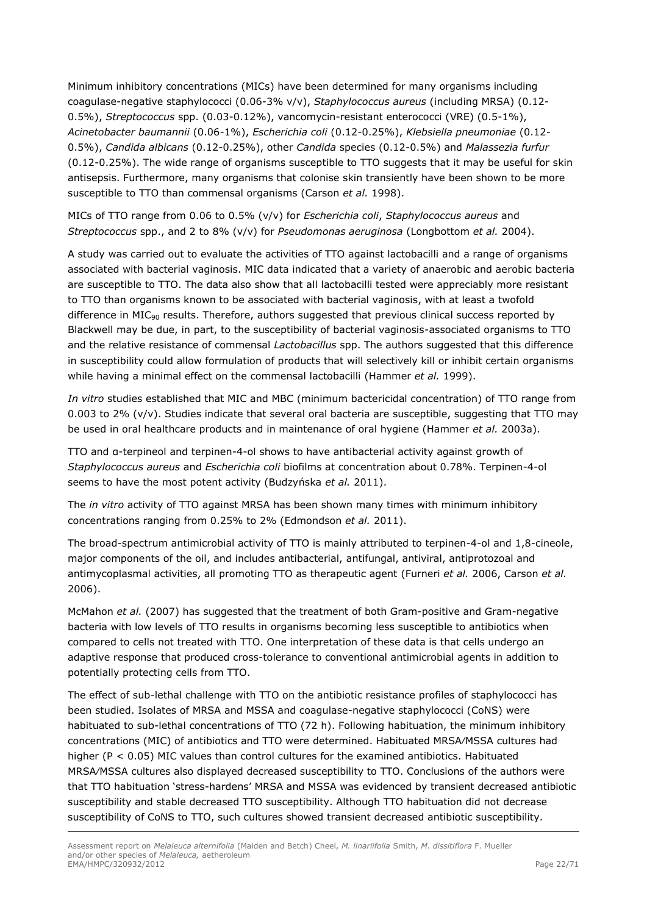Minimum inhibitory concentrations (MICs) have been determined for many organisms including coagulase-negative staphylococci (0.06-3% v/v), *Staphylococcus aureus* (including MRSA) (0.12- 0.5%), *Streptococcus* spp. (0.03-0.12%), vancomycin-resistant enterococci (VRE) (0.5-1%), *Acinetobacter baumannii* (0.06-1%), *Escherichia coli* (0.12-0.25%), *Klebsiella pneumoniae* (0.12- 0.5%), *Candida albicans* (0.12-0.25%), other *Candida* species (0.12-0.5%) and *Malassezia furfur* (0.12-0.25%). The wide range of organisms susceptible to TTO suggests that it may be useful for skin antisepsis. Furthermore, many organisms that colonise skin transiently have been shown to be more susceptible to TTO than commensal organisms (Carson *et al.* 1998).

MICs of TTO range from 0.06 to 0.5% (v/v) for *Escherichia coli*, *Staphylococcus aureus* and *Streptococcus* spp., and 2 to 8% (v/v) for *Pseudomonas aeruginosa* (Longbottom *et al.* 2004).

A study was carried out to evaluate the activities of TTO against lactobacilli and a range of organisms associated with bacterial vaginosis. MIC data indicated that a variety of anaerobic and aerobic bacteria are susceptible to TTO. The data also show that all lactobacilli tested were appreciably more resistant to TTO than organisms known to be associated with bacterial vaginosis, with at least a twofold difference in  $MIC<sub>90</sub>$  results. Therefore, authors suggested that previous clinical success reported by Blackwell may be due, in part, to the susceptibility of bacterial vaginosis-associated organisms to TTO and the relative resistance of commensal *Lactobacillus* spp. The authors suggested that this difference in susceptibility could allow formulation of products that will selectively kill or inhibit certain organisms while having a minimal effect on the commensal lactobacilli (Hammer *et al.* 1999).

*In vitro* studies established that MIC and MBC (minimum bactericidal concentration) of TTO range from 0.003 to 2% (v/v). Studies indicate that several oral bacteria are susceptible, suggesting that TTO may be used in oral healthcare products and in maintenance of oral hygiene (Hammer *et al.* 2003a).

TTO and α-terpineol and terpinen-4-ol shows to have antibacterial activity against growth of *Staphylococcus aureus* and *Escherichia coli* biofilms at concentration about 0.78%. Terpinen-4-ol seems to have the most potent activity (Budzyńska *et al.* 2011).

The *in vitro* activity of TTO against MRSA has been shown many times with minimum inhibitory concentrations ranging from 0.25% to 2% (Edmondson *et al.* 2011).

The broad-spectrum antimicrobial activity of TTO is mainly attributed to terpinen-4-ol and 1,8-cineole, major components of the oil, and includes antibacterial, antifungal, antiviral, antiprotozoal and antimycoplasmal activities, all promoting TTO as therapeutic agent (Furneri *et al.* 2006, Carson *et al.* 2006).

McMahon *et al.* (2007) has suggested that the treatment of both Gram-positive and Gram-negative bacteria with low levels of TTO results in organisms becoming less susceptible to antibiotics when compared to cells not treated with TTO. One interpretation of these data is that cells undergo an adaptive response that produced cross-tolerance to conventional antimicrobial agents in addition to potentially protecting cells from TTO.

The effect of sub-lethal challenge with TTO on the antibiotic resistance profiles of staphylococci has been studied. Isolates of MRSA and MSSA and coagulase-negative staphylococci (CoNS) were habituated to sub-lethal concentrations of TTO (72 h). Following habituation, the minimum inhibitory concentrations (MIC) of antibiotics and TTO were determined. Habituated MRSA⁄MSSA cultures had higher ( $P < 0.05$ ) MIC values than control cultures for the examined antibiotics. Habituated MRSA⁄MSSA cultures also displayed decreased susceptibility to TTO. Conclusions of the authors were that TTO habituation 'stress-hardens' MRSA and MSSA was evidenced by transient decreased antibiotic susceptibility and stable decreased TTO susceptibility. Although TTO habituation did not decrease susceptibility of CoNS to TTO, such cultures showed transient decreased antibiotic susceptibility.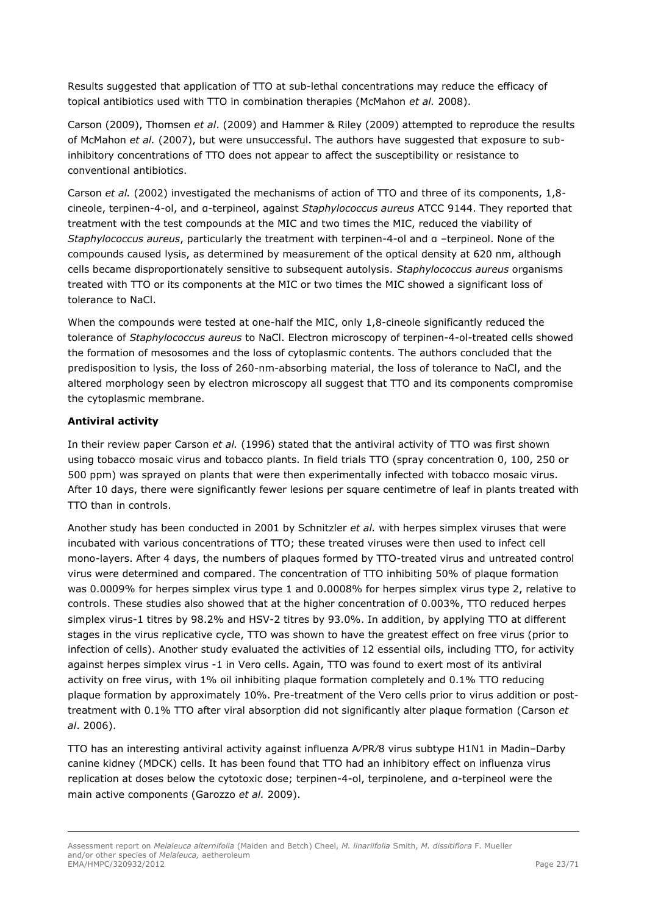Results suggested that application of TTO at sub-lethal concentrations may reduce the efficacy of topical antibiotics used with TTO in combination therapies (McMahon *et al.* 2008).

Carson (2009), Thomsen *et al*. (2009) and Hammer & Riley (2009) attempted to reproduce the results of McMahon *et al.* (2007), but were unsuccessful. The authors have suggested that exposure to subinhibitory concentrations of TTO does not appear to affect the susceptibility or resistance to conventional antibiotics.

Carson *et al.* (2002) investigated the mechanisms of action of TTO and three of its components, 1,8cineole, terpinen-4-ol, and α-terpineol, against *Staphylococcus aureus* ATCC 9144. They reported that treatment with the test compounds at the MIC and two times the MIC, reduced the viability of *Staphylococcus aureus*, particularly the treatment with terpinen-4-ol and α –terpineol. None of the compounds caused lysis, as determined by measurement of the optical density at 620 nm, although cells became disproportionately sensitive to subsequent autolysis. *Staphylococcus aureus* organisms treated with TTO or its components at the MIC or two times the MIC showed a significant loss of tolerance to NaCl.

When the compounds were tested at one-half the MIC, only 1,8-cineole significantly reduced the tolerance of *Staphylococcus aureus* to NaCl. Electron microscopy of terpinen-4-ol-treated cells showed the formation of mesosomes and the loss of cytoplasmic contents. The authors concluded that the predisposition to lysis, the loss of 260-nm-absorbing material, the loss of tolerance to NaCl, and the altered morphology seen by electron microscopy all suggest that TTO and its components compromise the cytoplasmic membrane.

### **Antiviral activity**

In their review paper Carson *et al.* (1996) stated that the antiviral activity of TTO was first shown using tobacco mosaic virus and tobacco plants. In field trials TTO (spray concentration 0, 100, 250 or 500 ppm) was sprayed on plants that were then experimentally infected with tobacco mosaic virus. After 10 days, there were significantly fewer lesions per square centimetre of leaf in plants treated with TTO than in controls.

Another study has been conducted in 2001 by Schnitzler *et al.* with herpes simplex viruses that were incubated with various concentrations of TTO; these treated viruses were then used to infect cell mono-layers. After 4 days, the numbers of plaques formed by TTO-treated virus and untreated control virus were determined and compared. The concentration of TTO inhibiting 50% of plaque formation was 0.0009% for herpes simplex virus type 1 and 0.0008% for herpes simplex virus type 2, relative to controls. These studies also showed that at the higher concentration of 0.003%, TTO reduced herpes simplex virus-1 titres by 98.2% and HSV-2 titres by 93.0%. In addition, by applying TTO at different stages in the virus replicative cycle, TTO was shown to have the greatest effect on free virus (prior to infection of cells). Another study evaluated the activities of 12 essential oils, including TTO, for activity against herpes simplex virus -1 in Vero cells. Again, TTO was found to exert most of its antiviral activity on free virus, with 1% oil inhibiting plaque formation completely and 0.1% TTO reducing plaque formation by approximately 10%. Pre-treatment of the Vero cells prior to virus addition or posttreatment with 0.1% TTO after viral absorption did not significantly alter plaque formation (Carson *et al*. 2006).

TTO has an interesting antiviral activity against influenza A⁄PR⁄8 virus subtype H1N1 in Madin–Darby canine kidney (MDCK) cells. It has been found that TTO had an inhibitory effect on influenza virus replication at doses below the cytotoxic dose; terpinen-4-ol, terpinolene, and α-terpineol were the main active components (Garozzo *et al.* 2009).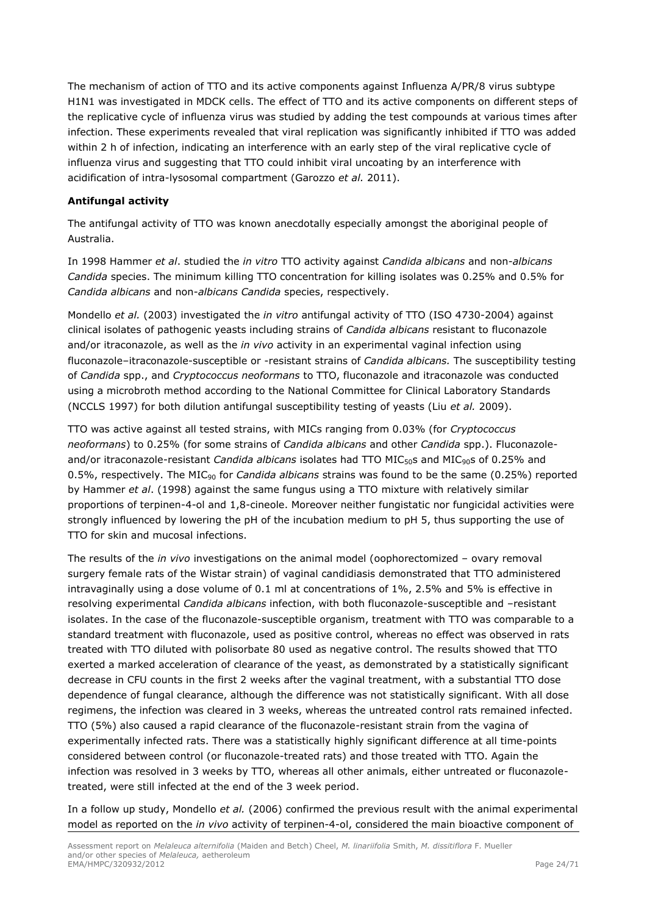The mechanism of action of TTO and its active components against Influenza A/PR/8 virus subtype H1N1 was investigated in MDCK cells. The effect of TTO and its active components on different steps of the replicative cycle of influenza virus was studied by adding the test compounds at various times after infection. These experiments revealed that viral replication was significantly inhibited if TTO was added within 2 h of infection, indicating an interference with an early step of the viral replicative cycle of influenza virus and suggesting that TTO could inhibit viral uncoating by an interference with acidification of intra-lysosomal compartment (Garozzo *et al.* 2011).

## **Antifungal activity**

The antifungal activity of TTO was known anecdotally especially amongst the aboriginal people of Australia.

In 1998 Hammer *et al*. studied the *in vitro* TTO activity against *Candida albicans* and non-*albicans Candida* species. The minimum killing TTO concentration for killing isolates was 0.25% and 0.5% for *Candida albicans* and non-*albicans Candida* species, respectively.

Mondello *et al.* (2003) investigated the *in vitro* antifungal activity of TTO (ISO 4730-2004) against clinical isolates of pathogenic yeasts including strains of *Candida albicans* resistant to fluconazole and/or itraconazole, as well as the *in vivo* activity in an experimental vaginal infection using fluconazole–itraconazole-susceptible or -resistant strains of *Candida albicans.* The susceptibility testing of *Candida* spp., and *Cryptococcus neoformans* to TTO, fluconazole and itraconazole was conducted using a microbroth method according to the National Committee for Clinical Laboratory Standards (NCCLS 1997) for both dilution antifungal susceptibility testing of yeasts (Liu *et al.* 2009).

TTO was active against all tested strains, with MICs ranging from 0.03% (for *Cryptococcus neoformans*) to 0.25% (for some strains of *Candida albicans* and other *Candida* spp.). Fluconazoleand/or itraconazole-resistant *Candida albicans* isolates had TTO MIC<sub>50</sub>s and MIC<sub>90</sub>s of 0.25% and 0.5%, respectively. The MIC<sup>90</sup> for *Candida albicans* strains was found to be the same (0.25%) reported by Hammer *et al*. (1998) against the same fungus using a TTO mixture with relatively similar proportions of terpinen-4-ol and 1,8-cineole. Moreover neither fungistatic nor fungicidal activities were strongly influenced by lowering the pH of the incubation medium to pH 5, thus supporting the use of TTO for skin and mucosal infections.

The results of the *in vivo* investigations on the animal model (oophorectomized – ovary removal surgery female rats of the Wistar strain) of vaginal candidiasis demonstrated that TTO administered intravaginally using a dose volume of 0.1 ml at concentrations of 1%, 2.5% and 5% is effective in resolving experimental *Candida albicans* infection, with both fluconazole-susceptible and –resistant isolates. In the case of the fluconazole-susceptible organism, treatment with TTO was comparable to a standard treatment with fluconazole, used as positive control, whereas no effect was observed in rats treated with TTO diluted with polisorbate 80 used as negative control. The results showed that TTO exerted a marked acceleration of clearance of the yeast, as demonstrated by a statistically significant decrease in CFU counts in the first 2 weeks after the vaginal treatment, with a substantial TTO dose dependence of fungal clearance, although the difference was not statistically significant. With all dose regimens, the infection was cleared in 3 weeks, whereas the untreated control rats remained infected. TTO (5%) also caused a rapid clearance of the fluconazole-resistant strain from the vagina of experimentally infected rats. There was a statistically highly significant difference at all time-points considered between control (or fluconazole-treated rats) and those treated with TTO. Again the infection was resolved in 3 weeks by TTO, whereas all other animals, either untreated or fluconazoletreated, were still infected at the end of the 3 week period.

In a follow up study, Mondello *et al.* (2006) confirmed the previous result with the animal experimental model as reported on the *in vivo* activity of terpinen-4-ol, considered the main bioactive component of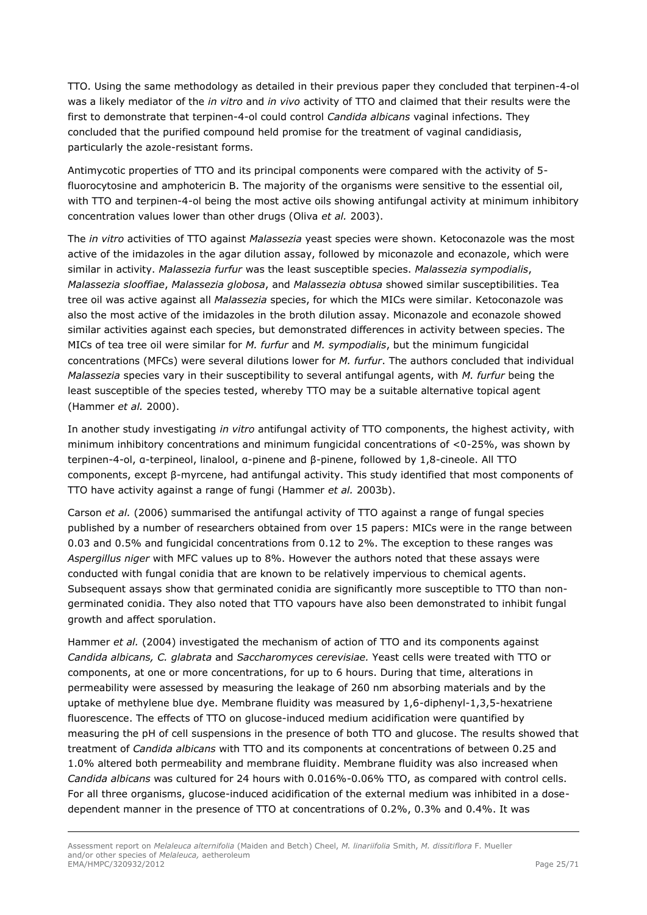TTO. Using the same methodology as detailed in their previous paper they concluded that terpinen-4-ol was a likely mediator of the *in vitro* and *in vivo* activity of TTO and claimed that their results were the first to demonstrate that terpinen-4-ol could control *Candida albicans* vaginal infections. They concluded that the purified compound held promise for the treatment of vaginal candidiasis, particularly the azole-resistant forms.

Antimycotic properties of TTO and its principal components were compared with the activity of 5 fluorocytosine and amphotericin B. The majority of the organisms were sensitive to the essential oil, with TTO and terpinen-4-ol being the most active oils showing antifungal activity at minimum inhibitory concentration values lower than other drugs (Oliva *et al.* 2003).

The *in vitro* activities of TTO against *Malassezia* yeast species were shown. Ketoconazole was the most active of the imidazoles in the agar dilution assay, followed by miconazole and econazole, which were similar in activity. *Malassezia furfur* was the least susceptible species. *Malassezia sympodialis*, *Malassezia slooffiae*, *Malassezia globosa*, and *Malassezia obtusa* showed similar susceptibilities. Tea tree oil was active against all *Malassezia* species, for which the MICs were similar. Ketoconazole was also the most active of the imidazoles in the broth dilution assay. Miconazole and econazole showed similar activities against each species, but demonstrated differences in activity between species. The MICs of tea tree oil were similar for *M. furfur* and *M. sympodialis*, but the minimum fungicidal concentrations (MFCs) were several dilutions lower for *M. furfur*. The authors concluded that individual *Malassezia* species vary in their susceptibility to several antifungal agents, with *M. furfur* being the least susceptible of the species tested, whereby TTO may be a suitable alternative topical agent (Hammer *et al.* 2000).

In another study investigating *in vitro* antifungal activity of TTO components, the highest activity, with minimum inhibitory concentrations and minimum fungicidal concentrations of <0-25%, was shown by terpinen-4-ol, α-terpineol, linalool, α-pinene and β-pinene, followed by 1,8-cineole. All TTO components, except β-myrcene, had antifungal activity. This study identified that most components of TTO have activity against a range of fungi (Hammer *et al.* 2003b).

Carson *et al.* (2006) summarised the antifungal activity of TTO against a range of fungal species published by a number of researchers obtained from over 15 papers: MICs were in the range between 0.03 and 0.5% and fungicidal concentrations from 0.12 to 2%. The exception to these ranges was *Aspergillus niger* with MFC values up to 8%. However the authors noted that these assays were conducted with fungal conidia that are known to be relatively impervious to chemical agents. Subsequent assays show that germinated conidia are significantly more susceptible to TTO than nongerminated conidia. They also noted that TTO vapours have also been demonstrated to inhibit fungal growth and affect sporulation.

Hammer *et al.* (2004) investigated the mechanism of action of TTO and its components against *Candida albicans, C. glabrata* and *Saccharomyces cerevisiae.* Yeast cells were treated with TTO or components, at one or more concentrations, for up to 6 hours. During that time, alterations in permeability were assessed by measuring the leakage of 260 nm absorbing materials and by the uptake of methylene blue dye. Membrane fluidity was measured by 1,6-diphenyl-1,3,5-hexatriene fluorescence. The effects of TTO on glucose-induced medium acidification were quantified by measuring the pH of cell suspensions in the presence of both TTO and glucose. The results showed that treatment of *Candida albicans* with TTO and its components at concentrations of between 0.25 and 1.0% altered both permeability and membrane fluidity. Membrane fluidity was also increased when *Candida albicans* was cultured for 24 hours with 0.016%-0.06% TTO, as compared with control cells. For all three organisms, glucose-induced acidification of the external medium was inhibited in a dosedependent manner in the presence of TTO at concentrations of 0.2%, 0.3% and 0.4%. It was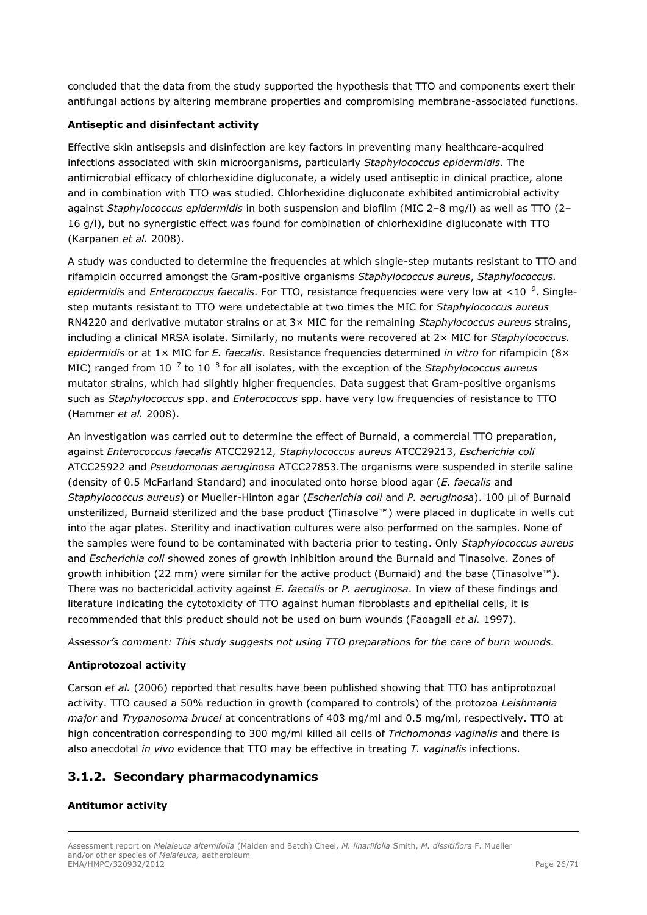concluded that the data from the study supported the hypothesis that TTO and components exert their antifungal actions by altering membrane properties and compromising membrane-associated functions.

### **Antiseptic and disinfectant activity**

Effective skin antisepsis and disinfection are key factors in preventing many healthcare-acquired infections associated with skin microorganisms, particularly *Staphylococcus epidermidis*. The antimicrobial efficacy of chlorhexidine digluconate, a widely used antiseptic in clinical practice, alone and in combination with TTO was studied. Chlorhexidine digluconate exhibited antimicrobial activity against *Staphylococcus epidermidis* in both suspension and biofilm (MIC 2–8 mg/l) as well as TTO (2– 16 g/l), but no synergistic effect was found for combination of chlorhexidine digluconate with TTO (Karpanen *et al.* 2008).

A study was conducted to determine the frequencies at which single-step mutants resistant to TTO and rifampicin occurred amongst the Gram-positive organisms *Staphylococcus aureus*, *Staphylococcus. epidermidis* and *Enterococcus faecalis*. For TTO, resistance frequencies were very low at <10<sup>−</sup><sup>9</sup> . Singlestep mutants resistant to TTO were undetectable at two times the MIC for *Staphylococcus aureus*  RN4220 and derivative mutator strains or at 3× MIC for the remaining *Staphylococcus aureus* strains, including a clinical MRSA isolate. Similarly, no mutants were recovered at 2× MIC for *Staphylococcus. epidermidis* or at 1× MIC for *E. faecalis*. Resistance frequencies determined *in vitro* for rifampicin (8× MIC) ranged from 10<sup>−</sup><sup>7</sup> to 10<sup>−</sup><sup>8</sup> for all isolates, with the exception of the *Staphylococcus aureus* mutator strains, which had slightly higher frequencies. Data suggest that Gram-positive organisms such as *Staphylococcus* spp. and *Enterococcus* spp. have very low frequencies of resistance to TTO (Hammer *et al.* 2008).

An investigation was carried out to determine the effect of Burnaid, a commercial TTO preparation, against *Enterococcus faecalis* ATCC29212, *Staphylococcus aureus* ATCC29213, *Escherichia coli* ATCC25922 and *Pseudomonas aeruginosa* ATCC27853.The organisms were suspended in sterile saline (density of 0.5 McFarland Standard) and inoculated onto horse blood agar (*E. faecalis* and *Staphylococcus aureus*) or Mueller-Hinton agar (*Escherichia coli* and *P. aeruginosa*). 100 µl of Burnaid unsterilized, Burnaid sterilized and the base product (Tinasolve™) were placed in duplicate in wells cut into the agar plates. Sterility and inactivation cultures were also performed on the samples. None of the samples were found to be contaminated with bacteria prior to testing. Only *Staphylococcus aureus* and *Escherichia coli* showed zones of growth inhibition around the Burnaid and Tinasolve. Zones of growth inhibition (22 mm) were similar for the active product (Burnaid) and the base (Tinasolve™). There was no bactericidal activity against *E. faecalis* or *P. aeruginosa*. In view of these findings and literature indicating the cytotoxicity of TTO against human fibroblasts and epithelial cells, it is recommended that this product should not be used on burn wounds (Faoagali *et al.* 1997).

*Assessor's comment: This study suggests not using TTO preparations for the care of burn wounds.*

### **Antiprotozoal activity**

Carson *et al.* (2006) reported that results have been published showing that TTO has antiprotozoal activity. TTO caused a 50% reduction in growth (compared to controls) of the protozoa *Leishmania major* and *Trypanosoma brucei* at concentrations of 403 mg/ml and 0.5 mg/ml, respectively. TTO at high concentration corresponding to 300 mg/ml killed all cells of *Trichomonas vaginalis* and there is also anecdotal *in vivo* evidence that TTO may be effective in treating *T. vaginalis* infections.

# <span id="page-25-0"></span>**3.1.2. Secondary pharmacodynamics**

# **Antitumor activity**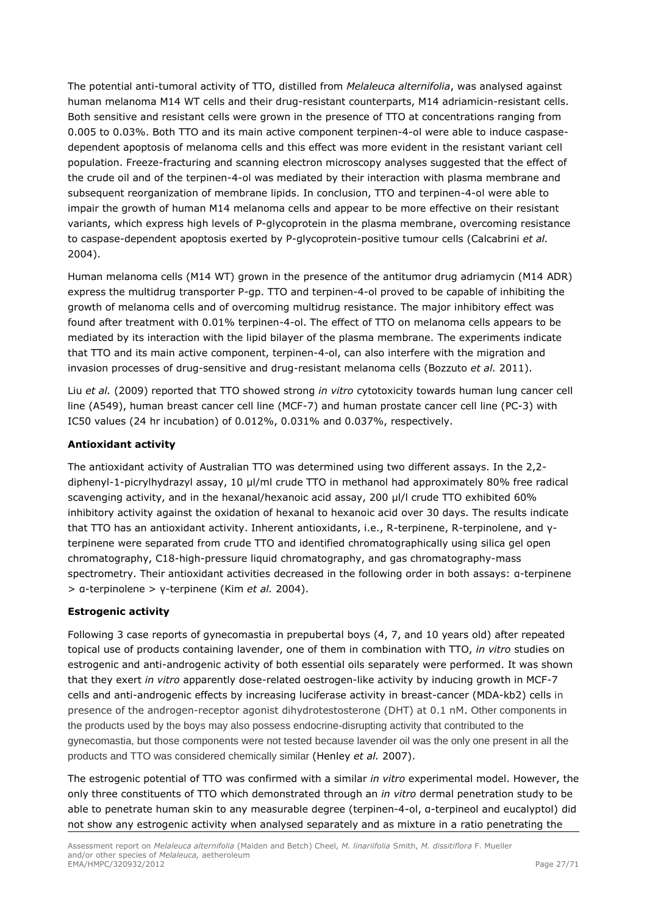The potential anti-tumoral activity of TTO, distilled from *Melaleuca alternifolia*, was analysed against human melanoma M14 WT cells and their drug-resistant counterparts, M14 adriamicin-resistant cells. Both sensitive and resistant cells were grown in the presence of TTO at concentrations ranging from 0.005 to 0.03%. Both TTO and its main active component terpinen-4-ol were able to induce caspasedependent apoptosis of melanoma cells and this effect was more evident in the resistant variant cell population. Freeze-fracturing and scanning electron microscopy analyses suggested that the effect of the crude oil and of the terpinen-4-ol was mediated by their interaction with plasma membrane and subsequent reorganization of membrane lipids. In conclusion, TTO and terpinen-4-ol were able to impair the growth of human M14 melanoma cells and appear to be more effective on their resistant variants, which express high levels of P-glycoprotein in the plasma membrane, overcoming resistance to caspase-dependent apoptosis exerted by P-glycoprotein-positive tumour cells (Calcabrini *et al.*  2004).

Human melanoma cells (M14 WT) grown in the presence of the antitumor drug adriamycin (M14 ADR) express the multidrug transporter P-gp. TTO and terpinen-4-ol proved to be capable of inhibiting the growth of melanoma cells and of overcoming multidrug resistance. The major inhibitory effect was found after treatment with 0.01% terpinen-4-ol. The effect of TTO on melanoma cells appears to be mediated by its interaction with the lipid bilayer of the plasma membrane. The experiments indicate that TTO and its main active component, terpinen-4-ol, can also interfere with the migration and invasion processes of drug-sensitive and drug-resistant melanoma cells (Bozzuto *et al.* 2011).

Liu *et al.* (2009) reported that TTO showed strong *in vitro* cytotoxicity towards human lung cancer cell line (A549), human breast cancer cell line (MCF-7) and human prostate cancer cell line (PC-3) with IC50 values (24 hr incubation) of 0.012%, 0.031% and 0.037%, respectively.

## **Antioxidant activity**

The antioxidant activity of Australian TTO was determined using two different assays. In the 2,2 diphenyl-1-picrylhydrazyl assay, 10 µl/ml crude TTO in methanol had approximately 80% free radical scavenging activity, and in the hexanal/hexanoic acid assay, 200 µl/l crude TTO exhibited 60% inhibitory activity against the oxidation of hexanal to hexanoic acid over 30 days. The results indicate that TTO has an antioxidant activity. Inherent antioxidants, i.e., R-terpinene, R-terpinolene, and γterpinene were separated from crude TTO and identified chromatographically using silica gel open chromatography, C18-high-pressure liquid chromatography, and gas chromatography-mass spectrometry. Their antioxidant activities decreased in the following order in both assays: α-terpinene > α-terpinolene > γ-terpinene (Kim *et al.* 2004).

### **Estrogenic activity**

Following 3 case reports of gynecomastia in prepubertal boys (4, 7, and 10 years old) after repeated topical use of products containing lavender, one of them in combination with TTO, *in vitro* studies on estrogenic and anti-androgenic activity of both essential oils separately were performed. It was shown that they exert *in vitro* apparently dose-related oestrogen-like activity by inducing growth in MCF-7 cells and anti-androgenic effects by increasing luciferase activity in breast-cancer (MDA-kb2) cells in presence of the androgen-receptor agonist dihydrotestosterone (DHT) at 0.1 nM. Other components in the products used by the boys may also possess endocrine-disrupting activity that contributed to the gynecomastia, but those components were not tested because lavender oil was the only one present in all the products and TTO was considered chemically similar (Henley *et al.* 2007).

The estrogenic potential of TTO was confirmed with a similar *in vitro* experimental model. However, the only three constituents of TTO which demonstrated through an *in vitro* dermal penetration study to be able to penetrate human skin to any measurable degree (terpinen-4-ol, α-terpineol and eucalyptol) did not show any estrogenic activity when analysed separately and as mixture in a ratio penetrating the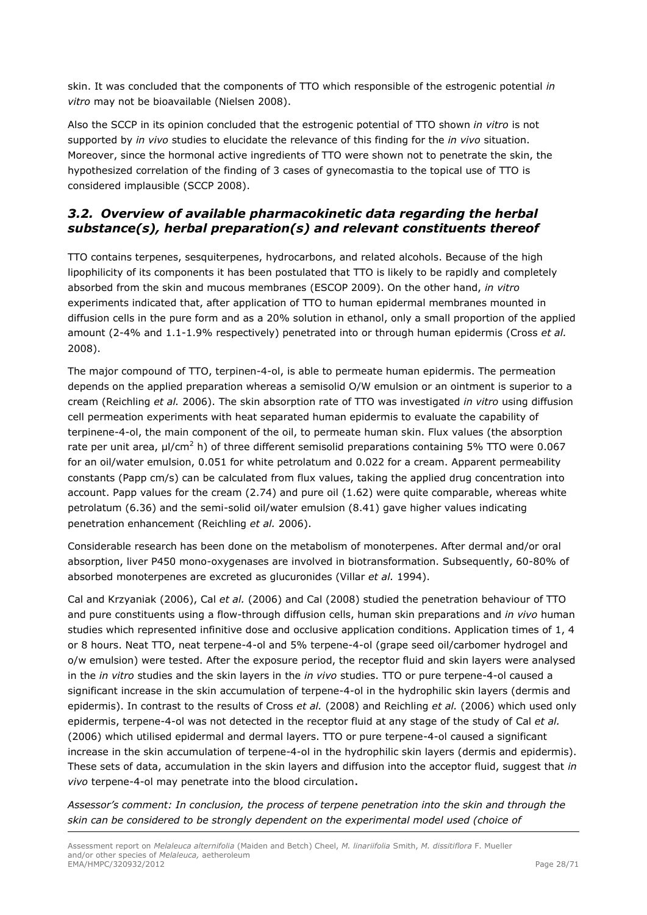skin. It was concluded that the components of TTO which responsible of the estrogenic potential *in vitro* may not be bioavailable (Nielsen 2008).

Also the SCCP in its opinion concluded that the estrogenic potential of TTO shown *in vitro* is not supported by *in vivo* studies to elucidate the relevance of this finding for the *in vivo* situation. Moreover, since the hormonal active ingredients of TTO were shown not to penetrate the skin, the hypothesized correlation of the finding of 3 cases of gynecomastia to the topical use of TTO is considered implausible (SCCP 2008).

# <span id="page-27-0"></span>*3.2. Overview of available pharmacokinetic data regarding the herbal substance(s), herbal preparation(s) and relevant constituents thereof*

TTO contains terpenes, sesquiterpenes, hydrocarbons, and related alcohols. Because of the high lipophilicity of its components it has been postulated that TTO is likely to be rapidly and completely absorbed from the skin and mucous membranes (ESCOP 2009). On the other hand, *in vitro* experiments indicated that, after application of TTO to human epidermal membranes mounted in diffusion cells in the pure form and as a 20% solution in ethanol, only a small proportion of the applied amount (2-4% and 1.1-1.9% respectively) penetrated into or through human epidermis (Cross *et al.* 2008).

The major compound of TTO, terpinen-4-ol, is able to permeate human epidermis. The permeation depends on the applied preparation whereas a semisolid O/W emulsion or an ointment is superior to a cream (Reichling *et al.* 2006). The skin absorption rate of TTO was investigated *in vitro* using diffusion cell permeation experiments with heat separated human epidermis to evaluate the capability of terpinene-4-ol, the main component of the oil, to permeate human skin. Flux values (the absorption rate per unit area,  $\mu$ /cm<sup>2</sup> h) of three different semisolid preparations containing 5% TTO were 0.067 for an oil/water emulsion, 0.051 for white petrolatum and 0.022 for a cream. Apparent permeability constants (Papp cm/s) can be calculated from flux values, taking the applied drug concentration into account. Papp values for the cream (2.74) and pure oil (1.62) were quite comparable, whereas white petrolatum (6.36) and the semi-solid oil/water emulsion (8.41) gave higher values indicating penetration enhancement (Reichling *et al.* 2006).

Considerable research has been done on the metabolism of monoterpenes. After dermal and/or oral absorption, liver P450 mono-oxygenases are involved in biotransformation. Subsequently, 60-80% of absorbed monoterpenes are excreted as glucuronides (Villar *et al.* 1994).

Cal and Krzyaniak (2006), Cal *et al.* (2006) and Cal (2008) studied the penetration behaviour of TTO and pure constituents using a flow-through diffusion cells, human skin preparations and *in vivo* human studies which represented infinitive dose and occlusive application conditions. Application times of 1, 4 or 8 hours. Neat TTO, neat terpene-4-ol and 5% terpene-4-ol (grape seed oil/carbomer hydrogel and o/w emulsion) were tested. After the exposure period, the receptor fluid and skin layers were analysed in the *in vitro* studies and the skin layers in the *in vivo* studies. TTO or pure terpene-4-ol caused a significant increase in the skin accumulation of terpene-4-ol in the hydrophilic skin layers (dermis and epidermis). In contrast to the results of Cross *et al.* (2008) and Reichling *et al.* (2006) which used only epidermis, terpene-4-ol was not detected in the receptor fluid at any stage of the study of Cal *et al.* (2006) which utilised epidermal and dermal layers. TTO or pure terpene-4-ol caused a significant increase in the skin accumulation of terpene-4-ol in the hydrophilic skin layers (dermis and epidermis). These sets of data, accumulation in the skin layers and diffusion into the acceptor fluid, suggest that *in vivo* terpene-4-ol may penetrate into the blood circulation.

*Assessor's comment: In conclusion, the process of terpene penetration into the skin and through the skin can be considered to be strongly dependent on the experimental model used (choice of*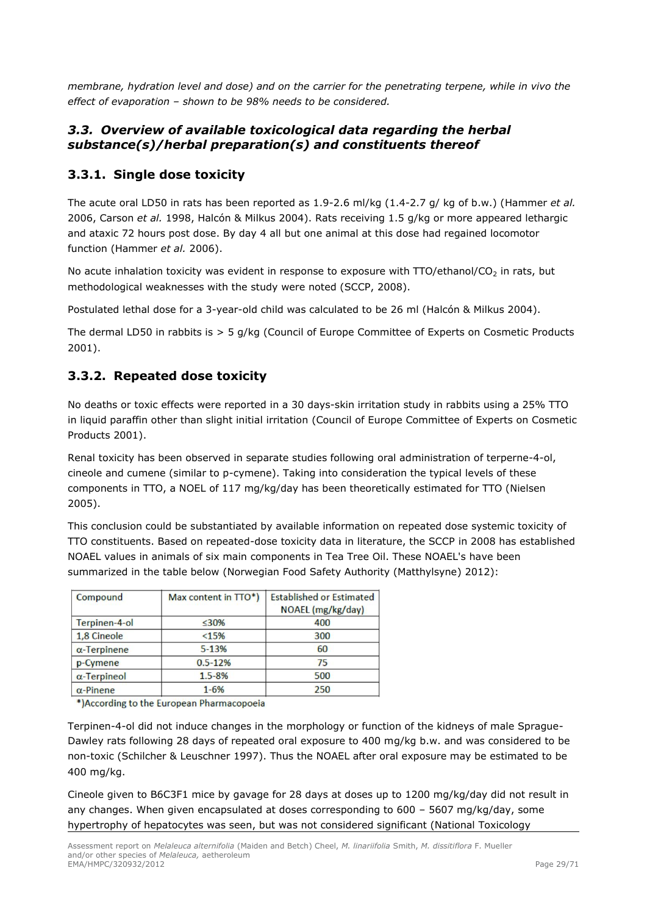*membrane, hydration level and dose) and on the carrier for the penetrating terpene, while in vivo the effect of evaporation – shown to be 98% needs to be considered.*

# <span id="page-28-0"></span>*3.3. Overview of available toxicological data regarding the herbal substance(s)/herbal preparation(s) and constituents thereof*

# <span id="page-28-1"></span>**3.3.1. Single dose toxicity**

The acute oral LD50 in rats has been reported as 1.9-2.6 ml/kg (1.4-2.7 g/ kg of b.w.) (Hammer *et al.* 2006, Carson *et al.* 1998, Halcón & Milkus 2004). Rats receiving 1.5 g/kg or more appeared lethargic and ataxic 72 hours post dose. By day 4 all but one animal at this dose had regained locomotor function (Hammer *et al.* 2006).

No acute inhalation toxicity was evident in response to exposure with  $TTO/ethanol/CO<sub>2</sub>$  in rats, but methodological weaknesses with the study were noted (SCCP, 2008).

Postulated lethal dose for a 3-year-old child was calculated to be 26 ml (Halcón & Milkus 2004).

The dermal LD50 in rabbits is > 5 g/kg (Council of Europe Committee of Experts on Cosmetic Products 2001).

# <span id="page-28-2"></span>**3.3.2. Repeated dose toxicity**

No deaths or toxic effects were reported in a 30 days-skin irritation study in rabbits using a 25% TTO in liquid paraffin other than slight initial irritation (Council of Europe Committee of Experts on Cosmetic Products 2001).

Renal toxicity has been observed in separate studies following oral administration of terperne-4-ol, cineole and cumene (similar to p-cymene). Taking into consideration the typical levels of these components in TTO, a NOEL of 117 mg/kg/day has been theoretically estimated for TTO (Nielsen 2005).

This conclusion could be substantiated by available information on repeated dose systemic toxicity of TTO constituents. Based on repeated-dose toxicity data in literature, the SCCP in 2008 has established NOAEL values in animals of six main components in Tea Tree Oil. These NOAEL's have been summarized in the table below (Norwegian Food Safety Authority (Matthylsyne) 2012):

| Compound            | Max content in $TTO^*$ ) | <b>Established or Estimated</b><br>NOAEL (mg/kg/day) |
|---------------------|--------------------------|------------------------------------------------------|
| Terpinen-4-ol       | $< 30\%$                 | 400                                                  |
| 1,8 Cineole         | < 15%                    | 300                                                  |
| $\alpha$ -Terpinene | 5-13%                    | 60                                                   |
| p-Cymene            | $0.5 - 12%$              | 75                                                   |
| $\alpha$ -Terpineol | 1.5-8%                   | 500                                                  |
| $\alpha$ -Pinene    | $1 - 6%$                 | 250                                                  |

\*) According to the European Pharmacopoeia

Terpinen-4-ol did not induce changes in the morphology or function of the kidneys of male Sprague-Dawley rats following 28 days of repeated oral exposure to 400 mg/kg b.w. and was considered to be non-toxic (Schilcher & Leuschner 1997). Thus the NOAEL after oral exposure may be estimated to be 400 mg/kg.

Cineole given to B6C3F1 mice by gavage for 28 days at doses up to 1200 mg/kg/day did not result in any changes. When given encapsulated at doses corresponding to 600 – 5607 mg/kg/day, some hypertrophy of hepatocytes was seen, but was not considered significant (National Toxicology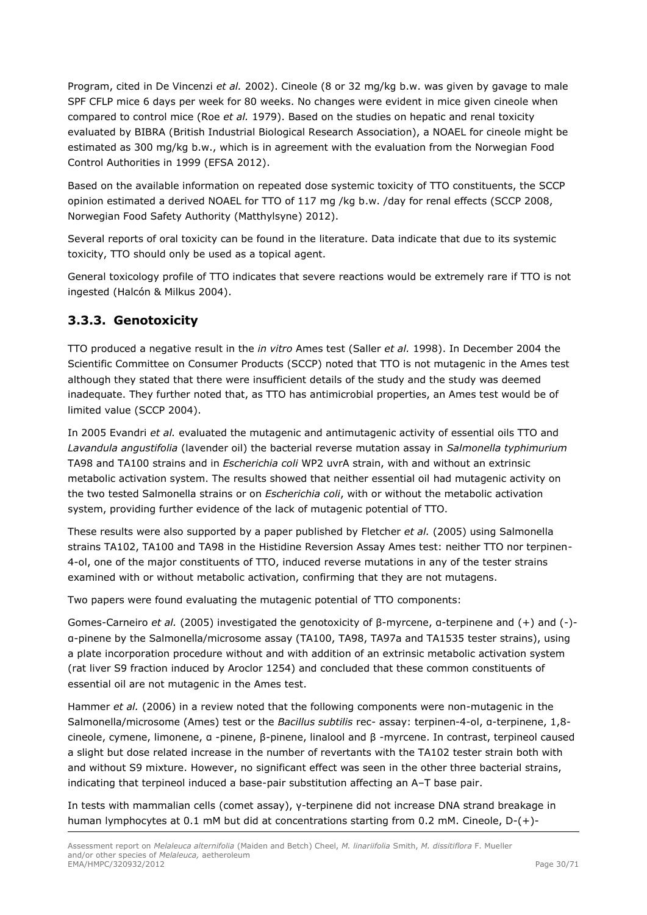Program, cited in De Vincenzi *et al.* 2002). Cineole (8 or 32 mg/kg b.w. was given by gavage to male SPF CFLP mice 6 days per week for 80 weeks. No changes were evident in mice given cineole when compared to control mice (Roe *et al.* 1979). Based on the studies on hepatic and renal toxicity evaluated by BIBRA (British Industrial Biological Research Association), a NOAEL for cineole might be estimated as 300 mg/kg b.w., which is in agreement with the evaluation from the Norwegian Food Control Authorities in 1999 (EFSA 2012).

Based on the available information on repeated dose systemic toxicity of TTO constituents, the SCCP opinion estimated a derived NOAEL for TTO of 117 mg /kg b.w. /day for renal effects (SCCP 2008, Norwegian Food Safety Authority (Matthylsyne) 2012).

Several reports of oral toxicity can be found in the literature. Data indicate that due to its systemic toxicity, TTO should only be used as a topical agent.

General toxicology profile of TTO indicates that severe reactions would be extremely rare if TTO is not ingested (Halcón & Milkus 2004).

# <span id="page-29-0"></span>**3.3.3. Genotoxicity**

TTO produced a negative result in the *in vitro* Ames test (Saller *et al.* 1998). In December 2004 the Scientific Committee on Consumer Products (SCCP) noted that TTO is not mutagenic in the Ames test although they stated that there were insufficient details of the study and the study was deemed inadequate. They further noted that, as TTO has antimicrobial properties, an Ames test would be of limited value (SCCP 2004).

In 2005 Evandri *et al.* evaluated the mutagenic and antimutagenic activity of essential oils TTO and *Lavandula angustifolia* (lavender oil) the bacterial reverse mutation assay in *Salmonella typhimurium*  TA98 and TA100 strains and in *Escherichia coli* WP2 uvrA strain, with and without an extrinsic metabolic activation system. The results showed that neither essential oil had mutagenic activity on the two tested Salmonella strains or on *Escherichia coli*, with or without the metabolic activation system, providing further evidence of the lack of mutagenic potential of TTO.

These results were also supported by a paper published by Fletcher *et al.* (2005) using Salmonella strains TA102, TA100 and TA98 in the Histidine Reversion Assay Ames test: neither TTO nor terpinen-4-ol, one of the major constituents of TTO, induced reverse mutations in any of the tester strains examined with or without metabolic activation, confirming that they are not mutagens.

Two papers were found evaluating the mutagenic potential of TTO components:

Gomes-Carneiro *et al.* (2005) investigated the genotoxicity of β-myrcene, α-terpinene and (+) and (-) α-pinene by the Salmonella/microsome assay (TA100, TA98, TA97a and TA1535 tester strains), using a plate incorporation procedure without and with addition of an extrinsic metabolic activation system (rat liver S9 fraction induced by Aroclor 1254) and concluded that these common constituents of essential oil are not mutagenic in the Ames test.

Hammer *et al.* (2006) in a review noted that the following components were non-mutagenic in the Salmonella/microsome (Ames) test or the *Bacillus subtilis* rec- assay: terpinen-4-ol, α-terpinene, 1,8 cineole, cymene, limonene, α -pinene, β-pinene, linalool and β -myrcene. In contrast, terpineol caused a slight but dose related increase in the number of revertants with the TA102 tester strain both with and without S9 mixture. However, no significant effect was seen in the other three bacterial strains, indicating that terpineol induced a base-pair substitution affecting an A–T base pair.

In tests with mammalian cells (comet assay), γ-terpinene did not increase DNA strand breakage in human lymphocytes at 0.1 mM but did at concentrations starting from 0.2 mM. Cineole, D-(+)-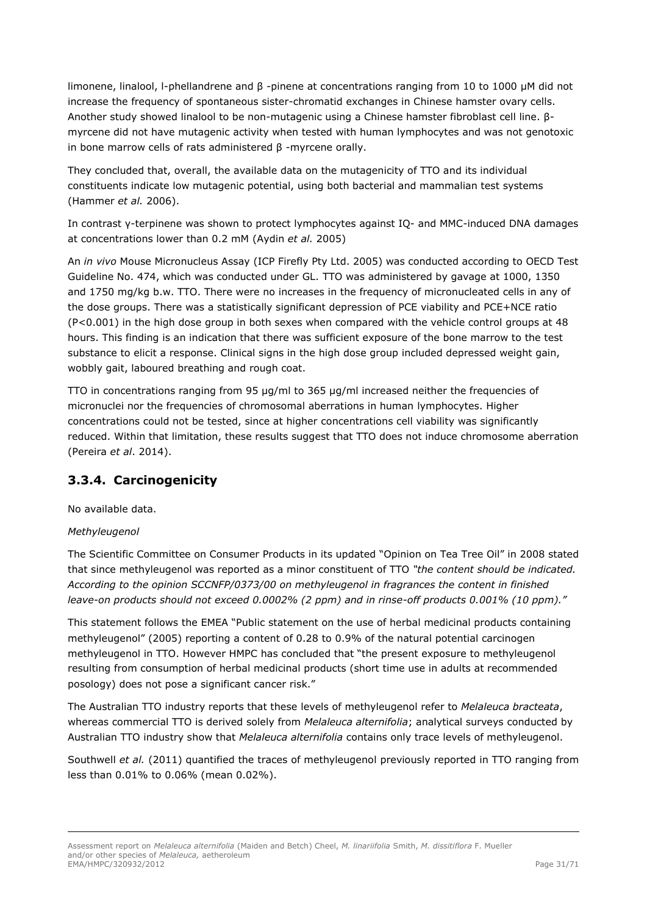limonene, linalool, l-phellandrene and β -pinene at concentrations ranging from 10 to 1000 μM did not increase the frequency of spontaneous sister-chromatid exchanges in Chinese hamster ovary cells. Another study showed linalool to be non-mutagenic using a Chinese hamster fibroblast cell line. βmyrcene did not have mutagenic activity when tested with human lymphocytes and was not genotoxic in bone marrow cells of rats administered β -myrcene orally.

They concluded that, overall, the available data on the mutagenicity of TTO and its individual constituents indicate low mutagenic potential, using both bacterial and mammalian test systems (Hammer *et al.* 2006).

In contrast γ-terpinene was shown to protect lymphocytes against IQ- and MMC-induced DNA damages at concentrations lower than 0.2 mM (Aydin *et al.* 2005)

An *in vivo* Mouse Micronucleus Assay (ICP Firefly Pty Ltd. 2005) was conducted according to OECD Test Guideline No. 474, which was conducted under GL. TTO was administered by gavage at 1000, 1350 and 1750 mg/kg b.w. TTO. There were no increases in the frequency of micronucleated cells in any of the dose groups. There was a statistically significant depression of PCE viability and PCE+NCE ratio (P<0.001) in the high dose group in both sexes when compared with the vehicle control groups at 48 hours. This finding is an indication that there was sufficient exposure of the bone marrow to the test substance to elicit a response. Clinical signs in the high dose group included depressed weight gain, wobbly gait, laboured breathing and rough coat.

TTO in concentrations ranging from 95 μg/ml to 365 μg/ml increased neither the frequencies of micronuclei nor the frequencies of chromosomal aberrations in human lymphocytes. Higher concentrations could not be tested, since at higher concentrations cell viability was significantly reduced. Within that limitation, these results suggest that TTO does not induce chromosome aberration (Pereira *et al*. 2014).

# <span id="page-30-0"></span>**3.3.4. Carcinogenicity**

No available data.

# *Methyleugenol*

The Scientific Committee on Consumer Products in its updated "Opinion on Tea Tree Oil" in 2008 stated that since methyleugenol was reported as a minor constituent of TTO *"the content should be indicated. According to the opinion SCCNFP/0373/00 on methyleugenol in fragrances the content in finished leave-on products should not exceed 0.0002% (2 ppm) and in rinse-off products 0.001% (10 ppm)."* 

This statement follows the EMEA "Public statement on the use of herbal medicinal products containing methyleugenol" (2005) reporting a content of 0.28 to 0.9% of the natural potential carcinogen methyleugenol in TTO. However HMPC has concluded that "the present exposure to methyleugenol resulting from consumption of herbal medicinal products (short time use in adults at recommended posology) does not pose a significant cancer risk."

The Australian TTO industry reports that these levels of methyleugenol refer to *Melaleuca bracteata*, whereas commercial TTO is derived solely from *Melaleuca alternifolia*; analytical surveys conducted by Australian TTO industry show that *Melaleuca alternifolia* contains only trace levels of methyleugenol.

Southwell *et al.* (2011) quantified the traces of methyleugenol previously reported in TTO ranging from less than 0.01% to 0.06% (mean 0.02%).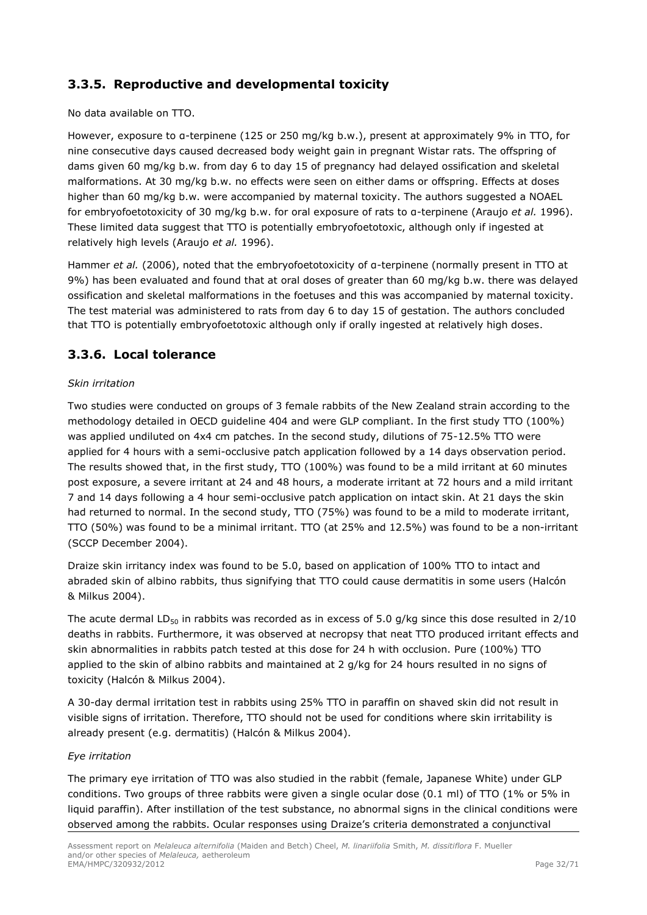# <span id="page-31-0"></span>**3.3.5. Reproductive and developmental toxicity**

No data available on TTO.

However, exposure to α-terpinene (125 or 250 mg/kg b.w.), present at approximately 9% in TTO, for nine consecutive days caused decreased body weight gain in pregnant Wistar rats. The offspring of dams given 60 mg/kg b.w. from day 6 to day 15 of pregnancy had delayed ossification and skeletal malformations. At 30 mg/kg b.w. no effects were seen on either dams or offspring. Effects at doses higher than 60 mg/kg b.w. were accompanied by maternal toxicity. The authors suggested a NOAEL for embryofoetotoxicity of 30 mg/kg b.w. for oral exposure of rats to α-terpinene (Araujo *et al.* 1996). These limited data suggest that TTO is potentially embryofoetotoxic, although only if ingested at relatively high levels (Araujo *et al.* 1996).

Hammer *et al.* (2006), noted that the embryofoetotoxicity of a-terpinene (normally present in TTO at 9%) has been evaluated and found that at oral doses of greater than 60 mg/kg b.w. there was delayed ossification and skeletal malformations in the foetuses and this was accompanied by maternal toxicity. The test material was administered to rats from day 6 to day 15 of gestation. The authors concluded that TTO is potentially embryofoetotoxic although only if orally ingested at relatively high doses.

# <span id="page-31-1"></span>**3.3.6. Local tolerance**

### *Skin irritation*

Two studies were conducted on groups of 3 female rabbits of the New Zealand strain according to the methodology detailed in OECD guideline 404 and were GLP compliant. In the first study TTO (100%) was applied undiluted on 4x4 cm patches. In the second study, dilutions of 75-12.5% TTO were applied for 4 hours with a semi-occlusive patch application followed by a 14 days observation period. The results showed that, in the first study, TTO (100%) was found to be a mild irritant at 60 minutes post exposure, a severe irritant at 24 and 48 hours, a moderate irritant at 72 hours and a mild irritant 7 and 14 days following a 4 hour semi-occlusive patch application on intact skin. At 21 days the skin had returned to normal. In the second study, TTO (75%) was found to be a mild to moderate irritant, TTO (50%) was found to be a minimal irritant. TTO (at 25% and 12.5%) was found to be a non-irritant (SCCP December 2004).

Draize skin irritancy index was found to be 5.0, based on application of 100% TTO to intact and abraded skin of albino rabbits, thus signifying that TTO could cause dermatitis in some users (Halcón & Milkus 2004).

The acute dermal LD<sub>50</sub> in rabbits was recorded as in excess of 5.0 g/kg since this dose resulted in  $2/10$ deaths in rabbits. Furthermore, it was observed at necropsy that neat TTO produced irritant effects and skin abnormalities in rabbits patch tested at this dose for 24 h with occlusion. Pure (100%) TTO applied to the skin of albino rabbits and maintained at 2 g/kg for 24 hours resulted in no signs of toxicity (Halcón & Milkus 2004).

A 30-day dermal irritation test in rabbits using 25% TTO in paraffin on shaved skin did not result in visible signs of irritation. Therefore, TTO should not be used for conditions where skin irritability is already present (e.g. dermatitis) (Halcón & Milkus 2004).

### *Eye irritation*

The primary eye irritation of TTO was also studied in the rabbit (female, Japanese White) under GLP conditions. Two groups of three rabbits were given a single ocular dose (0.1 ml) of TTO (1% or 5% in liquid paraffin). After instillation of the test substance, no abnormal signs in the clinical conditions were observed among the rabbits. Ocular responses using Draize's criteria demonstrated a conjunctival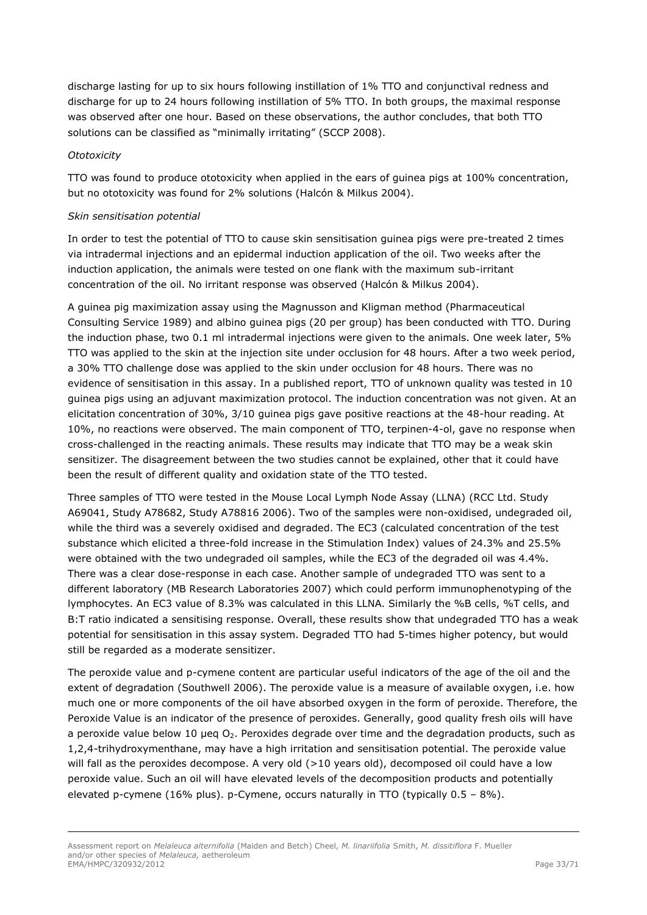discharge lasting for up to six hours following instillation of 1% TTO and conjunctival redness and discharge for up to 24 hours following instillation of 5% TTO. In both groups, the maximal response was observed after one hour. Based on these observations, the author concludes, that both TTO solutions can be classified as "minimally irritating" (SCCP 2008).

#### *Ototoxicity*

TTO was found to produce ototoxicity when applied in the ears of guinea pigs at 100% concentration, but no ototoxicity was found for 2% solutions (Halcón & Milkus 2004).

#### *Skin sensitisation potential*

In order to test the potential of TTO to cause skin sensitisation guinea pigs were pre-treated 2 times via intradermal injections and an epidermal induction application of the oil. Two weeks after the induction application, the animals were tested on one flank with the maximum sub-irritant concentration of the oil. No irritant response was observed (Halcón & Milkus 2004).

A guinea pig maximization assay using the Magnusson and Kligman method (Pharmaceutical Consulting Service 1989) and albino guinea pigs (20 per group) has been conducted with TTO. During the induction phase, two 0.1 ml intradermal injections were given to the animals. One week later, 5% TTO was applied to the skin at the injection site under occlusion for 48 hours. After a two week period, a 30% TTO challenge dose was applied to the skin under occlusion for 48 hours. There was no evidence of sensitisation in this assay. In a published report, TTO of unknown quality was tested in 10 guinea pigs using an adjuvant maximization protocol. The induction concentration was not given. At an elicitation concentration of 30%, 3/10 guinea pigs gave positive reactions at the 48-hour reading. At 10%, no reactions were observed. The main component of TTO, terpinen-4-ol, gave no response when cross-challenged in the reacting animals. These results may indicate that TTO may be a weak skin sensitizer. The disagreement between the two studies cannot be explained, other that it could have been the result of different quality and oxidation state of the TTO tested.

Three samples of TTO were tested in the Mouse Local Lymph Node Assay (LLNA) (RCC Ltd. Study A69041, Study A78682, Study A78816 2006). Two of the samples were non-oxidised, undegraded oil, while the third was a severely oxidised and degraded. The EC3 (calculated concentration of the test substance which elicited a three-fold increase in the Stimulation Index) values of 24.3% and 25.5% were obtained with the two undegraded oil samples, while the EC3 of the degraded oil was 4.4%. There was a clear dose-response in each case. Another sample of undegraded TTO was sent to a different laboratory (MB Research Laboratories 2007) which could perform immunophenotyping of the lymphocytes. An EC3 value of 8.3% was calculated in this LLNA. Similarly the %B cells, %T cells, and B:T ratio indicated a sensitising response. Overall, these results show that undegraded TTO has a weak potential for sensitisation in this assay system. Degraded TTO had 5-times higher potency, but would still be regarded as a moderate sensitizer.

The peroxide value and p-cymene content are particular useful indicators of the age of the oil and the extent of degradation (Southwell 2006). The peroxide value is a measure of available oxygen, i.e. how much one or more components of the oil have absorbed oxygen in the form of peroxide. Therefore, the Peroxide Value is an indicator of the presence of peroxides. Generally, good quality fresh oils will have a peroxide value below 10 µeq  $O<sub>2</sub>$ . Peroxides degrade over time and the degradation products, such as 1,2,4-trihydroxymenthane, may have a high irritation and sensitisation potential. The peroxide value will fall as the peroxides decompose. A very old (>10 years old), decomposed oil could have a low peroxide value. Such an oil will have elevated levels of the decomposition products and potentially elevated p-cymene (16% plus). p-Cymene, occurs naturally in TTO (typically  $0.5 - 8\%$ ).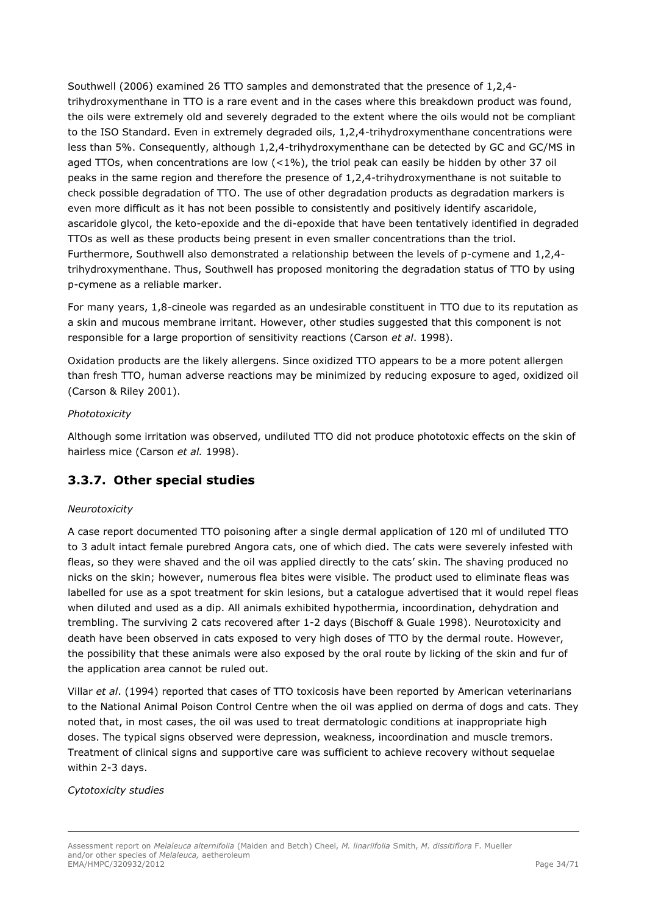Southwell (2006) examined 26 TTO samples and demonstrated that the presence of 1,2,4 trihydroxymenthane in TTO is a rare event and in the cases where this breakdown product was found, the oils were extremely old and severely degraded to the extent where the oils would not be compliant to the ISO Standard. Even in extremely degraded oils, 1,2,4-trihydroxymenthane concentrations were less than 5%. Consequently, although 1,2,4-trihydroxymenthane can be detected by GC and GC/MS in aged TTOs, when concentrations are low  $(<1%)$ , the triol peak can easily be hidden by other 37 oil peaks in the same region and therefore the presence of 1,2,4-trihydroxymenthane is not suitable to check possible degradation of TTO. The use of other degradation products as degradation markers is even more difficult as it has not been possible to consistently and positively identify ascaridole, ascaridole glycol, the keto-epoxide and the di-epoxide that have been tentatively identified in degraded TTOs as well as these products being present in even smaller concentrations than the triol. Furthermore, Southwell also demonstrated a relationship between the levels of p-cymene and 1,2,4 trihydroxymenthane. Thus, Southwell has proposed monitoring the degradation status of TTO by using p-cymene as a reliable marker.

For many years, 1,8-cineole was regarded as an undesirable constituent in TTO due to its reputation as a skin and mucous membrane irritant. However, other studies suggested that this component is not responsible for a large proportion of sensitivity reactions (Carson *et al*. 1998).

Oxidation products are the likely allergens. Since oxidized TTO appears to be a more potent allergen than fresh TTO, human adverse reactions may be minimized by reducing exposure to aged, oxidized oil (Carson & Riley 2001).

## *Phototoxicity*

Although some irritation was observed, undiluted TTO did not produce phototoxic effects on the skin of hairless mice (Carson *et al.* 1998).

# <span id="page-33-0"></span>**3.3.7. Other special studies**

### *Neurotoxicity*

A case report documented TTO poisoning after a single dermal application of 120 ml of undiluted TTO to 3 adult intact female purebred Angora cats, one of which died. The cats were severely infested with fleas, so they were shaved and the oil was applied directly to the cats' skin. The shaving produced no nicks on the skin; however, numerous flea bites were visible. The product used to eliminate fleas was labelled for use as a spot treatment for skin lesions, but a catalogue advertised that it would repel fleas when diluted and used as a dip. All animals exhibited hypothermia, incoordination, dehydration and trembling. The surviving 2 cats recovered after 1-2 days (Bischoff & Guale 1998). Neurotoxicity and death have been observed in cats exposed to very high doses of TTO by the dermal route. However, the possibility that these animals were also exposed by the oral route by licking of the skin and fur of the application area cannot be ruled out.

Villar *et al*. (1994) reported that cases of TTO toxicosis have been reported by American veterinarians to the National Animal Poison Control Centre when the oil was applied on derma of dogs and cats. They noted that, in most cases, the oil was used to treat dermatologic conditions at inappropriate high doses. The typical signs observed were depression, weakness, incoordination and muscle tremors. Treatment of clinical signs and supportive care was sufficient to achieve recovery without sequelae within 2-3 days.

### *Cytotoxicity studies*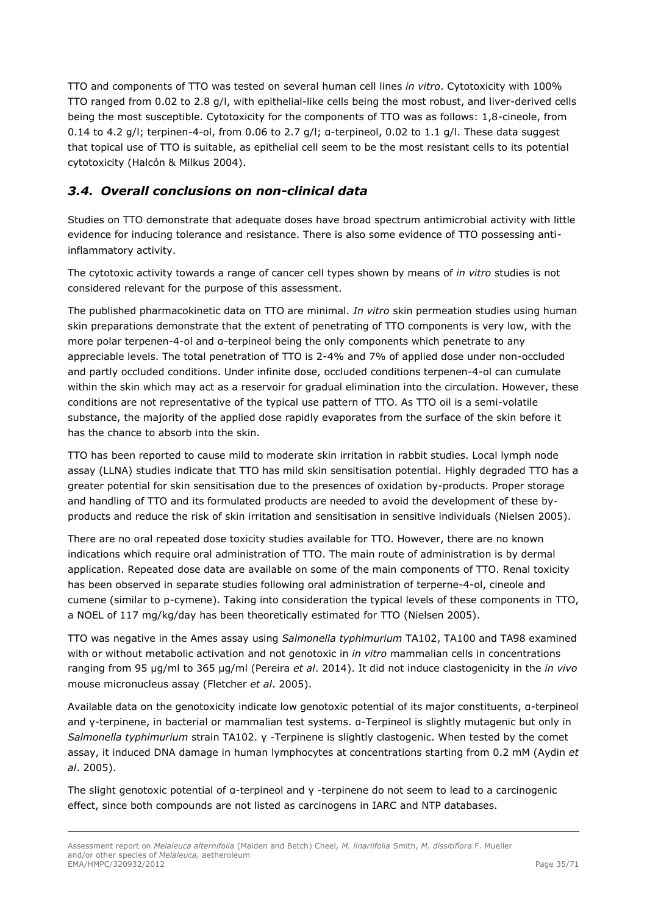TTO and components of TTO was tested on several human cell lines *in vitro*. Cytotoxicity with 100% TTO ranged from 0.02 to 2.8 g/l, with epithelial-like cells being the most robust, and liver-derived cells being the most susceptible. Cytotoxicity for the components of TTO was as follows: 1,8-cineole, from 0.14 to 4.2 g/l; terpinen-4-ol, from 0.06 to 2.7 g/l; α-terpineol, 0.02 to 1.1 g/l. These data suggest that topical use of TTO is suitable, as epithelial cell seem to be the most resistant cells to its potential cytotoxicity (Halcón & Milkus 2004).

# <span id="page-34-0"></span>*3.4. Overall conclusions on non-clinical data*

Studies on TTO demonstrate that adequate doses have broad spectrum antimicrobial activity with little evidence for inducing tolerance and resistance. There is also some evidence of TTO possessing antiinflammatory activity.

The cytotoxic activity towards a range of cancer cell types shown by means of *in vitro* studies is not considered relevant for the purpose of this assessment.

The published pharmacokinetic data on TTO are minimal. *In vitro* skin permeation studies using human skin preparations demonstrate that the extent of penetrating of TTO components is very low, with the more polar terpenen-4-ol and α-terpineol being the only components which penetrate to any appreciable levels. The total penetration of TTO is 2-4% and 7% of applied dose under non-occluded and partly occluded conditions. Under infinite dose, occluded conditions terpenen-4-ol can cumulate within the skin which may act as a reservoir for gradual elimination into the circulation. However, these conditions are not representative of the typical use pattern of TTO. As TTO oil is a semi-volatile substance, the majority of the applied dose rapidly evaporates from the surface of the skin before it has the chance to absorb into the skin.

TTO has been reported to cause mild to moderate skin irritation in rabbit studies. Local lymph node assay (LLNA) studies indicate that TTO has mild skin sensitisation potential. Highly degraded TTO has a greater potential for skin sensitisation due to the presences of oxidation by-products. Proper storage and handling of TTO and its formulated products are needed to avoid the development of these byproducts and reduce the risk of skin irritation and sensitisation in sensitive individuals (Nielsen 2005).

There are no oral repeated dose toxicity studies available for TTO. However, there are no known indications which require oral administration of TTO. The main route of administration is by dermal application. Repeated dose data are available on some of the main components of TTO. Renal toxicity has been observed in separate studies following oral administration of terperne-4-ol, cineole and cumene (similar to p-cymene). Taking into consideration the typical levels of these components in TTO, a NOEL of 117 mg/kg/day has been theoretically estimated for TTO (Nielsen 2005).

TTO was negative in the Ames assay using *Salmonella typhimurium* TA102, TA100 and TA98 examined with or without metabolic activation and not genotoxic in *in vitro* mammalian cells in concentrations ranging from 95 μg/ml to 365 μg/ml (Pereira *et al*. 2014). It did not induce clastogenicity in the *in vivo* mouse micronucleus assay (Fletcher *et al*. 2005).

Available data on the genotoxicity indicate low genotoxic potential of its major constituents, α-terpineol and γ-terpinene, in bacterial or mammalian test systems. α-Terpineol is slightly mutagenic but only in *Salmonella typhimurium* strain TA102. γ -Terpinene is slightly clastogenic. When tested by the comet assay, it induced DNA damage in human lymphocytes at concentrations starting from 0.2 mM (Aydin *et al*. 2005).

The slight genotoxic potential of α-terpineol and γ -terpinene do not seem to lead to a carcinogenic effect, since both compounds are not listed as carcinogens in IARC and NTP databases.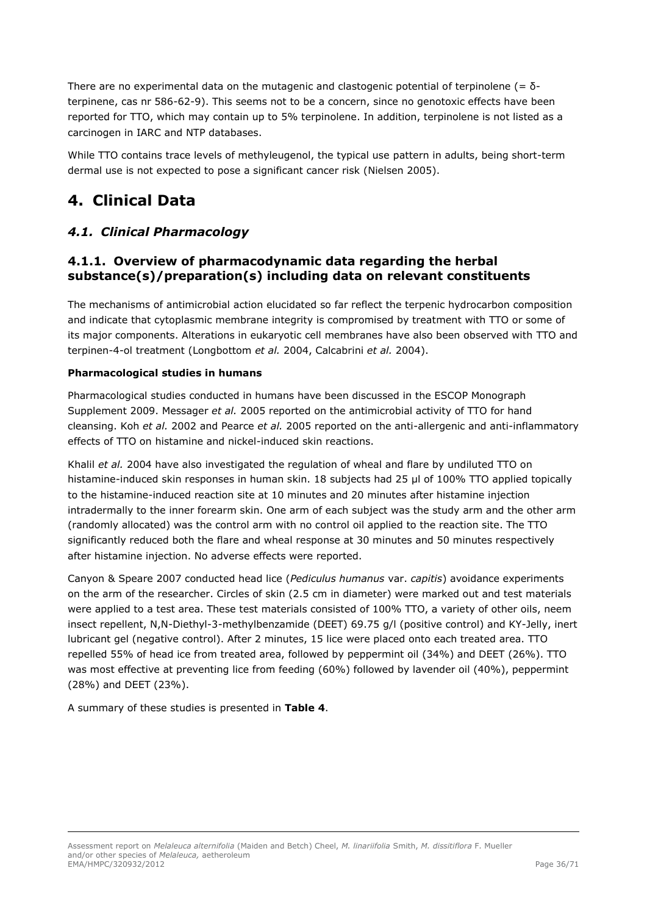There are no experimental data on the mutagenic and clastogenic potential of terpinolene (=  $\delta$ terpinene, cas nr 586-62-9). This seems not to be a concern, since no genotoxic effects have been reported for TTO, which may contain up to 5% terpinolene. In addition, terpinolene is not listed as a carcinogen in IARC and NTP databases.

While TTO contains trace levels of methyleugenol, the typical use pattern in adults, being short-term dermal use is not expected to pose a significant cancer risk (Nielsen 2005).

# <span id="page-35-0"></span>**4. Clinical Data**

# <span id="page-35-1"></span>*4.1. Clinical Pharmacology*

# <span id="page-35-2"></span>**4.1.1. Overview of pharmacodynamic data regarding the herbal substance(s)/preparation(s) including data on relevant constituents**

The mechanisms of antimicrobial action elucidated so far reflect the terpenic hydrocarbon composition and indicate that cytoplasmic membrane integrity is compromised by treatment with TTO or some of its major components. Alterations in eukaryotic cell membranes have also been observed with TTO and terpinen-4-ol treatment (Longbottom *et al.* 2004, Calcabrini *et al.* 2004).

## **Pharmacological studies in humans**

Pharmacological studies conducted in humans have been discussed in the ESCOP Monograph Supplement 2009. Messager *et al.* 2005 reported on the antimicrobial activity of TTO for hand cleansing. Koh *et al.* 2002 and Pearce *et al.* 2005 reported on the anti-allergenic and anti-inflammatory effects of TTO on histamine and nickel-induced skin reactions.

Khalil *et al.* 2004 have also investigated the regulation of wheal and flare by undiluted TTO on histamine-induced skin responses in human skin. 18 subjects had 25 μl of 100% TTO applied topically to the histamine-induced reaction site at 10 minutes and 20 minutes after histamine injection intradermally to the inner forearm skin. One arm of each subject was the study arm and the other arm (randomly allocated) was the control arm with no control oil applied to the reaction site. The TTO significantly reduced both the flare and wheal response at 30 minutes and 50 minutes respectively after histamine injection. No adverse effects were reported.

Canyon & Speare 2007 conducted head lice (*Pediculus humanus* var. *capitis*) avoidance experiments on the arm of the researcher. Circles of skin (2.5 cm in diameter) were marked out and test materials were applied to a test area. These test materials consisted of 100% TTO, a variety of other oils, neem insect repellent, N,N-Diethyl-3-methylbenzamide (DEET) 69.75 g/l (positive control) and KY-Jelly, inert lubricant gel (negative control). After 2 minutes, 15 lice were placed onto each treated area. TTO repelled 55% of head ice from treated area, followed by peppermint oil (34%) and DEET (26%). TTO was most effective at preventing lice from feeding (60%) followed by lavender oil (40%), peppermint (28%) and DEET (23%).

A summary of these studies is presented in **Table 4**.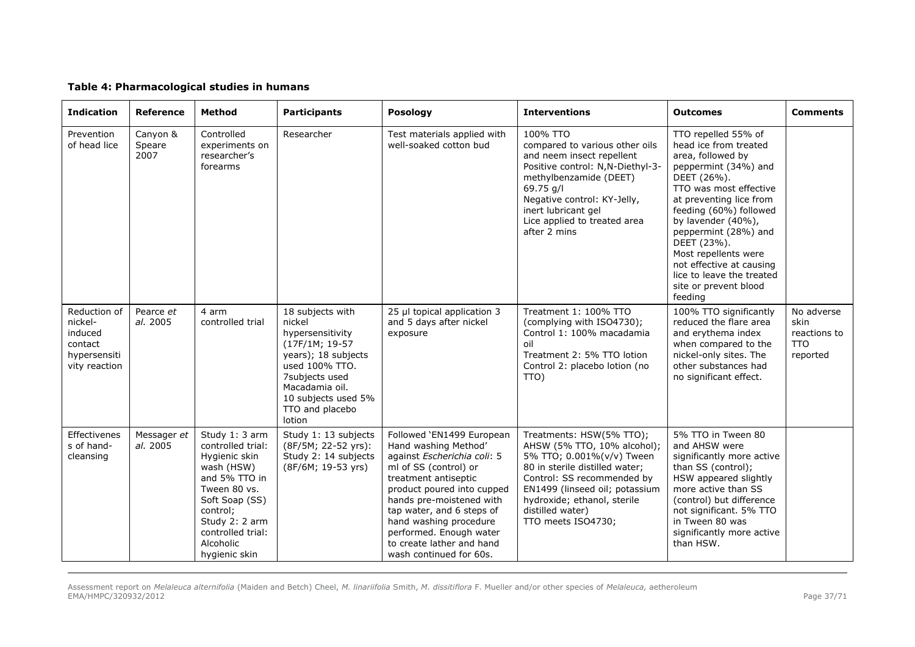#### **Table 4: Pharmacological studies in humans**

| <b>Indication</b>                                                              | <b>Reference</b>           | Method                                                                                                                                                                                                 | <b>Participants</b>                                                                                                                                                                               | Posology                                                                                                                                                                                                                                                                                                                              | <b>Interventions</b>                                                                                                                                                                                                                                            | <b>Outcomes</b>                                                                                                                                                                                                                                                                                                                                                           | <b>Comments</b>                                              |
|--------------------------------------------------------------------------------|----------------------------|--------------------------------------------------------------------------------------------------------------------------------------------------------------------------------------------------------|---------------------------------------------------------------------------------------------------------------------------------------------------------------------------------------------------|---------------------------------------------------------------------------------------------------------------------------------------------------------------------------------------------------------------------------------------------------------------------------------------------------------------------------------------|-----------------------------------------------------------------------------------------------------------------------------------------------------------------------------------------------------------------------------------------------------------------|---------------------------------------------------------------------------------------------------------------------------------------------------------------------------------------------------------------------------------------------------------------------------------------------------------------------------------------------------------------------------|--------------------------------------------------------------|
| Prevention<br>of head lice                                                     | Canyon &<br>Speare<br>2007 | Controlled<br>experiments on<br>researcher's<br>forearms                                                                                                                                               | Researcher                                                                                                                                                                                        | Test materials applied with<br>well-soaked cotton bud                                                                                                                                                                                                                                                                                 | 100% TTO<br>compared to various other oils<br>and neem insect repellent<br>Positive control: N,N-Diethyl-3-<br>methylbenzamide (DEET)<br>69.75 g/l<br>Negative control: KY-Jelly,<br>inert lubricant gel<br>Lice applied to treated area<br>after 2 mins        | TTO repelled 55% of<br>head ice from treated<br>area, followed by<br>peppermint (34%) and<br>DEET (26%).<br>TTO was most effective<br>at preventing lice from<br>feeding (60%) followed<br>by lavender (40%),<br>peppermint (28%) and<br>DEET (23%).<br>Most repellents were<br>not effective at causing<br>lice to leave the treated<br>site or prevent blood<br>feeding |                                                              |
| Reduction of<br>nickel-<br>induced<br>contact<br>hypersensiti<br>vity reaction | Pearce et<br>al. 2005      | 4 arm<br>controlled trial                                                                                                                                                                              | 18 subjects with<br>nickel<br>hypersensitivity<br>(17F/1M; 19-57<br>years); 18 subjects<br>used 100% TTO.<br>7subjects used<br>Macadamia oil.<br>10 subjects used 5%<br>TTO and placebo<br>lotion | 25 µl topical application 3<br>and 5 days after nickel<br>exposure                                                                                                                                                                                                                                                                    | Treatment 1: 100% TTO<br>(complying with ISO4730);<br>Control 1: 100% macadamia<br>oil<br>Treatment 2: 5% TTO lotion<br>Control 2: placebo lotion (no<br>TTO)                                                                                                   | 100% TTO significantly<br>reduced the flare area<br>and erythema index<br>when compared to the<br>nickel-only sites. The<br>other substances had<br>no significant effect.                                                                                                                                                                                                | No adverse<br>skin<br>reactions to<br><b>TTO</b><br>reported |
| Effectivenes<br>s of hand-<br>cleansing                                        | Messager et<br>al. 2005    | Study 1: 3 arm<br>controlled trial:<br>Hygienic skin<br>wash (HSW)<br>and 5% TTO in<br>Tween 80 vs.<br>Soft Soap (SS)<br>control;<br>Study 2: 2 arm<br>controlled trial:<br>Alcoholic<br>hygienic skin | Study 1: 13 subjects<br>(8F/5M; 22-52 yrs):<br>Study 2: 14 subjects<br>(8F/6M; 19-53 yrs)                                                                                                         | Followed 'EN1499 European<br>Hand washing Method'<br>against Escherichia coli: 5<br>ml of SS (control) or<br>treatment antiseptic<br>product poured into cupped<br>hands pre-moistened with<br>tap water, and 6 steps of<br>hand washing procedure<br>performed. Enough water<br>to create lather and hand<br>wash continued for 60s. | Treatments: HSW(5% TTO);<br>AHSW (5% TTO, 10% alcohol);<br>5% TTO; 0.001%(v/v) Tween<br>80 in sterile distilled water;<br>Control: SS recommended by<br>EN1499 (linseed oil; potassium<br>hydroxide; ethanol, sterile<br>distilled water)<br>TTO meets ISO4730; | 5% TTO in Tween 80<br>and AHSW were<br>significantly more active<br>than SS (control);<br>HSW appeared slightly<br>more active than SS<br>(control) but difference<br>not significant. 5% TTO<br>in Tween 80 was<br>significantly more active<br>than HSW.                                                                                                                |                                                              |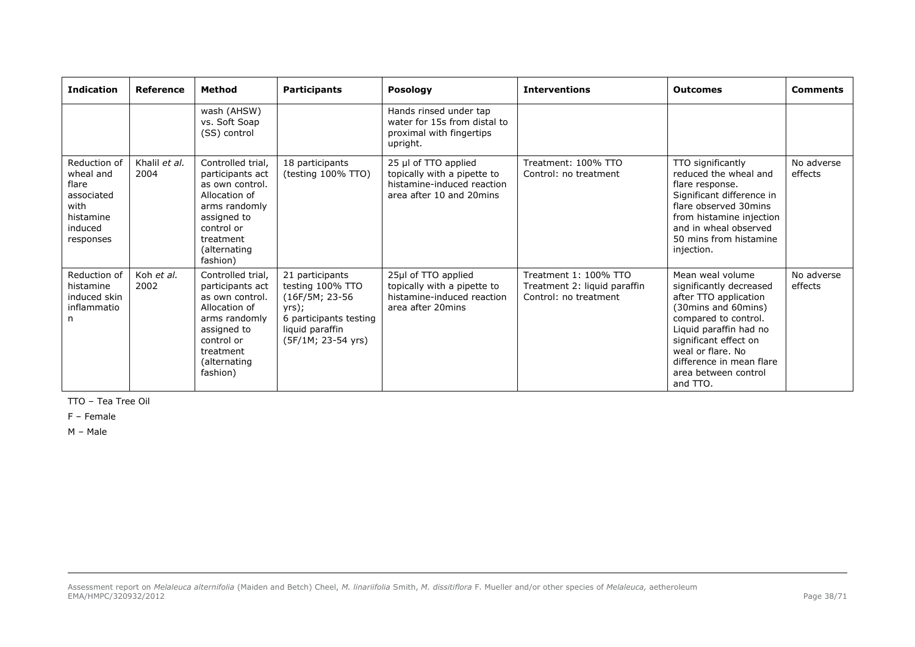| <b>Indication</b>                                                                             | Reference             | <b>Method</b>                                                                                                                                                    | <b>Participants</b>                                                                                                                | <b>Posology</b>                                                                                                  | <b>Interventions</b>                                                           | <b>Outcomes</b>                                                                                                                                                                                                                                                 | <b>Comments</b>       |
|-----------------------------------------------------------------------------------------------|-----------------------|------------------------------------------------------------------------------------------------------------------------------------------------------------------|------------------------------------------------------------------------------------------------------------------------------------|------------------------------------------------------------------------------------------------------------------|--------------------------------------------------------------------------------|-----------------------------------------------------------------------------------------------------------------------------------------------------------------------------------------------------------------------------------------------------------------|-----------------------|
|                                                                                               |                       | wash (AHSW)<br>vs. Soft Soap<br>(SS) control                                                                                                                     |                                                                                                                                    | Hands rinsed under tap<br>water for 15s from distal to<br>proximal with fingertips<br>upright.                   |                                                                                |                                                                                                                                                                                                                                                                 |                       |
| Reduction of<br>wheal and<br>flare<br>associated<br>with<br>histamine<br>induced<br>responses | Khalil et al.<br>2004 | Controlled trial,<br>participants act<br>as own control.<br>Allocation of<br>arms randomly<br>assigned to<br>control or<br>treatment<br>(alternating<br>fashion) | 18 participants<br>(testing 100% TTO)                                                                                              | 25 $\mu$ of TTO applied<br>topically with a pipette to<br>histamine-induced reaction<br>area after 10 and 20mins | Treatment: 100% TTO<br>Control: no treatment                                   | TTO significantly<br>reduced the wheal and<br>flare response.<br>Significant difference in<br>flare observed 30mins<br>from histamine injection<br>and in wheal observed<br>50 mins from histamine<br>injection.                                                | No adverse<br>effects |
| Reduction of<br>histamine<br>induced skin<br>inflammatio<br>n                                 | Koh et al.<br>2002    | Controlled trial,<br>participants act<br>as own control.<br>Allocation of<br>arms randomly<br>assigned to<br>control or<br>treatment<br>(alternating<br>fashion) | 21 participants<br>testing 100% TTO<br>(16F/5M; 23-56)<br>yrs);<br>6 participants testing<br>liquid paraffin<br>(5F/1M; 23-54 yrs) | 25µl of TTO applied<br>topically with a pipette to<br>histamine-induced reaction<br>area after 20mins            | Treatment 1: 100% TTO<br>Treatment 2: liquid paraffin<br>Control: no treatment | Mean weal volume<br>significantly decreased<br>after TTO application<br>(30mins and 60mins)<br>compared to control.<br>Liquid paraffin had no<br>significant effect on<br>weal or flare. No<br>difference in mean flare<br>area between control<br>and $\Pi$ O. | No adverse<br>effects |

TTO – Tea Tree Oil

F – Female

M – Male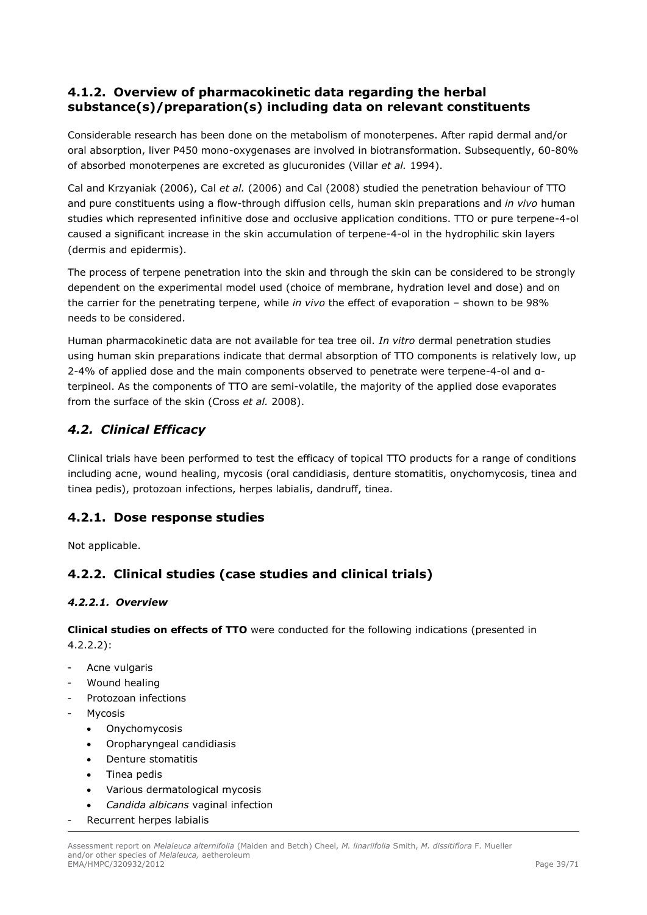# <span id="page-38-0"></span>**4.1.2. Overview of pharmacokinetic data regarding the herbal substance(s)/preparation(s) including data on relevant constituents**

Considerable research has been done on the metabolism of monoterpenes. After rapid dermal and/or oral absorption, liver P450 mono-oxygenases are involved in biotransformation. Subsequently, 60-80% of absorbed monoterpenes are excreted as glucuronides (Villar *et al.* 1994).

Cal and Krzyaniak (2006), Cal *et al.* (2006) and Cal (2008) studied the penetration behaviour of TTO and pure constituents using a flow-through diffusion cells, human skin preparations and *in vivo* human studies which represented infinitive dose and occlusive application conditions. TTO or pure terpene-4-ol caused a significant increase in the skin accumulation of terpene-4-ol in the hydrophilic skin layers (dermis and epidermis).

The process of terpene penetration into the skin and through the skin can be considered to be strongly dependent on the experimental model used (choice of membrane, hydration level and dose) and on the carrier for the penetrating terpene, while *in vivo* the effect of evaporation – shown to be 98% needs to be considered.

Human pharmacokinetic data are not available for tea tree oil. *In vitro* dermal penetration studies using human skin preparations indicate that dermal absorption of TTO components is relatively low, up 2-4% of applied dose and the main components observed to penetrate were terpene-4-ol and αterpineol. As the components of TTO are semi-volatile, the majority of the applied dose evaporates from the surface of the skin (Cross *et al.* 2008).

# <span id="page-38-1"></span>*4.2. Clinical Efficacy*

Clinical trials have been performed to test the efficacy of topical TTO products for a range of conditions including acne, wound healing, mycosis (oral candidiasis, denture stomatitis, onychomycosis, tinea and tinea pedis), protozoan infections, herpes labialis, dandruff, tinea.

# <span id="page-38-2"></span>**4.2.1. Dose response studies**

Not applicable.

# <span id="page-38-3"></span>**4.2.2. Clinical studies (case studies and clinical trials)**

# <span id="page-38-4"></span>*4.2.2.1. Overview*

**Clinical studies on effects of TTO** were conducted for the following indications (presented in 4.2.2.2):

- Acne vulgaris
- Wound healing
- Protozoan infections
- **Mycosis** 
	- Onychomycosis
	- Oropharyngeal candidiasis
	- Denture stomatitis
	- Tinea pedis
	- Various dermatological mycosis
	- *Candida albicans* vaginal infection
- Recurrent herpes labialis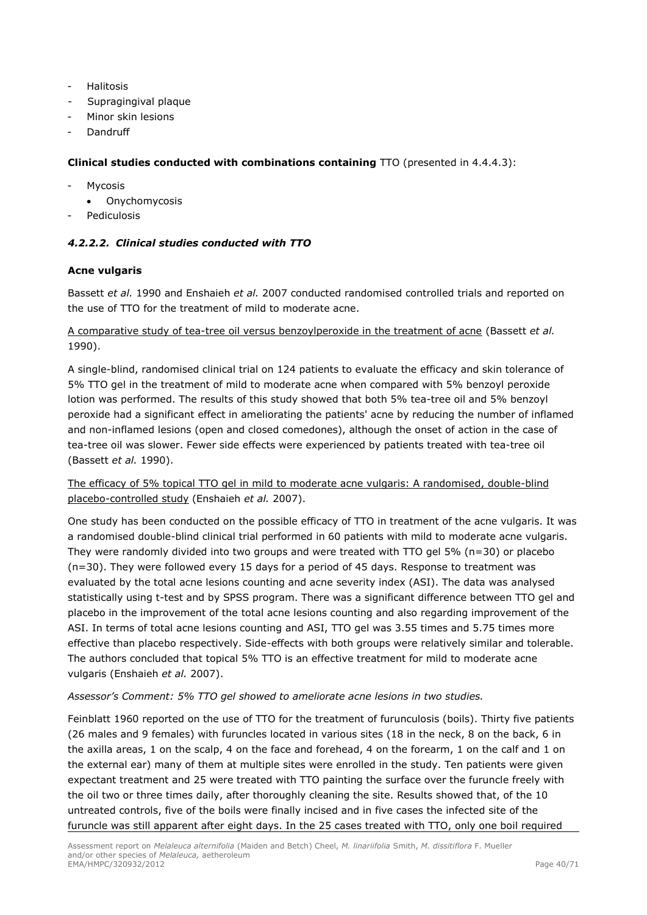- **Halitosis**
- Supragingival plaque
- Minor skin lesions
- **Dandruff**

### **Clinical studies conducted with combinations containing** TTO (presented in 4.4.4.3):

- **Mycosis** 
	- Onychomycosis
- <span id="page-39-0"></span>Pediculosis

## *4.2.2.2. Clinical studies conducted with TTO*

## **Acne vulgaris**

Bassett *et al.* 1990 and Enshaieh *et al.* 2007 conducted randomised controlled trials and reported on the use of TTO for the treatment of mild to moderate acne.

A comparative study of tea-tree oil versus benzoylperoxide in the treatment of acne (Bassett *et al.* 1990).

A single-blind, randomised clinical trial on 124 patients to evaluate the efficacy and skin tolerance of 5% TTO gel in the treatment of mild to moderate acne when compared with 5% benzoyl peroxide lotion was performed. The results of this study showed that both 5% tea-tree oil and 5% benzoyl peroxide had a significant effect in ameliorating the patients' acne by reducing the number of inflamed and non-inflamed lesions (open and closed comedones), although the onset of action in the case of tea-tree oil was slower. Fewer side effects were experienced by patients treated with tea-tree oil (Bassett *et al.* 1990).

The efficacy of 5% topical TTO gel in mild to moderate acne vulgaris: A randomised, double-blind placebo-controlled study (Enshaieh *et al.* 2007).

One study has been conducted on the possible efficacy of TTO in treatment of the acne vulgaris. It was a randomised double-blind clinical trial performed in 60 patients with mild to moderate acne vulgaris. They were randomly divided into two groups and were treated with TTO gel  $5\%$  (n=30) or placebo (n=30). They were followed every 15 days for a period of 45 days. Response to treatment was evaluated by the total acne lesions counting and acne severity index (ASI). The data was analysed statistically using t-test and by SPSS program. There was a significant difference between TTO gel and placebo in the improvement of the total acne lesions counting and also regarding improvement of the ASI. In terms of total acne lesions counting and ASI, TTO gel was 3.55 times and 5.75 times more effective than placebo respectively. Side-effects with both groups were relatively similar and tolerable. The authors concluded that topical 5% TTO is an effective treatment for mild to moderate acne vulgaris (Enshaieh *et al.* 2007).

### *Assessor's Comment: 5% TTO gel showed to ameliorate acne lesions in two studies.*

Feinblatt 1960 reported on the use of TTO for the treatment of furunculosis (boils). Thirty five patients (26 males and 9 females) with furuncles located in various sites (18 in the neck, 8 on the back, 6 in the axilla areas, 1 on the scalp, 4 on the face and forehead, 4 on the forearm, 1 on the calf and 1 on the external ear) many of them at multiple sites were enrolled in the study. Ten patients were given expectant treatment and 25 were treated with TTO painting the surface over the furuncle freely with the oil two or three times daily, after thoroughly cleaning the site. Results showed that, of the 10 untreated controls, five of the boils were finally incised and in five cases the infected site of the furuncle was still apparent after eight days. In the 25 cases treated with TTO, only one boil required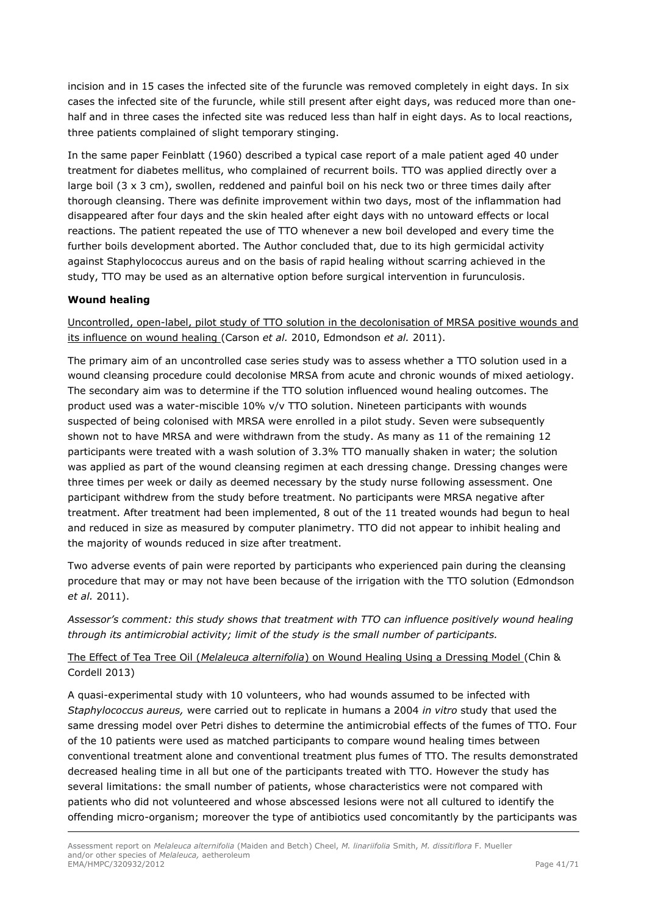incision and in 15 cases the infected site of the furuncle was removed completely in eight days. In six cases the infected site of the furuncle, while still present after eight days, was reduced more than onehalf and in three cases the infected site was reduced less than half in eight days. As to local reactions, three patients complained of slight temporary stinging.

In the same paper Feinblatt (1960) described a typical case report of a male patient aged 40 under treatment for diabetes mellitus, who complained of recurrent boils. TTO was applied directly over a large boil (3 x 3 cm), swollen, reddened and painful boil on his neck two or three times daily after thorough cleansing. There was definite improvement within two days, most of the inflammation had disappeared after four days and the skin healed after eight days with no untoward effects or local reactions. The patient repeated the use of TTO whenever a new boil developed and every time the further boils development aborted. The Author concluded that, due to its high germicidal activity against Staphylococcus aureus and on the basis of rapid healing without scarring achieved in the study, TTO may be used as an alternative option before surgical intervention in furunculosis.

## **Wound healing**

Uncontrolled, open-label, pilot study of TTO solution in the decolonisation of MRSA positive wounds and its influence on wound healing (Carson *et al.* 2010, Edmondson *et al.* 2011).

The primary aim of an uncontrolled case series study was to assess whether a TTO solution used in a wound cleansing procedure could decolonise MRSA from acute and chronic wounds of mixed aetiology. The secondary aim was to determine if the TTO solution influenced wound healing outcomes. The product used was a water-miscible 10% v/v TTO solution. Nineteen participants with wounds suspected of being colonised with MRSA were enrolled in a pilot study. Seven were subsequently shown not to have MRSA and were withdrawn from the study. As many as 11 of the remaining 12 participants were treated with a wash solution of 3.3% TTO manually shaken in water; the solution was applied as part of the wound cleansing regimen at each dressing change. Dressing changes were three times per week or daily as deemed necessary by the study nurse following assessment. One participant withdrew from the study before treatment. No participants were MRSA negative after treatment. After treatment had been implemented, 8 out of the 11 treated wounds had begun to heal and reduced in size as measured by computer planimetry. TTO did not appear to inhibit healing and the majority of wounds reduced in size after treatment.

Two adverse events of pain were reported by participants who experienced pain during the cleansing procedure that may or may not have been because of the irrigation with the TTO solution (Edmondson *et al.* 2011).

*Assessor's comment: this study shows that treatment with TTO can influence positively wound healing through its antimicrobial activity; limit of the study is the small number of participants.* 

# The Effect of Tea Tree Oil (*Melaleuca alternifolia*) on Wound Healing Using a Dressing Model (Chin & Cordell 2013)

A quasi-experimental study with 10 volunteers, who had wounds assumed to be infected with *Staphylococcus aureus,* were carried out to replicate in humans a 2004 *in vitro* study that used the same dressing model over Petri dishes to determine the antimicrobial effects of the fumes of TTO. Four of the 10 patients were used as matched participants to compare wound healing times between conventional treatment alone and conventional treatment plus fumes of TTO. The results demonstrated decreased healing time in all but one of the participants treated with TTO. However the study has several limitations: the small number of patients, whose characteristics were not compared with patients who did not volunteered and whose abscessed lesions were not all cultured to identify the offending micro-organism; moreover the type of antibiotics used concomitantly by the participants was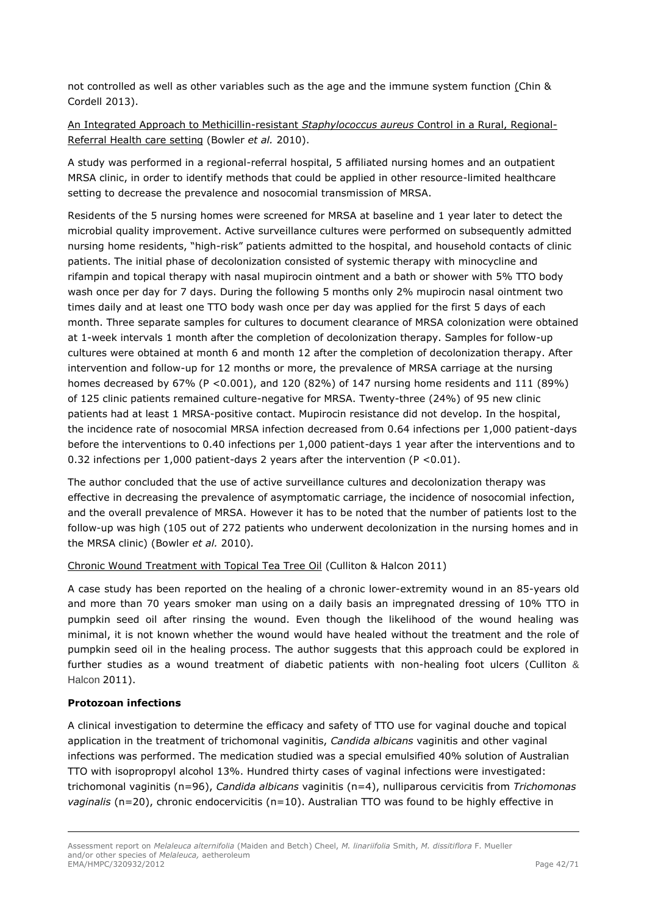not controlled as well as other variables such as the age and the immune system function (Chin & Cordell 2013).

An Integrated Approach to Methicillin-resistant *Staphylococcus aureus* Control in a Rural, Regional-Referral Health care setting (Bowler *et al.* 2010).

A study was performed in a regional-referral hospital, 5 affiliated nursing homes and an outpatient MRSA clinic, in order to identify methods that could be applied in other resource-limited healthcare setting to decrease the prevalence and nosocomial transmission of MRSA.

Residents of the 5 nursing homes were screened for MRSA at baseline and 1 year later to detect the microbial quality improvement. Active surveillance cultures were performed on subsequently admitted nursing home residents, "high-risk" patients admitted to the hospital, and household contacts of clinic patients. The initial phase of decolonization consisted of systemic therapy with minocycline and rifampin and topical therapy with nasal mupirocin ointment and a bath or shower with 5% TTO body wash once per day for 7 days. During the following 5 months only 2% mupirocin nasal ointment two times daily and at least one TTO body wash once per day was applied for the first 5 days of each month. Three separate samples for cultures to document clearance of MRSA colonization were obtained at 1-week intervals 1 month after the completion of decolonization therapy. Samples for follow-up cultures were obtained at month 6 and month 12 after the completion of decolonization therapy. After intervention and follow-up for 12 months or more, the prevalence of MRSA carriage at the nursing homes decreased by 67% (P < 0.001), and 120 (82%) of 147 nursing home residents and 111 (89%) of 125 clinic patients remained culture-negative for MRSA. Twenty-three (24%) of 95 new clinic patients had at least 1 MRSA-positive contact. Mupirocin resistance did not develop. In the hospital, the incidence rate of nosocomial MRSA infection decreased from 0.64 infections per 1,000 patient-days before the interventions to 0.40 infections per 1,000 patient-days 1 year after the interventions and to 0.32 infections per 1,000 patient-days 2 years after the intervention  $(P < 0.01)$ .

The author concluded that the use of active surveillance cultures and decolonization therapy was effective in decreasing the prevalence of asymptomatic carriage, the incidence of nosocomial infection, and the overall prevalence of MRSA. However it has to be noted that the number of patients lost to the follow-up was high (105 out of 272 patients who underwent decolonization in the nursing homes and in the MRSA clinic) (Bowler *et al.* 2010)*.*

#### Chronic Wound Treatment with Topical Tea Tree Oil (Culliton & Halcon 2011)

A case study has been reported on the healing of a chronic lower-extremity wound in an 85-years old and more than 70 years smoker man using on a daily basis an impregnated dressing of 10% TTO in pumpkin seed oil after rinsing the wound. Even though the likelihood of the wound healing was minimal, it is not known whether the wound would have healed without the treatment and the role of pumpkin seed oil in the healing process. The author suggests that this approach could be explored in further studies as a wound treatment of diabetic patients with non-healing foot ulcers (Culliton & Halcon 2011).

#### **Protozoan infections**

A clinical investigation to determine the efficacy and safety of TTO use for vaginal douche and topical application in the treatment of trichomonal vaginitis, *Candida albicans* vaginitis and other vaginal infections was performed. The medication studied was a special emulsified 40% solution of Australian TTO with isopropropyl alcohol 13%. Hundred thirty cases of vaginal infections were investigated: trichomonal vaginitis (n=96), *Candida albicans* vaginitis (n=4), nulliparous cervicitis from *Trichomonas vaginalis* (n=20), chronic endocervicitis (n=10). Australian TTO was found to be highly effective in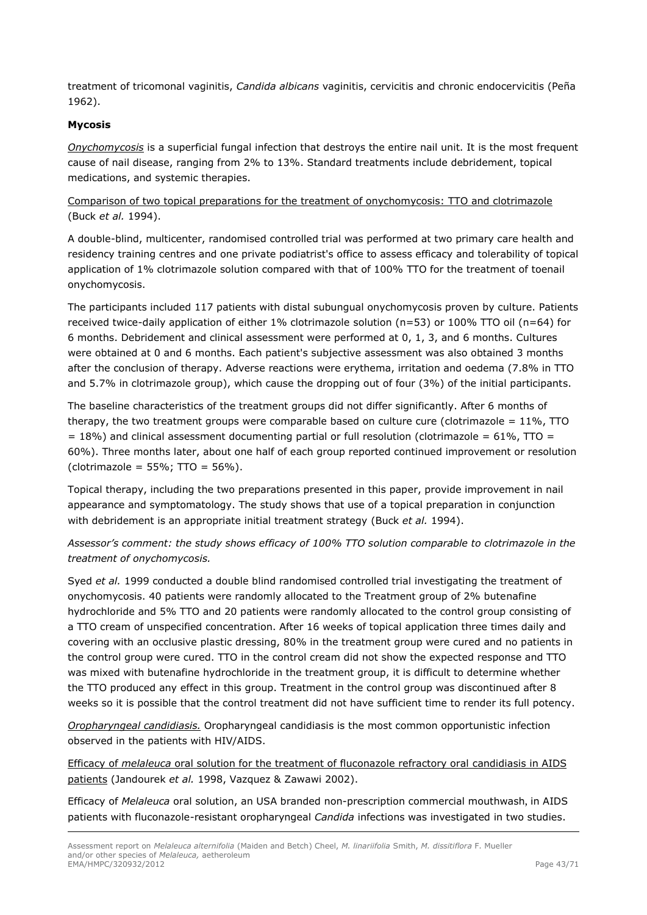treatment of tricomonal vaginitis, *Candida albicans* vaginitis, cervicitis and chronic endocervicitis (Peña 1962).

### **Mycosis**

*Onychomycosis* is a superficial fungal infection that destroys the entire nail unit. It is the most frequent cause of nail disease, ranging from 2% to 13%. Standard treatments include debridement, topical medications, and systemic therapies.

### Comparison of two topical preparations for the treatment of onychomycosis: TTO and clotrimazole (Buck *et al.* 1994).

A double-blind, multicenter, randomised controlled trial was performed at two primary care health and residency training centres and one private podiatrist's office to assess efficacy and tolerability of topical application of 1% clotrimazole solution compared with that of 100% TTO for the treatment of toenail onychomycosis.

The participants included 117 patients with distal subungual onychomycosis proven by culture. Patients received twice-daily application of either 1% clotrimazole solution (n=53) or 100% TTO oil (n=64) for 6 months. Debridement and clinical assessment were performed at 0, 1, 3, and 6 months. Cultures were obtained at 0 and 6 months. Each patient's subjective assessment was also obtained 3 months after the conclusion of therapy. Adverse reactions were erythema, irritation and oedema (7.8% in TTO and 5.7% in clotrimazole group), which cause the dropping out of four (3%) of the initial participants.

The baseline characteristics of the treatment groups did not differ significantly. After 6 months of therapy, the two treatment groups were comparable based on culture cure (clotrimazole =  $11\%$ , TTO  $= 18\%$ ) and clinical assessment documenting partial or full resolution (clotrimazole = 61%, TTO = 60%). Three months later, about one half of each group reported continued improvement or resolution  $(clotrimazole = 55\%; TTO = 56\%).$ 

Topical therapy, including the two preparations presented in this paper, provide improvement in nail appearance and symptomatology. The study shows that use of a topical preparation in conjunction with debridement is an appropriate initial treatment strategy (Buck *et al.* 1994).

## *Assessor's comment: the study shows efficacy of 100% TTO solution comparable to clotrimazole in the treatment of onychomycosis.*

Syed *et al.* 1999 conducted a double blind randomised controlled trial investigating the treatment of onychomycosis. 40 patients were randomly allocated to the Treatment group of 2% butenafine hydrochloride and 5% TTO and 20 patients were randomly allocated to the control group consisting of a TTO cream of unspecified concentration. After 16 weeks of topical application three times daily and covering with an occlusive plastic dressing, 80% in the treatment group were cured and no patients in the control group were cured. TTO in the control cream did not show the expected response and TTO was mixed with butenafine hydrochloride in the treatment group, it is difficult to determine whether the TTO produced any effect in this group. Treatment in the control group was discontinued after 8 weeks so it is possible that the control treatment did not have sufficient time to render its full potency.

*Oropharyngeal candidiasis.* Oropharyngeal candidiasis is the most common opportunistic infection observed in the patients with HIV/AIDS.

Efficacy of *melaleuca* oral solution for the treatment of fluconazole refractory oral candidiasis in AIDS patients (Jandourek *et al.* 1998, Vazquez & Zawawi 2002).

Efficacy of *Melaleuca* oral solution, an USA branded non-prescription commercial mouthwash, in AIDS patients with fluconazole-resistant oropharyngeal *Candida* infections was investigated in two studies.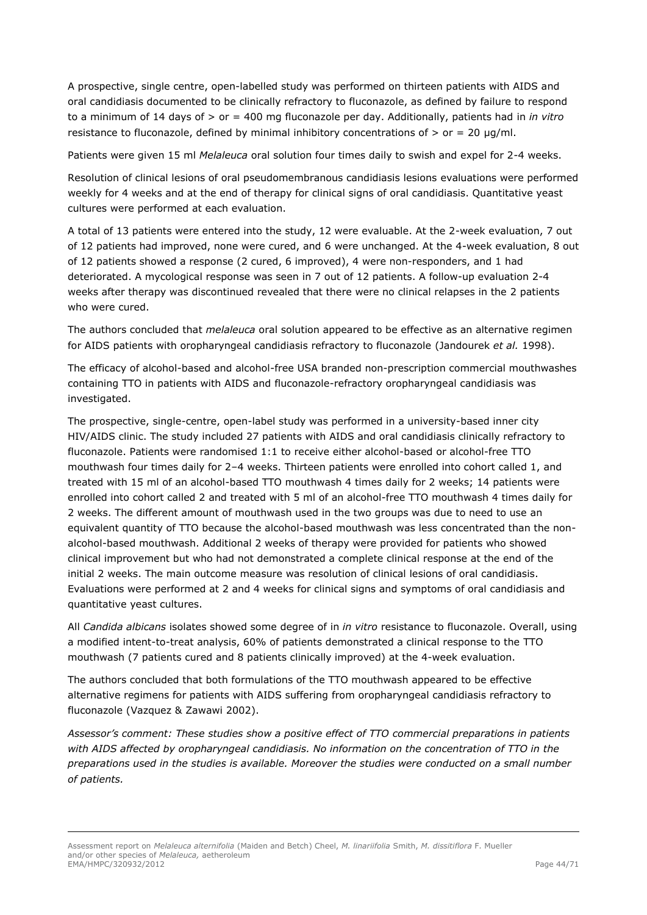A prospective, single centre, open-labelled study was performed on thirteen patients with AIDS and oral candidiasis documented to be clinically refractory to fluconazole, as defined by failure to respond to a minimum of 14 days of > or = 400 mg fluconazole per day. Additionally, patients had in *in vitro* resistance to fluconazole, defined by minimal inhibitory concentrations of  $>$  or = 20  $\mu$ g/ml.

Patients were given 15 ml *Melaleuca* oral solution four times daily to swish and expel for 2-4 weeks.

Resolution of clinical lesions of oral pseudomembranous candidiasis lesions evaluations were performed weekly for 4 weeks and at the end of therapy for clinical signs of oral candidiasis. Quantitative yeast cultures were performed at each evaluation.

A total of 13 patients were entered into the study, 12 were evaluable. At the 2-week evaluation, 7 out of 12 patients had improved, none were cured, and 6 were unchanged. At the 4-week evaluation, 8 out of 12 patients showed a response (2 cured, 6 improved), 4 were non-responders, and 1 had deteriorated. A mycological response was seen in 7 out of 12 patients. A follow-up evaluation 2-4 weeks after therapy was discontinued revealed that there were no clinical relapses in the 2 patients who were cured.

The authors concluded that *melaleuca* oral solution appeared to be effective as an alternative regimen for AIDS patients with oropharyngeal candidiasis refractory to fluconazole (Jandourek *et al.* 1998).

The efficacy of alcohol-based and alcohol-free USA branded non-prescription commercial mouthwashes containing TTO in patients with AIDS and fluconazole-refractory oropharyngeal candidiasis was investigated.

The prospective, single-centre, open-label study was performed in a university-based inner city HIV/AIDS clinic. The study included 27 patients with AIDS and oral candidiasis clinically refractory to fluconazole. Patients were randomised 1:1 to receive either alcohol-based or alcohol-free TTO mouthwash four times daily for 2–4 weeks. Thirteen patients were enrolled into cohort called 1, and treated with 15 ml of an alcohol-based TTO mouthwash 4 times daily for 2 weeks; 14 patients were enrolled into cohort called 2 and treated with 5 ml of an alcohol-free TTO mouthwash 4 times daily for 2 weeks. The different amount of mouthwash used in the two groups was due to need to use an equivalent quantity of TTO because the alcohol-based mouthwash was less concentrated than the nonalcohol-based mouthwash. Additional 2 weeks of therapy were provided for patients who showed clinical improvement but who had not demonstrated a complete clinical response at the end of the initial 2 weeks. The main outcome measure was resolution of clinical lesions of oral candidiasis. Evaluations were performed at 2 and 4 weeks for clinical signs and symptoms of oral candidiasis and quantitative yeast cultures.

All *Candida albicans* isolates showed some degree of in *in vitro* resistance to fluconazole. Overall, using a modified intent-to-treat analysis, 60% of patients demonstrated a clinical response to the TTO mouthwash (7 patients cured and 8 patients clinically improved) at the 4-week evaluation.

The authors concluded that both formulations of the TTO mouthwash appeared to be effective alternative regimens for patients with AIDS suffering from oropharyngeal candidiasis refractory to fluconazole (Vazquez & Zawawi 2002).

*Assessor's comment: These studies show a positive effect of TTO commercial preparations in patients with AIDS affected by oropharyngeal candidiasis. No information on the concentration of TTO in the preparations used in the studies is available. Moreover the studies were conducted on a small number of patients.*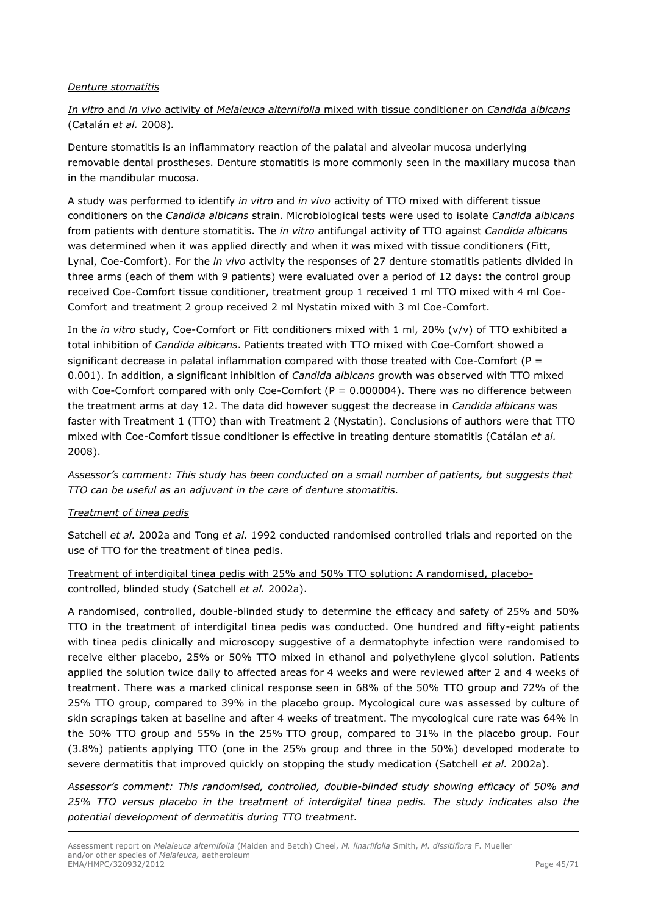### *Denture stomatitis*

# *In vitro* and *in vivo* activity of *Melaleuca alternifolia* mixed with tissue conditioner on *Candida albicans* (Catalán *et al.* 2008)*.*

Denture stomatitis is an inflammatory reaction of the palatal and alveolar mucosa underlying removable dental prostheses. Denture stomatitis is more commonly seen in the maxillary mucosa than in the mandibular mucosa.

A study was performed to identify *in vitro* and *in vivo* activity of TTO mixed with different tissue conditioners on the *Candida albicans* strain. Microbiological tests were used to isolate *Candida albicans* from patients with denture stomatitis. The *in vitro* antifungal activity of TTO against *Candida albicans* was determined when it was applied directly and when it was mixed with tissue conditioners (Fitt, Lynal, Coe-Comfort). For the *in vivo* activity the responses of 27 denture stomatitis patients divided in three arms (each of them with 9 patients) were evaluated over a period of 12 days: the control group received Coe-Comfort tissue conditioner, treatment group 1 received 1 ml TTO mixed with 4 ml Coe-Comfort and treatment 2 group received 2 ml Nystatin mixed with 3 ml Coe-Comfort.

In the *in vitro* study, Coe-Comfort or Fitt conditioners mixed with 1 ml, 20% (v/v) of TTO exhibited a total inhibition of *Candida albicans*. Patients treated with TTO mixed with Coe-Comfort showed a significant decrease in palatal inflammation compared with those treated with Coe-Comfort (P = 0.001). In addition, a significant inhibition of *Candida albicans* growth was observed with TTO mixed with Coe-Comfort compared with only Coe-Comfort ( $P = 0.000004$ ). There was no difference between the treatment arms at day 12. The data did however suggest the decrease in *Candida albicans* was faster with Treatment 1 (TTO) than with Treatment 2 (Nystatin). Conclusions of authors were that TTO mixed with Coe-Comfort tissue conditioner is effective in treating denture stomatitis (Catálan *et al.* 2008).

*Assessor's comment: This study has been conducted on a small number of patients, but suggests that TTO can be useful as an adjuvant in the care of denture stomatitis.*

#### *Treatment of tinea pedis*

Satchell *et al.* 2002a and Tong *et al.* 1992 conducted randomised controlled trials and reported on the use of TTO for the treatment of tinea pedis.

## Treatment of interdigital tinea pedis with 25% and 50% TTO solution: A randomised, placebocontrolled, blinded study (Satchell *et al.* 2002a).

A randomised, controlled, double-blinded study to determine the efficacy and safety of 25% and 50% TTO in the treatment of interdigital tinea pedis was conducted. One hundred and fifty-eight patients with tinea pedis clinically and microscopy suggestive of a dermatophyte infection were randomised to receive either placebo, 25% or 50% TTO mixed in ethanol and polyethylene glycol solution. Patients applied the solution twice daily to affected areas for 4 weeks and were reviewed after 2 and 4 weeks of treatment. There was a marked clinical response seen in 68% of the 50% TTO group and 72% of the 25% TTO group, compared to 39% in the placebo group. Mycological cure was assessed by culture of skin scrapings taken at baseline and after 4 weeks of treatment. The mycological cure rate was 64% in the 50% TTO group and 55% in the 25% TTO group, compared to 31% in the placebo group. Four (3.8%) patients applying TTO (one in the 25% group and three in the 50%) developed moderate to severe dermatitis that improved quickly on stopping the study medication (Satchell *et al.* 2002a).

*Assessor's comment: This randomised, controlled, double-blinded study showing efficacy of 50% and 25% TTO versus placebo in the treatment of interdigital tinea pedis. The study indicates also the potential development of dermatitis during TTO treatment.*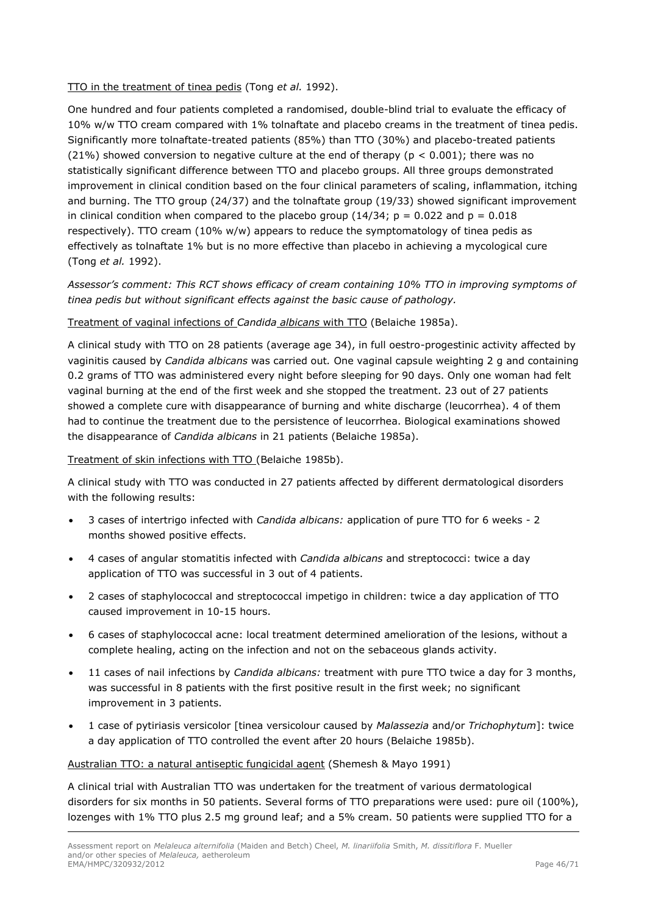### TTO in the treatment of tinea pedis (Tong *et al.* 1992).

One hundred and four patients completed a randomised, double-blind trial to evaluate the efficacy of 10% w/w TTO cream compared with 1% tolnaftate and placebo creams in the treatment of tinea pedis. Significantly more tolnaftate-treated patients (85%) than TTO (30%) and placebo-treated patients (21%) showed conversion to negative culture at the end of therapy ( $p < 0.001$ ); there was no statistically significant difference between TTO and placebo groups. All three groups demonstrated improvement in clinical condition based on the four clinical parameters of scaling, inflammation, itching and burning. The TTO group (24/37) and the tolnaftate group (19/33) showed significant improvement in clinical condition when compared to the placebo group (14/34;  $p = 0.022$  and  $p = 0.018$ respectively). TTO cream (10% w/w) appears to reduce the symptomatology of tinea pedis as effectively as tolnaftate 1% but is no more effective than placebo in achieving a mycological cure (Tong *et al.* 1992).

# *Assessor's comment: This RCT shows efficacy of cream containing 10% TTO in improving symptoms of tinea pedis but without significant effects against the basic cause of pathology.*

## Treatment of vaginal infections of *Candida albicans* with TTO (Belaiche 1985a).

A clinical study with TTO on 28 patients (average age 34), in full oestro-progestinic activity affected by vaginitis caused by *Candida albicans* was carried out*.* One vaginal capsule weighting 2 g and containing 0.2 grams of TTO was administered every night before sleeping for 90 days. Only one woman had felt vaginal burning at the end of the first week and she stopped the treatment. 23 out of 27 patients showed a complete cure with disappearance of burning and white discharge (leucorrhea). 4 of them had to continue the treatment due to the persistence of leucorrhea. Biological examinations showed the disappearance of *Candida albicans* in 21 patients (Belaiche 1985a).

### Treatment of skin infections with TTO (Belaiche 1985b).

A clinical study with TTO was conducted in 27 patients affected by different dermatological disorders with the following results:

- 3 cases of intertrigo infected with *Candida albicans:* application of pure TTO for 6 weeks 2 months showed positive effects.
- 4 cases of angular stomatitis infected with *Candida albicans* and streptococci: twice a day application of TTO was successful in 3 out of 4 patients.
- 2 cases of staphylococcal and streptococcal impetigo in children: twice a day application of TTO caused improvement in 10-15 hours.
- 6 cases of staphylococcal acne: local treatment determined amelioration of the lesions, without a complete healing, acting on the infection and not on the sebaceous glands activity.
- 11 cases of nail infections by *Candida albicans:* treatment with pure TTO twice a day for 3 months, was successful in 8 patients with the first positive result in the first week; no significant improvement in 3 patients.
- 1 case of pytiriasis versicolor [tinea versicolour caused by *Malassezia* and/or *Trichophytum*]: twice a day application of TTO controlled the event after 20 hours (Belaiche 1985b).

### Australian TTO: a natural antiseptic fungicidal agent (Shemesh & Mayo 1991)

A clinical trial with Australian TTO was undertaken for the treatment of various dermatological disorders for six months in 50 patients. Several forms of TTO preparations were used: pure oil (100%), lozenges with 1% TTO plus 2.5 mg ground leaf; and a 5% cream. 50 patients were supplied TTO for a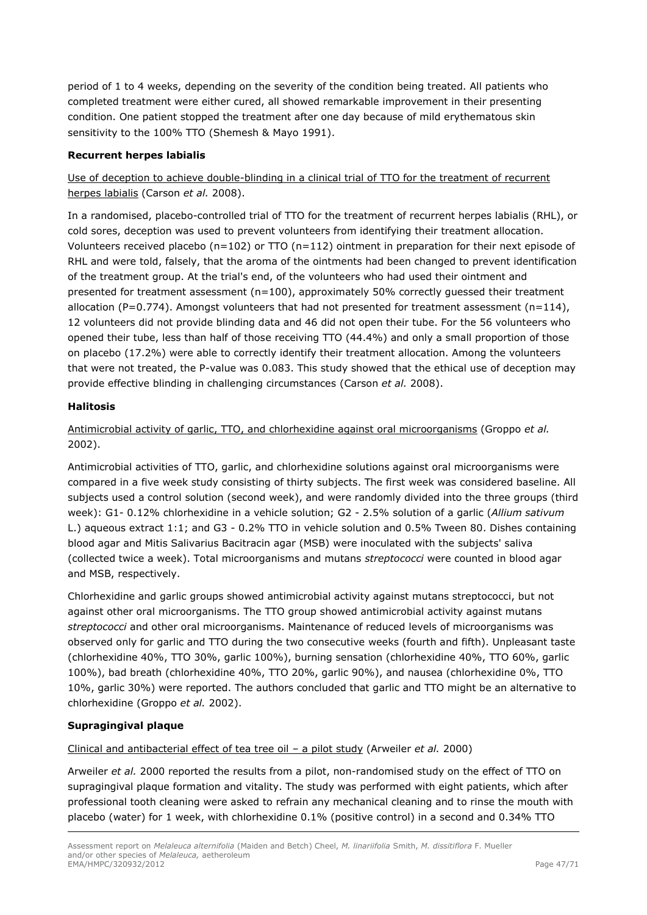period of 1 to 4 weeks, depending on the severity of the condition being treated. All patients who completed treatment were either cured, all showed remarkable improvement in their presenting condition. One patient stopped the treatment after one day because of mild erythematous skin sensitivity to the 100% TTO (Shemesh & Mayo 1991).

### **Recurrent herpes labialis**

# Use of deception to achieve double-blinding in a clinical trial of TTO for the treatment of recurrent herpes labialis (Carson *et al.* 2008).

In a randomised, placebo-controlled trial of TTO for the treatment of recurrent herpes labialis (RHL), or cold sores, deception was used to prevent volunteers from identifying their treatment allocation. Volunteers received placebo ( $n=102$ ) or TTO ( $n=112$ ) ointment in preparation for their next episode of RHL and were told, falsely, that the aroma of the ointments had been changed to prevent identification of the treatment group. At the trial's end, of the volunteers who had used their ointment and presented for treatment assessment (n=100), approximately 50% correctly guessed their treatment allocation (P=0.774). Amongst volunteers that had not presented for treatment assessment (n=114), 12 volunteers did not provide blinding data and 46 did not open their tube. For the 56 volunteers who opened their tube, less than half of those receiving TTO (44.4%) and only a small proportion of those on placebo (17.2%) were able to correctly identify their treatment allocation. Among the volunteers that were not treated, the P-value was 0.083. This study showed that the ethical use of deception may provide effective blinding in challenging circumstances (Carson *et al.* 2008).

### **Halitosis**

Antimicrobial activity of garlic, TTO, and chlorhexidine against oral microorganisms (Groppo *et al.* 2002).

Antimicrobial activities of TTO, garlic, and chlorhexidine solutions against oral microorganisms were compared in a five week study consisting of thirty subjects. The first week was considered baseline. All subjects used a control solution (second week), and were randomly divided into the three groups (third week): G1- 0.12% chlorhexidine in a vehicle solution; G2 - 2.5% solution of a garlic (*Allium sativum* L.) aqueous extract 1:1; and G3 - 0.2% TTO in vehicle solution and 0.5% Tween 80. Dishes containing blood agar and Mitis Salivarius Bacitracin agar (MSB) were inoculated with the subjects' saliva (collected twice a week). Total microorganisms and mutans *streptococci* were counted in blood agar and MSB, respectively.

Chlorhexidine and garlic groups showed antimicrobial activity against mutans streptococci, but not against other oral microorganisms. The TTO group showed antimicrobial activity against mutans *streptococci* and other oral microorganisms. Maintenance of reduced levels of microorganisms was observed only for garlic and TTO during the two consecutive weeks (fourth and fifth). Unpleasant taste (chlorhexidine 40%, TTO 30%, garlic 100%), burning sensation (chlorhexidine 40%, TTO 60%, garlic 100%), bad breath (chlorhexidine 40%, TTO 20%, garlic 90%), and nausea (chlorhexidine 0%, TTO 10%, garlic 30%) were reported. The authors concluded that garlic and TTO might be an alternative to chlorhexidine (Groppo *et al.* 2002).

# **Supragingival plaque**

Clinical and antibacterial effect of tea tree oil – a pilot study (Arweiler *et al.* 2000)

Arweiler *et al.* 2000 reported the results from a pilot, non-randomised study on the effect of TTO on supragingival plaque formation and vitality. The study was performed with eight patients, which after professional tooth cleaning were asked to refrain any mechanical cleaning and to rinse the mouth with placebo (water) for 1 week, with chlorhexidine 0.1% (positive control) in a second and 0.34% TTO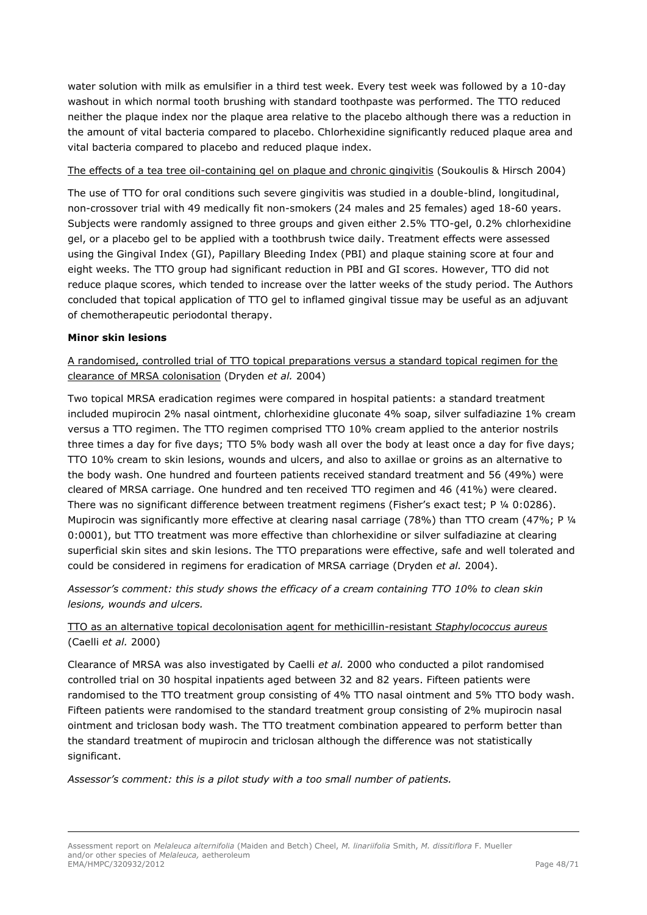water solution with milk as emulsifier in a third test week. Every test week was followed by a 10-day washout in which normal tooth brushing with standard toothpaste was performed. The TTO reduced neither the plaque index nor the plaque area relative to the placebo although there was a reduction in the amount of vital bacteria compared to placebo. Chlorhexidine significantly reduced plaque area and vital bacteria compared to placebo and reduced plaque index.

#### The effects of a tea tree oil-containing gel on plaque and chronic gingivitis (Soukoulis & Hirsch 2004)

The use of TTO for oral conditions such severe gingivitis was studied in a double-blind, longitudinal, non-crossover trial with 49 medically fit non-smokers (24 males and 25 females) aged 18-60 years. Subjects were randomly assigned to three groups and given either 2.5% TTO-gel, 0.2% chlorhexidine gel, or a placebo gel to be applied with a toothbrush twice daily. Treatment effects were assessed using the Gingival Index (GI), Papillary Bleeding Index (PBI) and plaque staining score at four and eight weeks. The TTO group had significant reduction in PBI and GI scores. However, TTO did not reduce plaque scores, which tended to increase over the latter weeks of the study period. The Authors concluded that topical application of TTO gel to inflamed gingival tissue may be useful as an adjuvant of chemotherapeutic periodontal therapy.

#### **Minor skin lesions**

# A randomised, controlled trial of TTO topical preparations versus a standard topical regimen for the clearance of MRSA colonisation (Dryden *et al.* 2004)

Two topical MRSA eradication regimes were compared in hospital patients: a standard treatment included mupirocin 2% nasal ointment, chlorhexidine gluconate 4% soap, silver sulfadiazine 1% cream versus a TTO regimen. The TTO regimen comprised TTO 10% cream applied to the anterior nostrils three times a day for five days; TTO 5% body wash all over the body at least once a day for five days; TTO 10% cream to skin lesions, wounds and ulcers, and also to axillae or groins as an alternative to the body wash. One hundred and fourteen patients received standard treatment and 56 (49%) were cleared of MRSA carriage. One hundred and ten received TTO regimen and 46 (41%) were cleared. There was no significant difference between treatment regimens (Fisher's exact test; P 1/4 0:0286). Mupirocin was significantly more effective at clearing nasal carriage (78%) than TTO cream (47%; P ¼ 0:0001), but TTO treatment was more effective than chlorhexidine or silver sulfadiazine at clearing superficial skin sites and skin lesions. The TTO preparations were effective, safe and well tolerated and could be considered in regimens for eradication of MRSA carriage (Dryden *et al.* 2004).

## *Assessor's comment: this study shows the efficacy of a cream containing TTO 10% to clean skin lesions, wounds and ulcers.*

# TTO as an alternative topical decolonisation agent for methicillin-resistant *Staphylococcus aureus* (Caelli *et al.* 2000)

Clearance of MRSA was also investigated by Caelli *et al.* 2000 who conducted a pilot randomised controlled trial on 30 hospital inpatients aged between 32 and 82 years. Fifteen patients were randomised to the TTO treatment group consisting of 4% TTO nasal ointment and 5% TTO body wash. Fifteen patients were randomised to the standard treatment group consisting of 2% mupirocin nasal ointment and triclosan body wash. The TTO treatment combination appeared to perform better than the standard treatment of mupirocin and triclosan although the difference was not statistically significant.

*Assessor's comment: this is a pilot study with a too small number of patients.*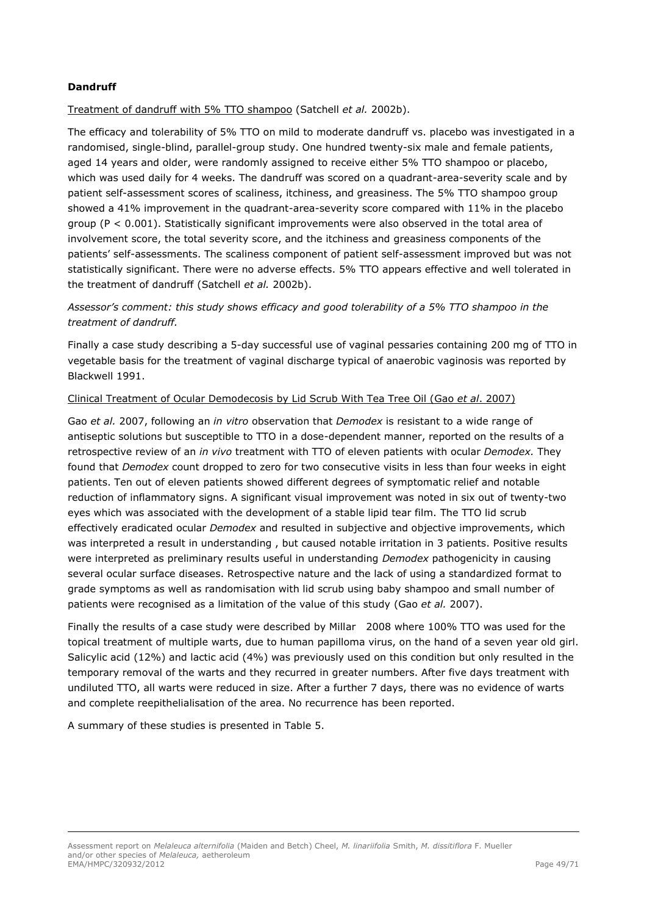## **Dandruff**

Treatment of dandruff with 5% TTO shampoo (Satchell *et al.* 2002b).

The efficacy and tolerability of 5% TTO on mild to moderate dandruff vs. placebo was investigated in a randomised, single-blind, parallel-group study. One hundred twenty-six male and female patients, aged 14 years and older, were randomly assigned to receive either 5% TTO shampoo or placebo, which was used daily for 4 weeks. The dandruff was scored on a quadrant-area-severity scale and by patient self-assessment scores of scaliness, itchiness, and greasiness. The 5% TTO shampoo group showed a 41% improvement in the quadrant-area-severity score compared with 11% in the placebo group (P < 0.001). Statistically significant improvements were also observed in the total area of involvement score, the total severity score, and the itchiness and greasiness components of the patients' self-assessments. The scaliness component of patient self-assessment improved but was not statistically significant. There were no adverse effects. 5% TTO appears effective and well tolerated in the treatment of dandruff (Satchell *et al.* 2002b).

*Assessor's comment: this study shows efficacy and good tolerability of a 5% TTO shampoo in the treatment of dandruff.*

Finally a case study describing a 5-day successful use of vaginal pessaries containing 200 mg of TTO in vegetable basis for the treatment of vaginal discharge typical of anaerobic vaginosis was reported by Blackwell 1991.

#### Clinical Treatment of Ocular Demodecosis by Lid Scrub With Tea Tree Oil (Gao *et al*. 2007)

Gao *et al.* 2007, following an *in vitro* observation that *Demodex* is resistant to a wide range of antiseptic solutions but susceptible to TTO in a dose-dependent manner, reported on the results of a retrospective review of an *in vivo* treatment with TTO of eleven patients with ocular *Demodex.* They found that *Demodex* count dropped to zero for two consecutive visits in less than four weeks in eight patients. Ten out of eleven patients showed different degrees of symptomatic relief and notable reduction of inflammatory signs. A significant visual improvement was noted in six out of twenty-two eyes which was associated with the development of a stable lipid tear film. The TTO lid scrub effectively eradicated ocular *Demodex* and resulted in subjective and objective improvements, which was interpreted a result in understanding , but caused notable irritation in 3 patients. Positive results were interpreted as preliminary results useful in understanding *Demodex* pathogenicity in causing several ocular surface diseases. Retrospective nature and the lack of using a standardized format to grade symptoms as well as randomisation with lid scrub using baby shampoo and small number of patients were recognised as a limitation of the value of this study (Gao *et al.* 2007).

Finally the results of a case study were described by Millar 2008 where 100% TTO was used for the topical treatment of multiple warts, due to human papilloma virus, on the hand of a seven year old girl. Salicylic acid (12%) and lactic acid (4%) was previously used on this condition but only resulted in the temporary removal of the warts and they recurred in greater numbers. After five days treatment with undiluted TTO, all warts were reduced in size. After a further 7 days, there was no evidence of warts and complete reepithelialisation of the area. No recurrence has been reported.

A summary of these studies is presented in Table 5.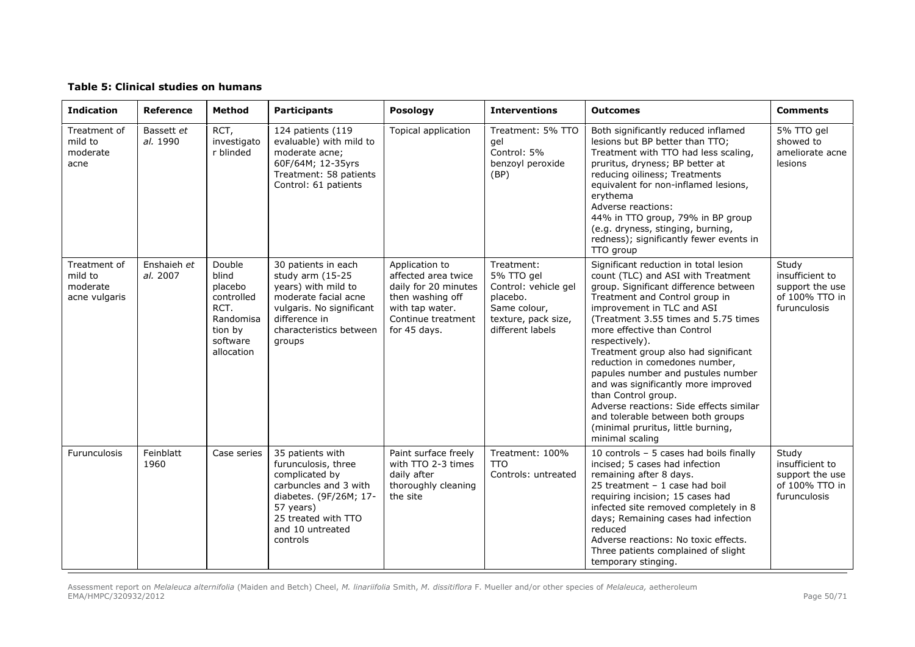#### **Table 5: Clinical studies on humans**

| <b>Indication</b>                                    | Reference               | <b>Method</b>                                                                                      | <b>Participants</b>                                                                                                                                                              | <b>Posology</b>                                                                                                                            | <b>Interventions</b>                                                                                                    | <b>Outcomes</b>                                                                                                                                                                                                                                                                                                                                                                                                                                                                                                                                                                                      | <b>Comments</b>                                                               |
|------------------------------------------------------|-------------------------|----------------------------------------------------------------------------------------------------|----------------------------------------------------------------------------------------------------------------------------------------------------------------------------------|--------------------------------------------------------------------------------------------------------------------------------------------|-------------------------------------------------------------------------------------------------------------------------|------------------------------------------------------------------------------------------------------------------------------------------------------------------------------------------------------------------------------------------------------------------------------------------------------------------------------------------------------------------------------------------------------------------------------------------------------------------------------------------------------------------------------------------------------------------------------------------------------|-------------------------------------------------------------------------------|
| Treatment of<br>mild to<br>moderate<br>acne          | Bassett et<br>al. 1990  | RCT,<br>investigato<br>r blinded                                                                   | 124 patients (119<br>evaluable) with mild to<br>moderate acne;<br>60F/64M; 12-35yrs<br>Treatment: 58 patients<br>Control: 61 patients                                            | Topical application                                                                                                                        | Treatment: 5% TTO<br>gel<br>Control: 5%<br>benzoyl peroxide<br>(BP)                                                     | Both significantly reduced inflamed<br>lesions but BP better than TTO;<br>Treatment with TTO had less scaling,<br>pruritus, dryness; BP better at<br>reducing oiliness; Treatments<br>equivalent for non-inflamed lesions,<br>erythema<br>Adverse reactions:<br>44% in TTO group, 79% in BP group<br>(e.g. dryness, stinging, burning,<br>redness); significantly fewer events in<br>TTO group                                                                                                                                                                                                       | 5% TTO gel<br>showed to<br>ameliorate acne<br>lesions                         |
| Treatment of<br>mild to<br>moderate<br>acne vulgaris | Enshaieh et<br>al. 2007 | Double<br>blind<br>placebo<br>controlled<br>RCT.<br>Randomisa<br>tion by<br>software<br>allocation | 30 patients in each<br>study arm (15-25<br>years) with mild to<br>moderate facial acne<br>vulgaris. No significant<br>difference in<br>characteristics between<br>groups         | Application to<br>affected area twice<br>daily for 20 minutes<br>then washing off<br>with tap water.<br>Continue treatment<br>for 45 days. | Treatment:<br>5% TTO gel<br>Control: vehicle gel<br>placebo.<br>Same colour,<br>texture, pack size,<br>different labels | Significant reduction in total lesion<br>count (TLC) and ASI with Treatment<br>group. Significant difference between<br>Treatment and Control group in<br>improvement in TLC and ASI<br>(Treatment 3.55 times and 5.75 times<br>more effective than Control<br>respectively).<br>Treatment group also had significant<br>reduction in comedones number,<br>papules number and pustules number<br>and was significantly more improved<br>than Control group.<br>Adverse reactions: Side effects similar<br>and tolerable between both groups<br>(minimal pruritus, little burning,<br>minimal scaling | Study<br>insufficient to<br>support the use<br>of 100% TTO in<br>furunculosis |
| Furunculosis                                         | Feinblatt<br>1960       | Case series                                                                                        | 35 patients with<br>furunculosis, three<br>complicated by<br>carbuncles and 3 with<br>diabetes. (9F/26M; 17-<br>57 years)<br>25 treated with TTO<br>and 10 untreated<br>controls | Paint surface freely<br>with $TTO$ 2-3 times<br>daily after<br>thoroughly cleaning<br>the site                                             | Treatment: 100%<br><b>TTO</b><br>Controls: untreated                                                                    | 10 controls - 5 cases had boils finally<br>incised; 5 cases had infection<br>remaining after 8 days.<br>25 treatment - 1 case had boil<br>requiring incision; 15 cases had<br>infected site removed completely in 8<br>days; Remaining cases had infection<br>reduced<br>Adverse reactions: No toxic effects.<br>Three patients complained of slight<br>temporary stinging.                                                                                                                                                                                                                          | Study<br>insufficient to<br>support the use<br>of 100% TTO in<br>furunculosis |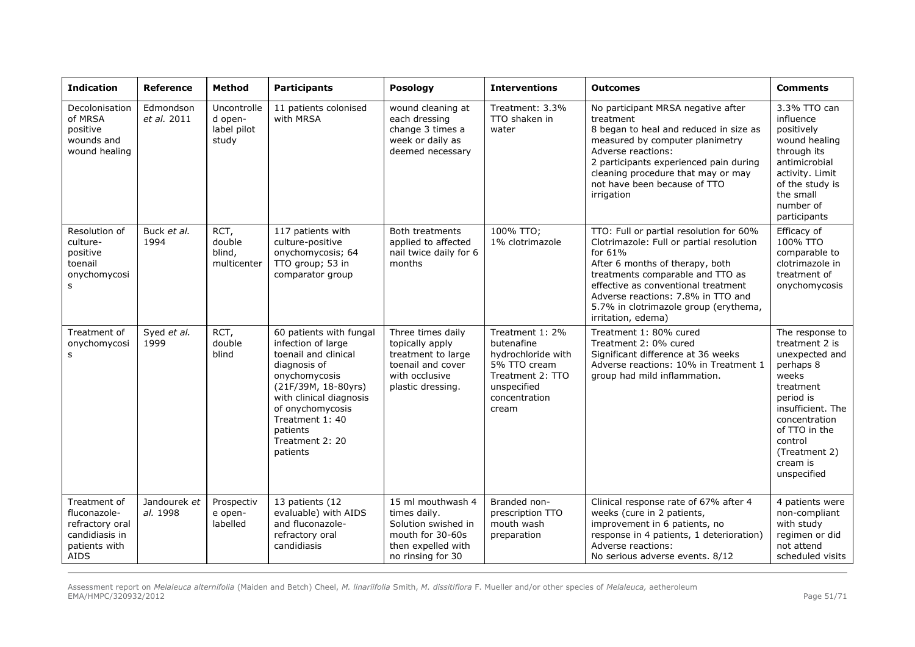| <b>Indication</b>                                                                                 | Reference                | Method                                         | <b>Participants</b>                                                                                                                                                                                                                        | Posology                                                                                                                | <b>Interventions</b>                                                                                                             | <b>Outcomes</b>                                                                                                                                                                                                                                                                                                   | <b>Comments</b>                                                                                                                                                                                                   |
|---------------------------------------------------------------------------------------------------|--------------------------|------------------------------------------------|--------------------------------------------------------------------------------------------------------------------------------------------------------------------------------------------------------------------------------------------|-------------------------------------------------------------------------------------------------------------------------|----------------------------------------------------------------------------------------------------------------------------------|-------------------------------------------------------------------------------------------------------------------------------------------------------------------------------------------------------------------------------------------------------------------------------------------------------------------|-------------------------------------------------------------------------------------------------------------------------------------------------------------------------------------------------------------------|
| Decolonisation<br>of MRSA<br>positive<br>wounds and<br>wound healing                              | Edmondson<br>et al. 2011 | Uncontrolle<br>d open-<br>label pilot<br>study | 11 patients colonised<br>with MRSA                                                                                                                                                                                                         | wound cleaning at<br>each dressing<br>change 3 times a<br>week or daily as<br>deemed necessary                          | Treatment: 3.3%<br>TTO shaken in<br>water                                                                                        | No participant MRSA negative after<br>treatment<br>8 began to heal and reduced in size as<br>measured by computer planimetry<br>Adverse reactions:<br>2 participants experienced pain during<br>cleaning procedure that may or may<br>not have been because of TTO<br>irrigation                                  | 3.3% TTO can<br>influence<br>positively<br>wound healing<br>through its<br>antimicrobial<br>activity. Limit<br>of the study is<br>the small<br>number of<br>participants                                          |
| Resolution of<br>culture-<br>positive<br>toenail<br>onychomycosi<br>s                             | Buck et al.<br>1994      | RCT,<br>double<br>blind,<br>multicenter        | 117 patients with<br>culture-positive<br>onychomycosis; 64<br>TTO group; 53 in<br>comparator group                                                                                                                                         | Both treatments<br>applied to affected<br>nail twice daily for 6<br>months                                              | 100% TTO;<br>1% clotrimazole                                                                                                     | TTO: Full or partial resolution for 60%<br>Clotrimazole: Full or partial resolution<br>for 61%<br>After 6 months of therapy, both<br>treatments comparable and TTO as<br>effective as conventional treatment<br>Adverse reactions: 7.8% in TTO and<br>5.7% in clotrimazole group (erythema,<br>irritation, edema) | Efficacy of<br>100% TTO<br>comparable to<br>clotrimazole in<br>treatment of<br>onychomycosis                                                                                                                      |
| Treatment of<br>onychomycosi<br>s                                                                 | Syed et al.<br>1999      | RCT,<br>double<br>blind                        | 60 patients with fungal<br>infection of large<br>toenail and clinical<br>diagnosis of<br>onychomycosis<br>(21F/39M, 18-80yrs)<br>with clinical diagnosis<br>of onychomycosis<br>Treatment 1: 40<br>patients<br>Treatment 2: 20<br>patients | Three times daily<br>topically apply<br>treatment to large<br>toenail and cover<br>with occlusive<br>plastic dressing.  | Treatment 1: 2%<br>butenafine<br>hydrochloride with<br>5% TTO cream<br>Treatment 2: TTO<br>unspecified<br>concentration<br>cream | Treatment 1: 80% cured<br>Treatment 2: 0% cured<br>Significant difference at 36 weeks<br>Adverse reactions: 10% in Treatment 1<br>group had mild inflammation.                                                                                                                                                    | The response to<br>treatment 2 is<br>unexpected and<br>perhaps 8<br>weeks<br>treatment<br>period is<br>insufficient. The<br>concentration<br>of TTO in the<br>control<br>(Treatment 2)<br>cream is<br>unspecified |
| Treatment of<br>fluconazole-<br>refractory oral<br>candidiasis in<br>patients with<br><b>AIDS</b> | Jandourek et<br>al. 1998 | Prospectiv<br>e open-<br>labelled              | 13 patients (12<br>evaluable) with AIDS<br>and fluconazole-<br>refractory oral<br>candidiasis                                                                                                                                              | 15 ml mouthwash 4<br>times daily.<br>Solution swished in<br>mouth for 30-60s<br>then expelled with<br>no rinsing for 30 | Branded non-<br>prescription TTO<br>mouth wash<br>preparation                                                                    | Clinical response rate of 67% after 4<br>weeks (cure in 2 patients,<br>improvement in 6 patients, no<br>response in 4 patients, 1 deterioration)<br>Adverse reactions:<br>No serious adverse events. 8/12                                                                                                         | 4 patients were<br>non-compliant<br>with study<br>regimen or did<br>not attend<br>scheduled visits                                                                                                                |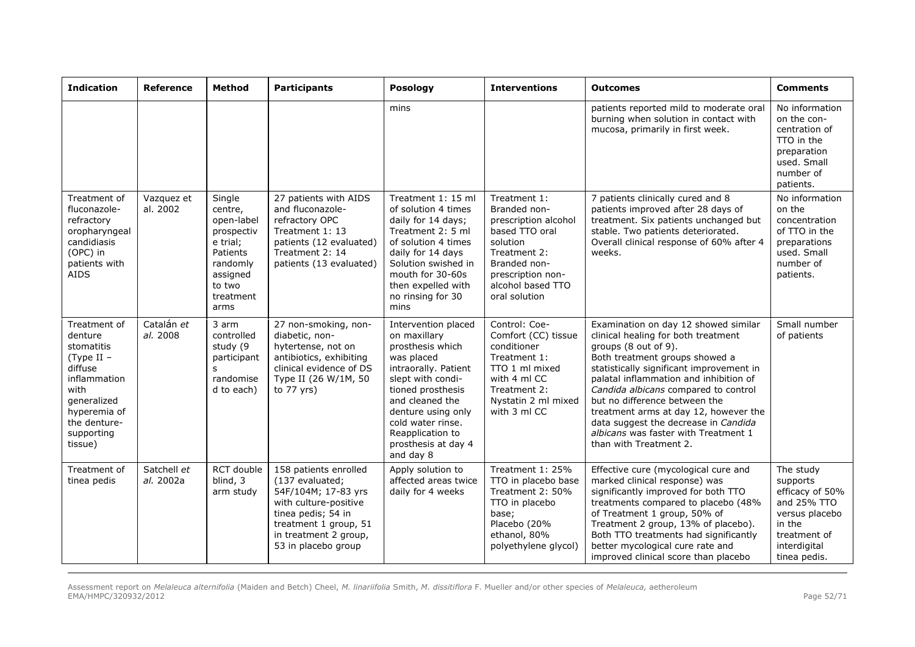| <b>Indication</b>                                                                                                                                              | Reference                | Method                                                                                                                       | <b>Participants</b>                                                                                                                                                                     | Posology                                                                                                                                                                                                                                                      | <b>Interventions</b>                                                                                                                                                          | <b>Outcomes</b>                                                                                                                                                                                                                                                                                                                                                                                                                                         | <b>Comments</b>                                                                                                                     |
|----------------------------------------------------------------------------------------------------------------------------------------------------------------|--------------------------|------------------------------------------------------------------------------------------------------------------------------|-----------------------------------------------------------------------------------------------------------------------------------------------------------------------------------------|---------------------------------------------------------------------------------------------------------------------------------------------------------------------------------------------------------------------------------------------------------------|-------------------------------------------------------------------------------------------------------------------------------------------------------------------------------|---------------------------------------------------------------------------------------------------------------------------------------------------------------------------------------------------------------------------------------------------------------------------------------------------------------------------------------------------------------------------------------------------------------------------------------------------------|-------------------------------------------------------------------------------------------------------------------------------------|
|                                                                                                                                                                |                          |                                                                                                                              |                                                                                                                                                                                         | mins                                                                                                                                                                                                                                                          |                                                                                                                                                                               | patients reported mild to moderate oral<br>burning when solution in contact with<br>mucosa, primarily in first week.                                                                                                                                                                                                                                                                                                                                    | No information<br>on the con-<br>centration of<br>TTO in the<br>preparation<br>used. Small<br>number of<br>patients.                |
| Treatment of<br>fluconazole-<br>refractory<br>oropharyngeal<br>candidiasis<br>(OPC) in<br>patients with<br><b>AIDS</b>                                         | Vazquez et<br>al. 2002   | Single<br>centre,<br>open-label<br>prospectiv<br>e trial:<br>Patients<br>randomly<br>assigned<br>to two<br>treatment<br>arms | 27 patients with AIDS<br>and fluconazole-<br>refractory OPC<br>Treatment 1: 13<br>patients (12 evaluated)<br>Treatment 2: 14<br>patients (13 evaluated)                                 | Treatment 1: 15 ml<br>of solution 4 times<br>daily for 14 days;<br>Treatment 2: 5 ml<br>of solution 4 times<br>daily for 14 days<br>Solution swished in<br>mouth for 30-60s<br>then expelled with<br>no rinsing for 30<br>mins                                | Treatment 1:<br>Branded non-<br>prescription alcohol<br>based TTO oral<br>solution<br>Treatment 2:<br>Branded non-<br>prescription non-<br>alcohol based TTO<br>oral solution | 7 patients clinically cured and 8<br>patients improved after 28 days of<br>treatment. Six patients unchanged but<br>stable. Two patients deteriorated.<br>Overall clinical response of 60% after 4<br>weeks.                                                                                                                                                                                                                                            | No information<br>on the<br>concentration<br>of TTO in the<br>preparations<br>used. Small<br>number of<br>patients.                 |
| Treatment of<br>denture<br>stomatitis<br>(Type II -<br>diffuse<br>inflammation<br>with<br>generalized<br>hyperemia of<br>the denture-<br>supporting<br>tissue) | Catalán et<br>al. 2008   | 3 arm<br>controlled<br>study (9<br>participant<br>$\mathbf{s}$<br>randomise<br>d to each)                                    | 27 non-smoking, non-<br>diabetic, non-<br>hytertense, not on<br>antibiotics, exhibiting<br>clinical evidence of DS<br>Type II (26 W/1M, 50<br>to 77 yrs)                                | Intervention placed<br>on maxillary<br>prosthesis which<br>was placed<br>intraorally. Patient<br>slept with condi-<br>tioned prosthesis<br>and cleaned the<br>denture using only<br>cold water rinse.<br>Reapplication to<br>prosthesis at day 4<br>and day 8 | Control: Coe-<br>Comfort (CC) tissue<br>conditioner<br>Treatment 1:<br>TTO 1 ml mixed<br>with 4 ml CC<br>Treatment 2:<br>Nystatin 2 ml mixed<br>with 3 ml CC                  | Examination on day 12 showed similar<br>clinical healing for both treatment<br>groups (8 out of 9).<br>Both treatment groups showed a<br>statistically significant improvement in<br>palatal inflammation and inhibition of<br>Candida albicans compared to control<br>but no difference between the<br>treatment arms at day 12, however the<br>data suggest the decrease in Candida<br>albicans was faster with Treatment 1<br>than with Treatment 2. | Small number<br>of patients                                                                                                         |
| Treatment of<br>tinea pedis                                                                                                                                    | Satchell et<br>al. 2002a | RCT double<br>blind, 3<br>arm study                                                                                          | 158 patients enrolled<br>(137 evaluated;<br>54F/104M; 17-83 yrs<br>with culture-positive<br>tinea pedis; 54 in<br>treatment 1 group, 51<br>in treatment 2 group,<br>53 in placebo group | Apply solution to<br>affected areas twice<br>daily for 4 weeks                                                                                                                                                                                                | Treatment 1: 25%<br>TTO in placebo base<br>Treatment 2: 50%<br>TTO in placebo<br>base;<br>Placebo (20%<br>ethanol, 80%<br>polyethylene glycol)                                | Effective cure (mycological cure and<br>marked clinical response) was<br>significantly improved for both TTO<br>treatments compared to placebo (48%<br>of Treatment 1 group, 50% of<br>Treatment 2 group, 13% of placebo).<br>Both TTO treatments had significantly<br>better mycological cure rate and<br>improved clinical score than placebo                                                                                                         | The study<br>supports<br>efficacy of 50%<br>and 25% TTO<br>versus placebo<br>in the<br>treatment of<br>interdigital<br>tinea pedis. |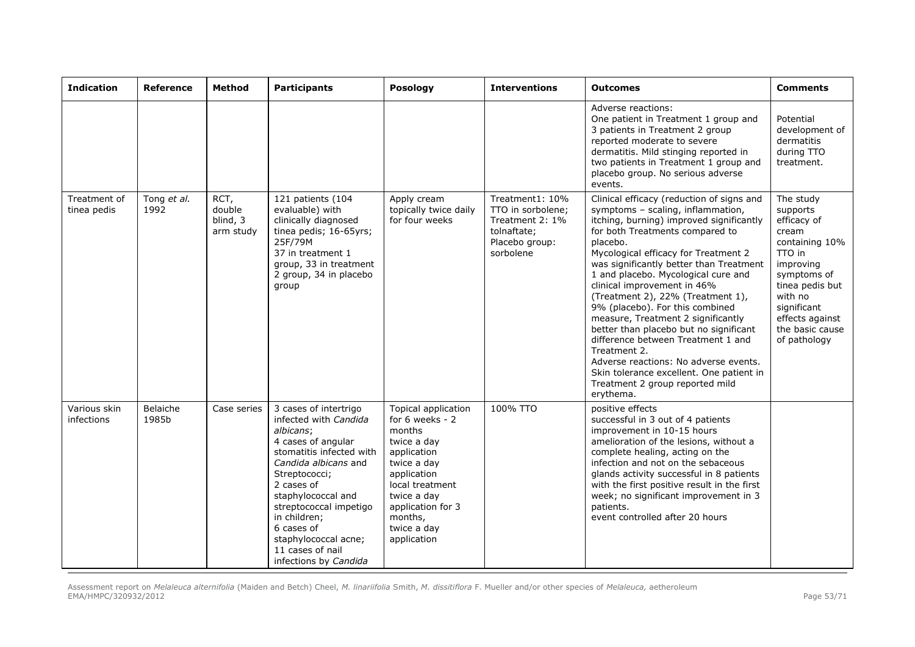| <b>Indication</b>           | Reference           | Method                                  | <b>Participants</b>                                                                                                                                                                                                                                                                                                     | Posology                                                                                                                                                                                                     | <b>Interventions</b>                                                                                  | <b>Outcomes</b>                                                                                                                                                                                                                                                                                                                                                                                                                                                                                                                                                                                                                                                                       | <b>Comments</b>                                                                                                                                                                                          |
|-----------------------------|---------------------|-----------------------------------------|-------------------------------------------------------------------------------------------------------------------------------------------------------------------------------------------------------------------------------------------------------------------------------------------------------------------------|--------------------------------------------------------------------------------------------------------------------------------------------------------------------------------------------------------------|-------------------------------------------------------------------------------------------------------|---------------------------------------------------------------------------------------------------------------------------------------------------------------------------------------------------------------------------------------------------------------------------------------------------------------------------------------------------------------------------------------------------------------------------------------------------------------------------------------------------------------------------------------------------------------------------------------------------------------------------------------------------------------------------------------|----------------------------------------------------------------------------------------------------------------------------------------------------------------------------------------------------------|
|                             |                     |                                         |                                                                                                                                                                                                                                                                                                                         |                                                                                                                                                                                                              |                                                                                                       | Adverse reactions:<br>One patient in Treatment 1 group and<br>3 patients in Treatment 2 group<br>reported moderate to severe<br>dermatitis. Mild stinging reported in<br>two patients in Treatment 1 group and<br>placebo group. No serious adverse<br>events.                                                                                                                                                                                                                                                                                                                                                                                                                        | Potential<br>development of<br>dermatitis<br>during TTO<br>treatment.                                                                                                                                    |
| Treatment of<br>tinea pedis | Tong et al.<br>1992 | RCT,<br>double<br>blind, 3<br>arm study | 121 patients (104<br>evaluable) with<br>clinically diagnosed<br>tinea pedis; 16-65yrs;<br>25F/79M<br>37 in treatment 1<br>group, 33 in treatment<br>2 group, 34 in placebo<br>group                                                                                                                                     | Apply cream<br>topically twice daily<br>for four weeks                                                                                                                                                       | Treatment1: 10%<br>TTO in sorbolene;<br>Treatment 2: 1%<br>tolnaftate;<br>Placebo group:<br>sorbolene | Clinical efficacy (reduction of signs and<br>symptoms - scaling, inflammation,<br>itching, burning) improved significantly<br>for both Treatments compared to<br>placebo.<br>Mycological efficacy for Treatment 2<br>was significantly better than Treatment<br>1 and placebo. Mycological cure and<br>clinical improvement in 46%<br>(Treatment 2), 22% (Treatment 1),<br>9% (placebo). For this combined<br>measure, Treatment 2 significantly<br>better than placebo but no significant<br>difference between Treatment 1 and<br>Treatment 2.<br>Adverse reactions: No adverse events.<br>Skin tolerance excellent. One patient in<br>Treatment 2 group reported mild<br>erythema. | The study<br>supports<br>efficacy of<br>cream<br>containing 10%<br>TTO in<br>improving<br>symptoms of<br>tinea pedis but<br>with no<br>significant<br>effects against<br>the basic cause<br>of pathology |
| Various skin<br>infections  | Belaiche<br>1985b   | Case series                             | 3 cases of intertrigo<br>infected with Candida<br>albicans;<br>4 cases of angular<br>stomatitis infected with<br>Candida albicans and<br>Streptococci;<br>2 cases of<br>staphylococcal and<br>streptococcal impetigo<br>in children;<br>6 cases of<br>staphylococcal acne;<br>11 cases of nail<br>infections by Candida | Topical application<br>for 6 weeks - 2<br>months<br>twice a day<br>application<br>twice a day<br>application<br>local treatment<br>twice a day<br>application for 3<br>months,<br>twice a day<br>application | 100% TTO                                                                                              | positive effects<br>successful in 3 out of 4 patients<br>improvement in 10-15 hours<br>amelioration of the lesions, without a<br>complete healing, acting on the<br>infection and not on the sebaceous<br>glands activity successful in 8 patients<br>with the first positive result in the first<br>week; no significant improvement in 3<br>patients.<br>event controlled after 20 hours                                                                                                                                                                                                                                                                                            |                                                                                                                                                                                                          |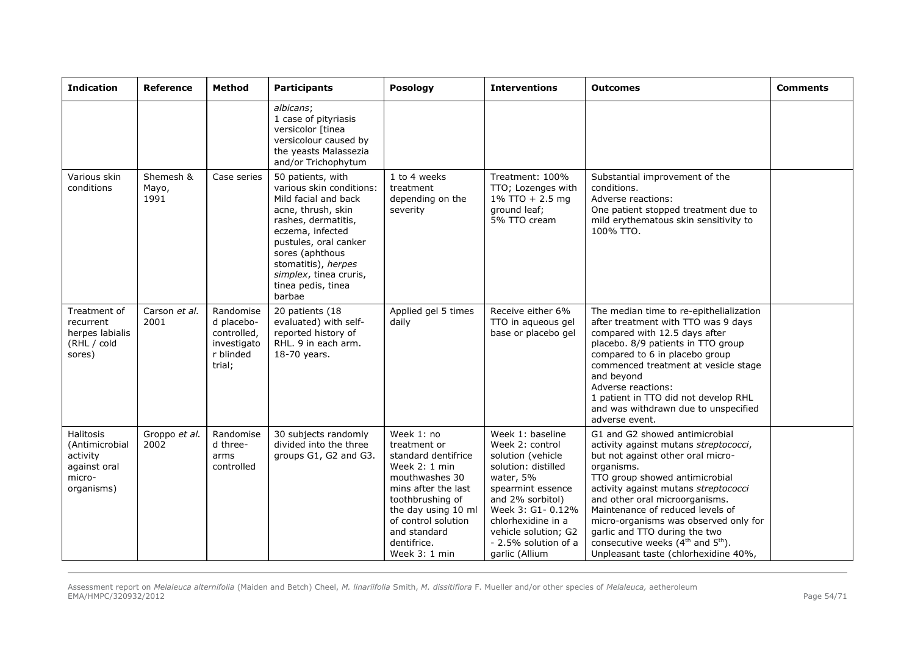| <b>Indication</b>                                                               | Reference                  | Method                                                                       | <b>Participants</b>                                                                                                                                                                                                                                                 | Posology                                                                                                                                                                                                                      | <b>Interventions</b>                                                                                                                                                                                                                               | <b>Outcomes</b>                                                                                                                                                                                                                                                                                                                                                                                                                             | <b>Comments</b> |
|---------------------------------------------------------------------------------|----------------------------|------------------------------------------------------------------------------|---------------------------------------------------------------------------------------------------------------------------------------------------------------------------------------------------------------------------------------------------------------------|-------------------------------------------------------------------------------------------------------------------------------------------------------------------------------------------------------------------------------|----------------------------------------------------------------------------------------------------------------------------------------------------------------------------------------------------------------------------------------------------|---------------------------------------------------------------------------------------------------------------------------------------------------------------------------------------------------------------------------------------------------------------------------------------------------------------------------------------------------------------------------------------------------------------------------------------------|-----------------|
|                                                                                 |                            |                                                                              | albicans;<br>1 case of pityriasis<br>versicolor [tinea<br>versicolour caused by<br>the yeasts Malassezia<br>and/or Trichophytum                                                                                                                                     |                                                                                                                                                                                                                               |                                                                                                                                                                                                                                                    |                                                                                                                                                                                                                                                                                                                                                                                                                                             |                 |
| Various skin<br>conditions                                                      | Shemesh &<br>Mayo,<br>1991 | Case series                                                                  | 50 patients, with<br>various skin conditions:<br>Mild facial and back<br>acne, thrush, skin<br>rashes, dermatitis,<br>eczema, infected<br>pustules, oral canker<br>sores (aphthous<br>stomatitis), herpes<br>simplex, tinea cruris,<br>tinea pedis, tinea<br>barbae | 1 to 4 weeks<br>treatment<br>depending on the<br>severity                                                                                                                                                                     | Treatment: 100%<br>TTO; Lozenges with<br>$1\%$ TTO + 2.5 mg<br>ground leaf;<br>5% TTO cream                                                                                                                                                        | Substantial improvement of the<br>conditions.<br>Adverse reactions:<br>One patient stopped treatment due to<br>mild erythematous skin sensitivity to<br>100% TTO.                                                                                                                                                                                                                                                                           |                 |
| Treatment of<br>recurrent<br>herpes labialis<br>(RHL / cold<br>sores)           | Carson et al.<br>2001      | Randomise<br>d placebo-<br>controlled.<br>investigato<br>r blinded<br>trial; | 20 patients (18<br>evaluated) with self-<br>reported history of<br>RHL. 9 in each arm.<br>18-70 years.                                                                                                                                                              | Applied gel 5 times<br>daily                                                                                                                                                                                                  | Receive either 6%<br>TTO in aqueous gel<br>base or placebo gel                                                                                                                                                                                     | The median time to re-epithelialization<br>after treatment with TTO was 9 days<br>compared with 12.5 days after<br>placebo. 8/9 patients in TTO group<br>compared to 6 in placebo group<br>commenced treatment at vesicle stage<br>and beyond<br>Adverse reactions:<br>1 patient in TTO did not develop RHL<br>and was withdrawn due to unspecified<br>adverse event.                                                                       |                 |
| Halitosis<br>(Antimicrobial<br>activity<br>against oral<br>micro-<br>organisms) | Groppo et al.<br>2002      | Randomise<br>d three-<br>arms<br>controlled                                  | 30 subjects randomly<br>divided into the three<br>groups G1, G2 and G3.                                                                                                                                                                                             | Week 1: no<br>treatment or<br>standard dentifrice<br>Week 2: 1 min<br>mouthwashes 30<br>mins after the last<br>toothbrushing of<br>the day using 10 ml<br>of control solution<br>and standard<br>dentifrice.<br>Week 3: 1 min | Week 1: baseline<br>Week 2: control<br>solution (vehicle<br>solution: distilled<br>water, 5%<br>spearmint essence<br>and 2% sorbitol)<br>Week 3: G1- 0.12%<br>chlorhexidine in a<br>vehicle solution; G2<br>- 2.5% solution of a<br>garlic (Allium | G1 and G2 showed antimicrobial<br>activity against mutans streptococci,<br>but not against other oral micro-<br>organisms.<br>TTO group showed antimicrobial<br>activity against mutans streptococci<br>and other oral microorganisms.<br>Maintenance of reduced levels of<br>micro-organisms was observed only for<br>garlic and TTO during the two<br>consecutive weeks $(4^{th}$ and $5^{th})$ .<br>Unpleasant taste (chlorhexidine 40%, |                 |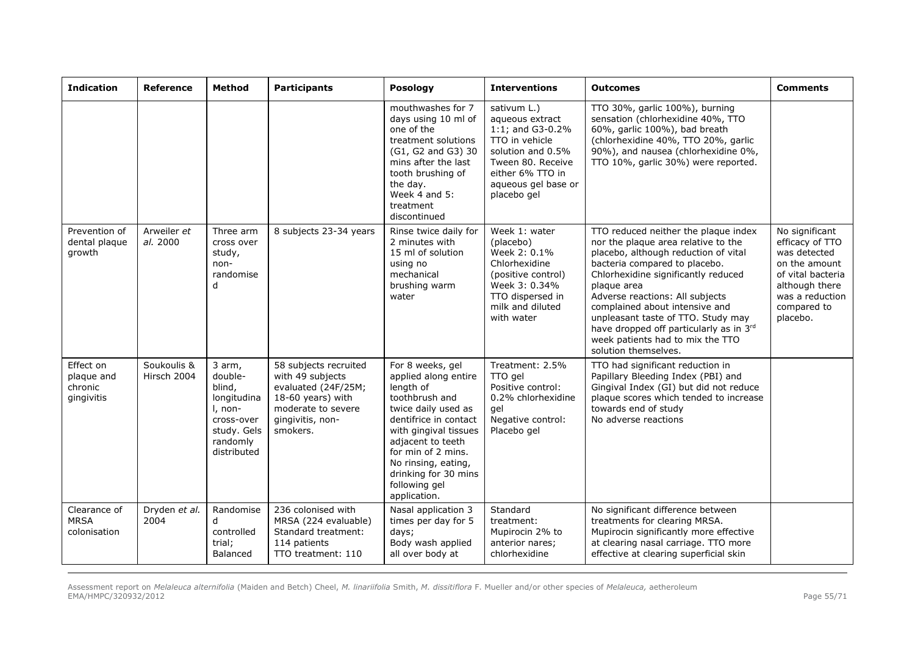| <b>Indication</b>                                | Reference                  | Method                                                                                                        | <b>Participants</b>                                                                                                                         | Posology                                                                                                                                                                                                                                                                    | <b>Interventions</b>                                                                                                                                                     | <b>Outcomes</b>                                                                                                                                                                                                                                                                                                                                                                                                              | <b>Comments</b>                                                                                                                                         |
|--------------------------------------------------|----------------------------|---------------------------------------------------------------------------------------------------------------|---------------------------------------------------------------------------------------------------------------------------------------------|-----------------------------------------------------------------------------------------------------------------------------------------------------------------------------------------------------------------------------------------------------------------------------|--------------------------------------------------------------------------------------------------------------------------------------------------------------------------|------------------------------------------------------------------------------------------------------------------------------------------------------------------------------------------------------------------------------------------------------------------------------------------------------------------------------------------------------------------------------------------------------------------------------|---------------------------------------------------------------------------------------------------------------------------------------------------------|
|                                                  |                            |                                                                                                               |                                                                                                                                             | mouthwashes for 7<br>days using 10 ml of<br>one of the<br>treatment solutions<br>(G1, G2 and G3) 30<br>mins after the last<br>tooth brushing of<br>the day.<br>Week $4$ and $5:$<br>treatment<br>discontinued                                                               | sativum L.)<br>aqueous extract<br>1:1; and G3-0.2%<br>TTO in vehicle<br>solution and 0.5%<br>Tween 80, Receive<br>either 6% TTO in<br>aqueous gel base or<br>placebo gel | TTO 30%, garlic 100%), burning<br>sensation (chlorhexidine 40%, TTO<br>60%, garlic 100%), bad breath<br>(chlorhexidine 40%, TTO 20%, garlic<br>90%), and nausea (chlorhexidine 0%,<br>TTO 10%, garlic 30%) were reported.                                                                                                                                                                                                    |                                                                                                                                                         |
| Prevention of<br>dental plaque<br>growth         | Arweiler et<br>al. 2000    | Three arm<br>cross over<br>study,<br>non-<br>randomise<br>d                                                   | 8 subjects 23-34 years                                                                                                                      | Rinse twice daily for<br>2 minutes with<br>15 ml of solution<br>using no<br>mechanical<br>brushing warm<br>water                                                                                                                                                            | Week 1: water<br>(placebo)<br>Week 2: 0.1%<br>Chlorhexidine<br>(positive control)<br>Week 3: 0.34%<br>TTO dispersed in<br>milk and diluted<br>with water                 | TTO reduced neither the plaque index<br>nor the plaque area relative to the<br>placebo, although reduction of vital<br>bacteria compared to placebo.<br>Chlorhexidine significantly reduced<br>plaque area<br>Adverse reactions: All subjects<br>complained about intensive and<br>unpleasant taste of TTO. Study may<br>have dropped off particularly as in 3rd<br>week patients had to mix the TTO<br>solution themselves. | No significant<br>efficacy of TTO<br>was detected<br>on the amount<br>of vital bacteria<br>although there<br>was a reduction<br>compared to<br>placebo. |
| Effect on<br>plaque and<br>chronic<br>gingivitis | Soukoulis &<br>Hirsch 2004 | 3 arm,<br>double-<br>blind,<br>longitudina<br>I, non-<br>cross-over<br>study. Gels<br>randomly<br>distributed | 58 subjects recruited<br>with 49 subjects<br>evaluated (24F/25M;<br>18-60 years) with<br>moderate to severe<br>gingivitis, non-<br>smokers. | For 8 weeks, gel<br>applied along entire<br>length of<br>toothbrush and<br>twice daily used as<br>dentifrice in contact<br>with gingival tissues<br>adjacent to teeth<br>for min of 2 mins.<br>No rinsing, eating,<br>drinking for 30 mins<br>following gel<br>application. | Treatment: 2.5%<br>TTO gel<br>Positive control:<br>0.2% chlorhexidine<br>ael<br>Negative control:<br>Placebo gel                                                         | TTO had significant reduction in<br>Papillary Bleeding Index (PBI) and<br>Gingival Index (GI) but did not reduce<br>plaque scores which tended to increase<br>towards end of study<br>No adverse reactions                                                                                                                                                                                                                   |                                                                                                                                                         |
| Clearance of<br><b>MRSA</b><br>colonisation      | Dryden et al.<br>2004      | Randomise<br>d<br>controlled<br>trial;<br>Balanced                                                            | 236 colonised with<br>MRSA (224 evaluable)<br>Standard treatment:<br>114 patients<br>TTO treatment: 110                                     | Nasal application 3<br>times per day for 5<br>days;<br>Body wash applied<br>all over body at                                                                                                                                                                                | Standard<br>treatment:<br>Mupirocin 2% to<br>anterior nares;<br>chlorhexidine                                                                                            | No significant difference between<br>treatments for clearing MRSA.<br>Mupirocin significantly more effective<br>at clearing nasal carriage. TTO more<br>effective at clearing superficial skin                                                                                                                                                                                                                               |                                                                                                                                                         |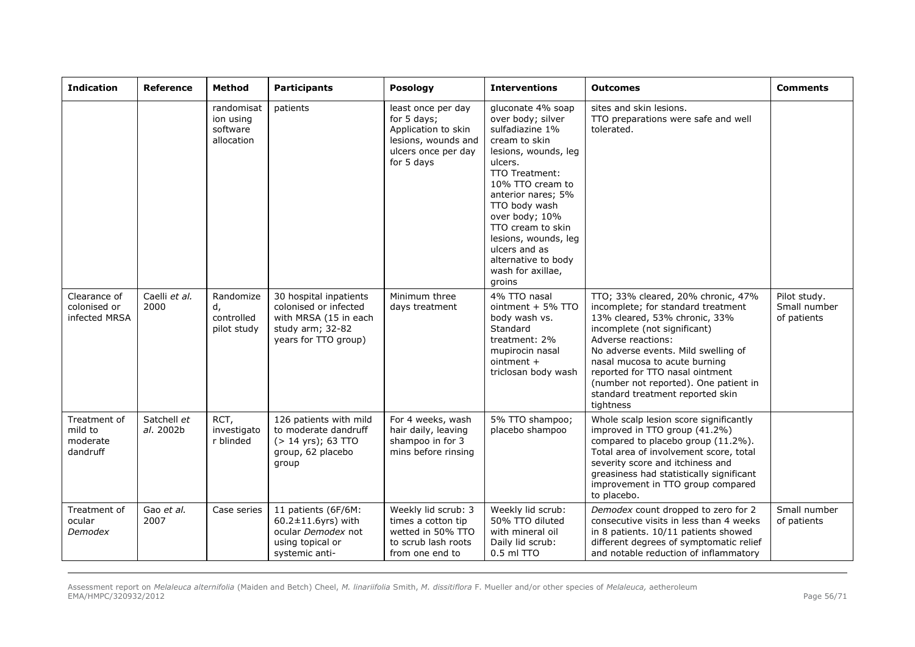| <b>Indication</b>                               | <b>Reference</b>         | Method                                            | <b>Participants</b>                                                                                                  | Posology                                                                                                             | <b>Interventions</b>                                                                                                                                                                                                                                                                                                             | <b>Outcomes</b>                                                                                                                                                                                                                                                                                                                                                      | <b>Comments</b>                             |
|-------------------------------------------------|--------------------------|---------------------------------------------------|----------------------------------------------------------------------------------------------------------------------|----------------------------------------------------------------------------------------------------------------------|----------------------------------------------------------------------------------------------------------------------------------------------------------------------------------------------------------------------------------------------------------------------------------------------------------------------------------|----------------------------------------------------------------------------------------------------------------------------------------------------------------------------------------------------------------------------------------------------------------------------------------------------------------------------------------------------------------------|---------------------------------------------|
|                                                 |                          | randomisat<br>ion using<br>software<br>allocation | patients                                                                                                             | least once per day<br>for 5 days;<br>Application to skin<br>lesions, wounds and<br>ulcers once per day<br>for 5 days | gluconate 4% soap<br>over body; silver<br>sulfadiazine 1%<br>cream to skin<br>lesions, wounds, leg<br>ulcers.<br>TTO Treatment:<br>10% TTO cream to<br>anterior nares; 5%<br>TTO body wash<br>over body; 10%<br>TTO cream to skin<br>lesions, wounds, leg<br>ulcers and as<br>alternative to body<br>wash for axillae,<br>groins | sites and skin lesions.<br>TTO preparations were safe and well<br>tolerated.                                                                                                                                                                                                                                                                                         |                                             |
| Clearance of<br>colonised or<br>infected MRSA   | Caelli et al.<br>2000    | Randomize<br>d,<br>controlled<br>pilot study      | 30 hospital inpatients<br>colonised or infected<br>with MRSA (15 in each<br>study arm; 32-82<br>years for TTO group) | Minimum three<br>days treatment                                                                                      | 4% TTO nasal<br>ointment + 5% TTO<br>body wash vs.<br>Standard<br>treatment: 2%<br>mupirocin nasal<br>$ointment +$<br>triclosan body wash                                                                                                                                                                                        | TTO; 33% cleared, 20% chronic, 47%<br>incomplete; for standard treatment<br>13% cleared, 53% chronic, 33%<br>incomplete (not significant)<br>Adverse reactions:<br>No adverse events. Mild swelling of<br>nasal mucosa to acute burning<br>reported for TTO nasal ointment<br>(number not reported). One patient in<br>standard treatment reported skin<br>tightness | Pilot study.<br>Small number<br>of patients |
| Treatment of<br>mild to<br>moderate<br>dandruff | Satchell et<br>al. 2002b | RCT,<br>investigato<br>r blinded                  | 126 patients with mild<br>to moderate dandruff<br>$( > 14 \text{ yrs})$ ; 63 TTO<br>group, 62 placebo<br>group       | For 4 weeks, wash<br>hair daily, leaving<br>shampoo in for 3<br>mins before rinsing                                  | 5% TTO shampoo;<br>placebo shampoo                                                                                                                                                                                                                                                                                               | Whole scalp lesion score significantly<br>improved in TTO group (41.2%)<br>compared to placebo group (11.2%).<br>Total area of involvement score, total<br>severity score and itchiness and<br>greasiness had statistically significant<br>improvement in TTO group compared<br>to placebo.                                                                          |                                             |
| Treatment of<br>ocular<br>Demodex               | Gao et al.<br>2007       | Case series                                       | 11 patients (6F/6M:<br>$60.2 \pm 11.6$ yrs) with<br>ocular Demodex not<br>using topical or<br>systemic anti-         | Weekly lid scrub: 3<br>times a cotton tip<br>wetted in 50% TTO<br>to scrub lash roots<br>from one end to             | Weekly lid scrub:<br>50% TTO diluted<br>with mineral oil<br>Daily lid scrub:<br>0.5 ml TTO                                                                                                                                                                                                                                       | Demodex count dropped to zero for 2<br>consecutive visits in less than 4 weeks<br>in 8 patients. 10/11 patients showed<br>different degrees of symptomatic relief<br>and notable reduction of inflammatory                                                                                                                                                           | Small number<br>of patients                 |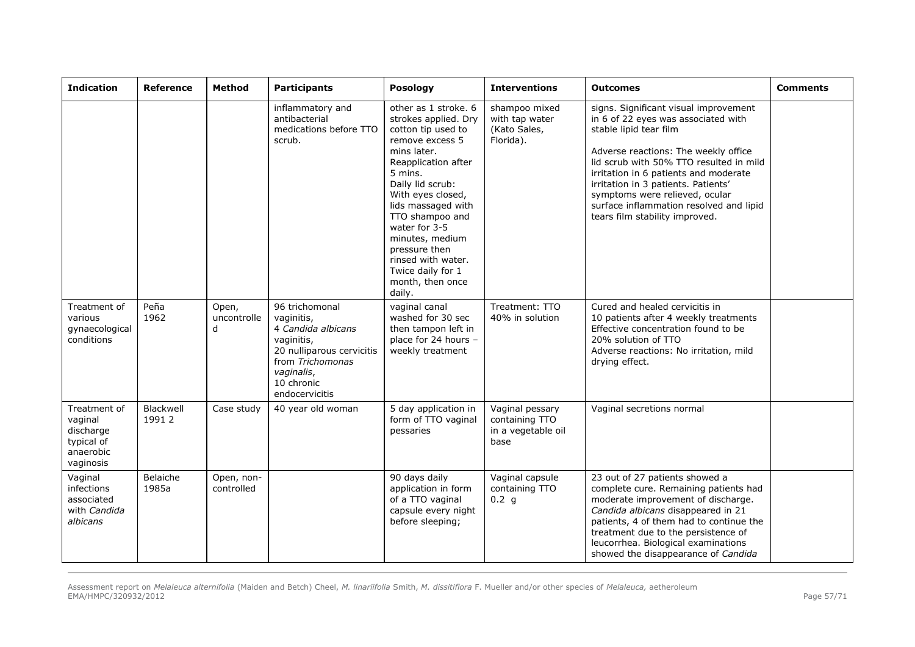| <b>Indication</b>                                                            | <b>Reference</b>   | Method                    | <b>Participants</b>                                                                                                                                             | Posology                                                                                                                                                                                                                                                                                                                                               | <b>Interventions</b>                                            | <b>Outcomes</b>                                                                                                                                                                                                                                                                                                                                                                          | <b>Comments</b> |
|------------------------------------------------------------------------------|--------------------|---------------------------|-----------------------------------------------------------------------------------------------------------------------------------------------------------------|--------------------------------------------------------------------------------------------------------------------------------------------------------------------------------------------------------------------------------------------------------------------------------------------------------------------------------------------------------|-----------------------------------------------------------------|------------------------------------------------------------------------------------------------------------------------------------------------------------------------------------------------------------------------------------------------------------------------------------------------------------------------------------------------------------------------------------------|-----------------|
|                                                                              |                    |                           | inflammatory and<br>antibacterial<br>medications before TTO<br>scrub.                                                                                           | other as 1 stroke. 6<br>strokes applied. Dry<br>cotton tip used to<br>remove excess 5<br>mins later.<br>Reapplication after<br>5 mins.<br>Daily lid scrub:<br>With eyes closed,<br>lids massaged with<br>TTO shampoo and<br>water for 3-5<br>minutes, medium<br>pressure then<br>rinsed with water.<br>Twice daily for 1<br>month, then once<br>daily. | shampoo mixed<br>with tap water<br>(Kato Sales,<br>Florida).    | signs. Significant visual improvement<br>in 6 of 22 eyes was associated with<br>stable lipid tear film<br>Adverse reactions: The weekly office<br>lid scrub with 50% TTO resulted in mild<br>irritation in 6 patients and moderate<br>irritation in 3 patients. Patients'<br>symptoms were relieved, ocular<br>surface inflammation resolved and lipid<br>tears film stability improved. |                 |
| Treatment of<br>various<br>gynaecological<br>conditions                      | Peña<br>1962       | Open,<br>uncontrolle<br>d | 96 trichomonal<br>vaginitis,<br>4 Candida albicans<br>vaginitis,<br>20 nulliparous cervicitis<br>from Trichomonas<br>vaginalis,<br>10 chronic<br>endocervicitis | vaginal canal<br>washed for 30 sec<br>then tampon left in<br>place for 24 hours -<br>weekly treatment                                                                                                                                                                                                                                                  | Treatment: TTO<br>40% in solution                               | Cured and healed cervicitis in<br>10 patients after 4 weekly treatments<br>Effective concentration found to be<br>20% solution of TTO<br>Adverse reactions: No irritation, mild<br>drying effect.                                                                                                                                                                                        |                 |
| Treatment of<br>vaginal<br>discharge<br>typical of<br>anaerobic<br>vaginosis | Blackwell<br>19912 | Case study                | 40 year old woman                                                                                                                                               | 5 day application in<br>form of TTO vaginal<br>pessaries                                                                                                                                                                                                                                                                                               | Vaginal pessary<br>containing TTO<br>in a vegetable oil<br>base | Vaginal secretions normal                                                                                                                                                                                                                                                                                                                                                                |                 |
| Vaginal<br>infections<br>associated<br>with Candida<br>albicans              | Belaiche<br>1985a  | Open, non-<br>controlled  |                                                                                                                                                                 | 90 days daily<br>application in form<br>of a TTO vaginal<br>capsule every night<br>before sleeping;                                                                                                                                                                                                                                                    | Vaginal capsule<br>containing TTO<br>0.2 g                      | 23 out of 27 patients showed a<br>complete cure. Remaining patients had<br>moderate improvement of discharge.<br>Candida albicans disappeared in 21<br>patients, 4 of them had to continue the<br>treatment due to the persistence of<br>leucorrhea. Biological examinations<br>showed the disappearance of Candida                                                                      |                 |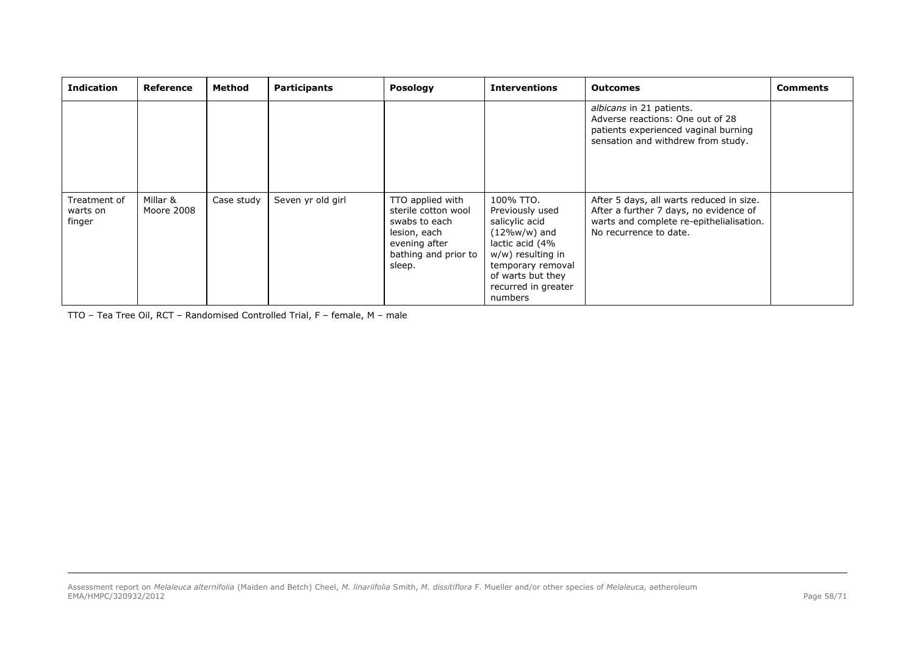| <b>Indication</b>                  | Reference              | Method     | <b>Participants</b> | <b>Posology</b>                                                                                                             | <b>Interventions</b>                                                                                                                                                                  | <b>Outcomes</b>                                                                                                                                          | <b>Comments</b> |
|------------------------------------|------------------------|------------|---------------------|-----------------------------------------------------------------------------------------------------------------------------|---------------------------------------------------------------------------------------------------------------------------------------------------------------------------------------|----------------------------------------------------------------------------------------------------------------------------------------------------------|-----------------|
|                                    |                        |            |                     |                                                                                                                             |                                                                                                                                                                                       | albicans in 21 patients.<br>Adverse reactions: One out of 28<br>patients experienced vaginal burning<br>sensation and withdrew from study.               |                 |
| Treatment of<br>warts on<br>finger | Millar &<br>Moore 2008 | Case study | Seven yr old girl   | TTO applied with<br>sterile cotton wool<br>swabs to each<br>lesion, each<br>evening after<br>bathing and prior to<br>sleep. | 100% TTO.<br>Previously used<br>salicylic acid<br>$(12\%w/w)$ and<br>lactic acid (4%<br>w/w) resulting in<br>temporary removal<br>of warts but they<br>recurred in greater<br>numbers | After 5 days, all warts reduced in size.<br>After a further 7 days, no evidence of<br>warts and complete re-epithelialisation.<br>No recurrence to date. |                 |

TTO – Tea Tree Oil, RCT – Randomised Controlled Trial, F – female, M – male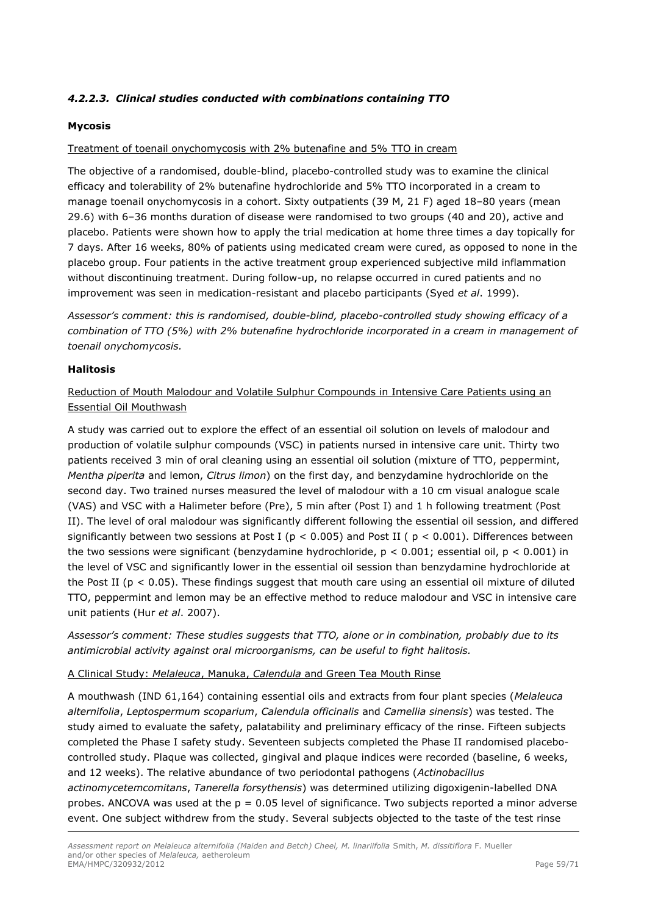# <span id="page-58-0"></span>*4.2.2.3. Clinical studies conducted with combinations containing TTO*

### **Mycosis**

### Treatment of toenail onychomycosis with 2% butenafine and 5% TTO in cream

The objective of a randomised, double-blind, placebo-controlled study was to examine the clinical efficacy and tolerability of 2% butenafine hydrochloride and 5% TTO incorporated in a cream to manage toenail onychomycosis in a cohort. Sixty outpatients (39 M, 21 F) aged 18–80 years (mean 29.6) with 6–36 months duration of disease were randomised to two groups (40 and 20), active and placebo. Patients were shown how to apply the trial medication at home three times a day topically for 7 days. After 16 weeks, 80% of patients using medicated cream were cured, as opposed to none in the placebo group. Four patients in the active treatment group experienced subjective mild inflammation without discontinuing treatment. During follow-up, no relapse occurred in cured patients and no improvement was seen in medication-resistant and placebo participants (Syed *et al*. 1999).

*Assessor's comment: this is randomised, double-blind, placebo-controlled study showing efficacy of a combination of TTO (5%) with 2% butenafine hydrochloride incorporated in a cream in management of toenail onychomycosis.*

#### **Halitosis**

## Reduction of Mouth Malodour and Volatile Sulphur Compounds in Intensive Care Patients using an Essential Oil Mouthwash

A study was carried out to explore the effect of an essential oil solution on levels of malodour and production of volatile sulphur compounds (VSC) in patients nursed in intensive care unit. Thirty two patients received 3 min of oral cleaning using an essential oil solution (mixture of TTO, peppermint, *Mentha piperita* and lemon, *Citrus limon*) on the first day, and benzydamine hydrochloride on the second day. Two trained nurses measured the level of malodour with a 10 cm visual analogue scale (VAS) and VSC with a Halimeter before (Pre), 5 min after (Post I) and 1 h following treatment (Post II). The level of oral malodour was significantly different following the essential oil session, and differed significantly between two sessions at Post I ( $p < 0.005$ ) and Post II ( $p < 0.001$ ). Differences between the two sessions were significant (benzydamine hydrochloride,  $p < 0.001$ ; essential oil,  $p < 0.001$ ) in the level of VSC and significantly lower in the essential oil session than benzydamine hydrochloride at the Post II ( $p < 0.05$ ). These findings suggest that mouth care using an essential oil mixture of diluted TTO, peppermint and lemon may be an effective method to reduce malodour and VSC in intensive care unit patients (Hur *et al*. 2007).

*Assessor's comment: These studies suggests that TTO, alone or in combination, probably due to its antimicrobial activity against oral microorganisms, can be useful to fight halitosis.* 

#### A Clinical Study: *Melaleuca*, Manuka, *Calendula* and Green Tea Mouth Rinse

A mouthwash (IND 61,164) containing essential oils and extracts from four plant species (*Melaleuca alternifolia*, *Leptospermum scoparium*, *Calendula officinalis* and *Camellia sinensis*) was tested. The study aimed to evaluate the safety, palatability and preliminary efficacy of the rinse. Fifteen subjects completed the Phase I safety study. Seventeen subjects completed the Phase II randomised placebocontrolled study. Plaque was collected, gingival and plaque indices were recorded (baseline, 6 weeks, and 12 weeks). The relative abundance of two periodontal pathogens (*Actinobacillus actinomycetemcomitans*, *Tanerella forsythensis*) was determined utilizing digoxigenin-labelled DNA probes. ANCOVA was used at the  $p = 0.05$  level of significance. Two subjects reported a minor adverse event. One subject withdrew from the study. Several subjects objected to the taste of the test rinse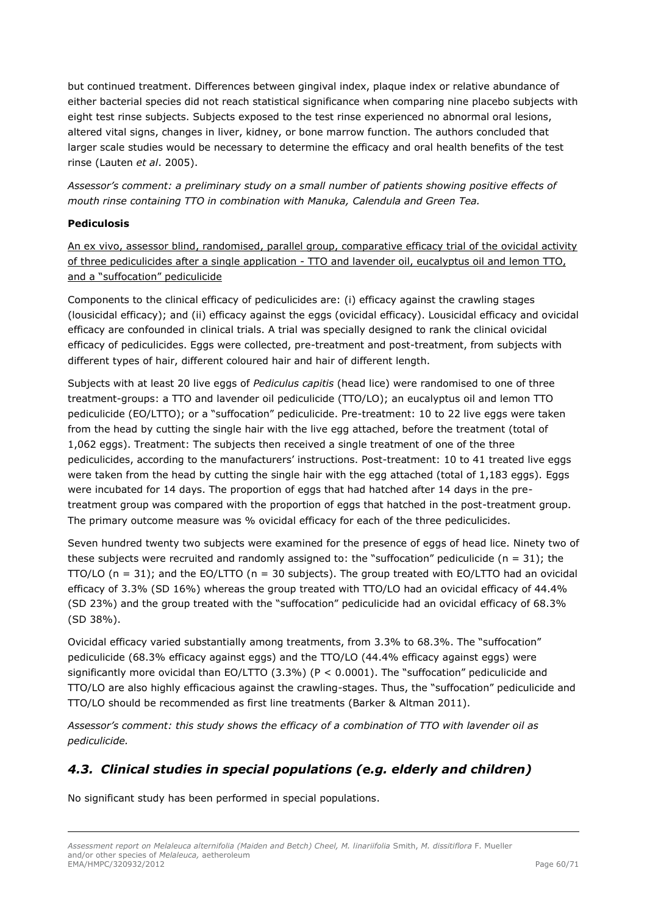but continued treatment. Differences between gingival index, plaque index or relative abundance of either bacterial species did not reach statistical significance when comparing nine placebo subjects with eight test rinse subjects. Subjects exposed to the test rinse experienced no abnormal oral lesions, altered vital signs, changes in liver, kidney, or bone marrow function. The authors concluded that larger scale studies would be necessary to determine the efficacy and oral health benefits of the test rinse (Lauten *et al*. 2005).

*Assessor's comment: a preliminary study on a small number of patients showing positive effects of mouth rinse containing TTO in combination with Manuka, Calendula and Green Tea.*

## **Pediculosis**

An ex vivo, assessor blind, randomised, parallel group, comparative efficacy trial of the ovicidal activity of three pediculicides after a single application - TTO and lavender oil, eucalyptus oil and lemon TTO, and a "suffocation" pediculicide

Components to the clinical efficacy of pediculicides are: (i) efficacy against the crawling stages (lousicidal efficacy); and (ii) efficacy against the eggs (ovicidal efficacy). Lousicidal efficacy and ovicidal efficacy are confounded in clinical trials. A trial was specially designed to rank the clinical ovicidal efficacy of pediculicides. Eggs were collected, pre-treatment and post-treatment, from subjects with different types of hair, different coloured hair and hair of different length.

Subjects with at least 20 live eggs of *Pediculus capitis* (head lice) were randomised to one of three treatment-groups: a TTO and lavender oil pediculicide (TTO/LO); an eucalyptus oil and lemon TTO pediculicide (EO/LTTO); or a "suffocation" pediculicide. Pre-treatment: 10 to 22 live eggs were taken from the head by cutting the single hair with the live egg attached, before the treatment (total of 1,062 eggs). Treatment: The subjects then received a single treatment of one of the three pediculicides, according to the manufacturers' instructions. Post-treatment: 10 to 41 treated live eggs were taken from the head by cutting the single hair with the egg attached (total of 1,183 eggs). Eggs were incubated for 14 days. The proportion of eggs that had hatched after 14 days in the pretreatment group was compared with the proportion of eggs that hatched in the post-treatment group. The primary outcome measure was % ovicidal efficacy for each of the three pediculicides.

Seven hundred twenty two subjects were examined for the presence of eggs of head lice. Ninety two of these subjects were recruited and randomly assigned to: the "suffocation" pediculicide ( $n = 31$ ); the  $TTO/LO$  (n = 31); and the EO/LTTO (n = 30 subjects). The group treated with EO/LTTO had an ovicidal efficacy of 3.3% (SD 16%) whereas the group treated with TTO/LO had an ovicidal efficacy of 44.4% (SD 23%) and the group treated with the "suffocation" pediculicide had an ovicidal efficacy of 68.3% (SD 38%).

Ovicidal efficacy varied substantially among treatments, from 3.3% to 68.3%. The "suffocation" pediculicide (68.3% efficacy against eggs) and the TTO/LO (44.4% efficacy against eggs) were significantly more ovicidal than EO/LTTO (3.3%) (P < 0.0001). The "suffocation" pediculicide and TTO/LO are also highly efficacious against the crawling-stages. Thus, the "suffocation" pediculicide and TTO/LO should be recommended as first line treatments (Barker & Altman 2011).

*Assessor's comment: this study shows the efficacy of a combination of TTO with lavender oil as pediculicide.*

# <span id="page-59-0"></span>*4.3. Clinical studies in special populations (e.g. elderly and children)*

No significant study has been performed in special populations.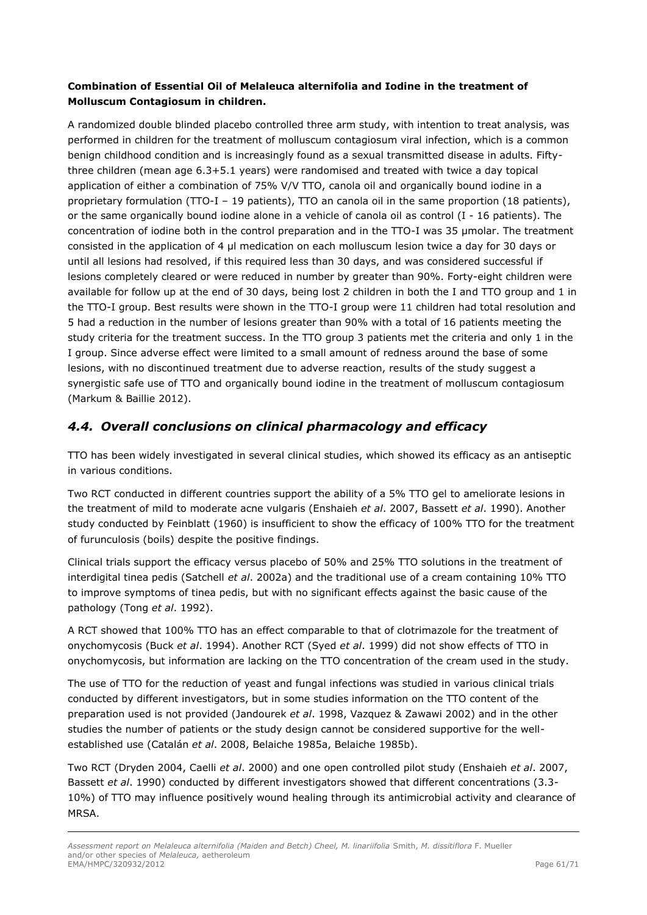# **Combination of Essential Oil of Melaleuca alternifolia and Iodine in the treatment of Molluscum Contagiosum in children.**

A randomized double blinded placebo controlled three arm study, with intention to treat analysis, was performed in children for the treatment of molluscum contagiosum viral infection, which is a common benign childhood condition and is increasingly found as a sexual transmitted disease in adults. Fiftythree children (mean age 6.3+5.1 years) were randomised and treated with twice a day topical application of either a combination of 75% V/V TTO, canola oil and organically bound iodine in a proprietary formulation (TTO-I – 19 patients), TTO an canola oil in the same proportion (18 patients), or the same organically bound iodine alone in a vehicle of canola oil as control (I - 16 patients). The concentration of iodine both in the control preparation and in the TTO-I was 35 µmolar. The treatment consisted in the application of 4 µl medication on each molluscum lesion twice a day for 30 days or until all lesions had resolved, if this required less than 30 days, and was considered successful if lesions completely cleared or were reduced in number by greater than 90%. Forty-eight children were available for follow up at the end of 30 days, being lost 2 children in both the I and TTO group and 1 in the TTO-I group. Best results were shown in the TTO-I group were 11 children had total resolution and 5 had a reduction in the number of lesions greater than 90% with a total of 16 patients meeting the study criteria for the treatment success. In the TTO group 3 patients met the criteria and only 1 in the I group. Since adverse effect were limited to a small amount of redness around the base of some lesions, with no discontinued treatment due to adverse reaction, results of the study suggest a synergistic safe use of TTO and organically bound iodine in the treatment of molluscum contagiosum (Markum & Baillie 2012).

# <span id="page-60-0"></span>*4.4. Overall conclusions on clinical pharmacology and efficacy*

TTO has been widely investigated in several clinical studies, which showed its efficacy as an antiseptic in various conditions.

Two RCT conducted in different countries support the ability of a 5% TTO gel to ameliorate lesions in the treatment of mild to moderate acne vulgaris (Enshaieh *et al*. 2007, Bassett *et al*. 1990). Another study conducted by Feinblatt (1960) is insufficient to show the efficacy of 100% TTO for the treatment of furunculosis (boils) despite the positive findings.

Clinical trials support the efficacy versus placebo of 50% and 25% TTO solutions in the treatment of interdigital tinea pedis (Satchell *et al*. 2002a) and the traditional use of a cream containing 10% TTO to improve symptoms of tinea pedis, but with no significant effects against the basic cause of the pathology (Tong *et al*. 1992).

A RCT showed that 100% TTO has an effect comparable to that of clotrimazole for the treatment of onychomycosis (Buck *et al*. 1994). Another RCT (Syed *et al*. 1999) did not show effects of TTO in onychomycosis, but information are lacking on the TTO concentration of the cream used in the study.

The use of TTO for the reduction of yeast and fungal infections was studied in various clinical trials conducted by different investigators, but in some studies information on the TTO content of the preparation used is not provided (Jandourek *et al*. 1998, Vazquez & Zawawi 2002) and in the other studies the number of patients or the study design cannot be considered supportive for the wellestablished use (Catalán *et al*. 2008, Belaiche 1985a, Belaiche 1985b).

Two RCT (Dryden 2004, Caelli *et al*. 2000) and one open controlled pilot study (Enshaieh *et al*. 2007, Bassett *et al*. 1990) conducted by different investigators showed that different concentrations (3.3- 10%) of TTO may influence positively wound healing through its antimicrobial activity and clearance of MRSA.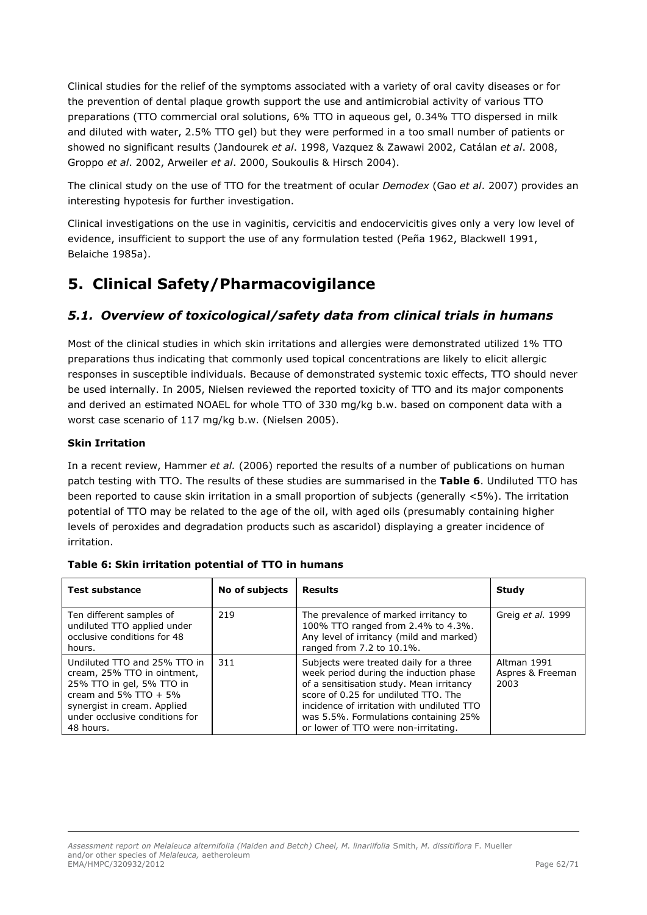Clinical studies for the relief of the symptoms associated with a variety of oral cavity diseases or for the prevention of dental plaque growth support the use and antimicrobial activity of various TTO preparations (TTO commercial oral solutions, 6% TTO in aqueous gel, 0.34% TTO dispersed in milk and diluted with water, 2.5% TTO gel) but they were performed in a too small number of patients or showed no significant results (Jandourek *et al*. 1998, Vazquez & Zawawi 2002, Catálan *et al*. 2008, Groppo *et al*. 2002, Arweiler *et al*. 2000, Soukoulis & Hirsch 2004).

The clinical study on the use of TTO for the treatment of ocular *Demodex* (Gao *et al*. 2007) provides an interesting hypotesis for further investigation.

Clinical investigations on the use in vaginitis, cervicitis and endocervicitis gives only a very low level of evidence, insufficient to support the use of any formulation tested (Peña 1962, Blackwell 1991, Belaiche 1985a).

# <span id="page-61-0"></span>**5. Clinical Safety/Pharmacovigilance**

# <span id="page-61-1"></span>*5.1. Overview of toxicological/safety data from clinical trials in humans*

Most of the clinical studies in which skin irritations and allergies were demonstrated utilized 1% TTO preparations thus indicating that commonly used topical concentrations are likely to elicit allergic responses in susceptible individuals. Because of demonstrated systemic toxic effects, TTO should never be used internally. In 2005, Nielsen reviewed the reported toxicity of TTO and its major components and derived an estimated NOAEL for whole TTO of 330 mg/kg b.w. based on component data with a worst case scenario of 117 mg/kg b.w. (Nielsen 2005).

# **Skin Irritation**

In a recent review, Hammer *et al.* (2006) reported the results of a number of publications on human patch testing with TTO. The results of these studies are summarised in the **Table 6**. Undiluted TTO has been reported to cause skin irritation in a small proportion of subjects (generally <5%). The irritation potential of TTO may be related to the age of the oil, with aged oils (presumably containing higher levels of peroxides and degradation products such as ascaridol) displaying a greater incidence of irritation.

| <b>Test substance</b>                                                                                                                                                                             | No of subjects | <b>Results</b>                                                                                                                                                                                                                                                                                       | Study                                   |
|---------------------------------------------------------------------------------------------------------------------------------------------------------------------------------------------------|----------------|------------------------------------------------------------------------------------------------------------------------------------------------------------------------------------------------------------------------------------------------------------------------------------------------------|-----------------------------------------|
| Ten different samples of<br>undiluted TTO applied under<br>occlusive conditions for 48<br>hours.                                                                                                  | 219            | The prevalence of marked irritancy to<br>100% TTO ranged from 2.4% to 4.3%.<br>Any level of irritancy (mild and marked)<br>ranged from 7.2 to 10.1%.                                                                                                                                                 | Greig et al. 1999                       |
| Undiluted TTO and 25% TTO in<br>cream, 25% TTO in ointment,<br>25% TTO in gel, 5% TTO in<br>cream and 5% $TTO + 5%$<br>synergist in cream. Applied<br>under occlusive conditions for<br>48 hours. | 311            | Subjects were treated daily for a three<br>week period during the induction phase<br>of a sensitisation study. Mean irritancy<br>score of 0.25 for undiluted TTO. The<br>incidence of irritation with undiluted TTO<br>was 5.5%. Formulations containing 25%<br>or lower of TTO were non-irritating. | Altman 1991<br>Aspres & Freeman<br>2003 |

### **Table 6: Skin irritation potential of TTO in humans**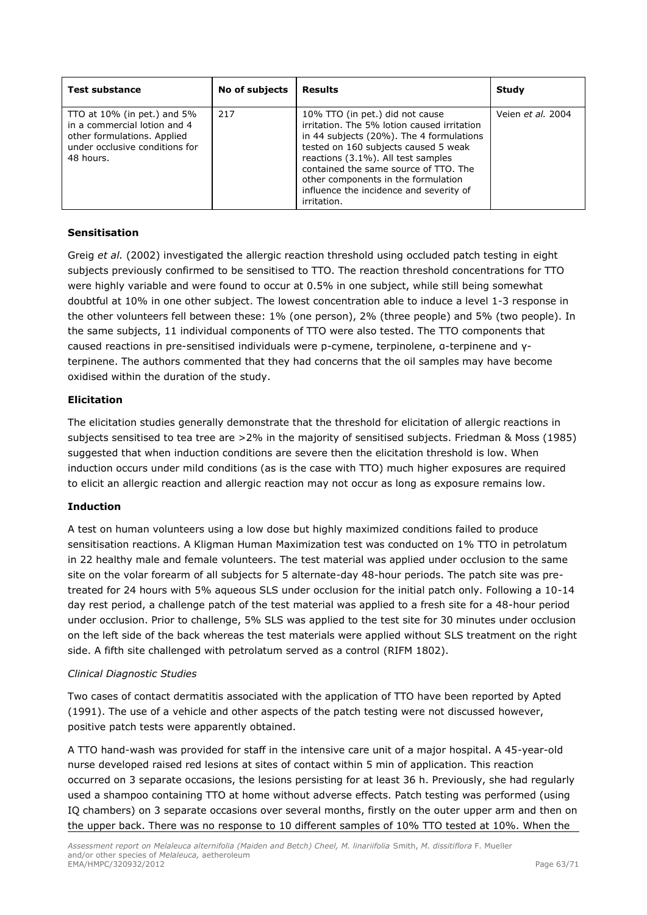| <b>Test substance</b>                                                                                                                           | <b>No of subjects</b> | <b>Results</b>                                                                                                                                                                                                                                                                                                                                     | Study             |
|-------------------------------------------------------------------------------------------------------------------------------------------------|-----------------------|----------------------------------------------------------------------------------------------------------------------------------------------------------------------------------------------------------------------------------------------------------------------------------------------------------------------------------------------------|-------------------|
| TTO at $10\%$ (in pet.) and $5\%$<br>in a commercial lotion and 4<br>other formulations. Applied<br>under occlusive conditions for<br>48 hours. | 217                   | 10% TTO (in pet.) did not cause<br>irritation. The 5% lotion caused irritation<br>in 44 subjects (20%). The 4 formulations<br>tested on 160 subjects caused 5 weak<br>reactions (3.1%). All test samples<br>contained the same source of TTO. The<br>other components in the formulation<br>influence the incidence and severity of<br>irritation. | Veien et al. 2004 |

## **Sensitisation**

Greig *et al.* (2002) investigated the allergic reaction threshold using occluded patch testing in eight subjects previously confirmed to be sensitised to TTO. The reaction threshold concentrations for TTO were highly variable and were found to occur at 0.5% in one subject, while still being somewhat doubtful at 10% in one other subject. The lowest concentration able to induce a level 1-3 response in the other volunteers fell between these: 1% (one person), 2% (three people) and 5% (two people). In the same subjects, 11 individual components of TTO were also tested. The TTO components that caused reactions in pre-sensitised individuals were p-cymene, terpinolene, α-terpinene and γterpinene. The authors commented that they had concerns that the oil samples may have become oxidised within the duration of the study.

## **Elicitation**

The elicitation studies generally demonstrate that the threshold for elicitation of allergic reactions in subjects sensitised to tea tree are >2% in the majority of sensitised subjects. Friedman & Moss (1985) suggested that when induction conditions are severe then the elicitation threshold is low. When induction occurs under mild conditions (as is the case with TTO) much higher exposures are required to elicit an allergic reaction and allergic reaction may not occur as long as exposure remains low.

### **Induction**

A test on human volunteers using a low dose but highly maximized conditions failed to produce sensitisation reactions. A Kligman Human Maximization test was conducted on 1% TTO in petrolatum in 22 healthy male and female volunteers. The test material was applied under occlusion to the same site on the volar forearm of all subjects for 5 alternate-day 48-hour periods. The patch site was pretreated for 24 hours with 5% aqueous SLS under occlusion for the initial patch only. Following a 10-14 day rest period, a challenge patch of the test material was applied to a fresh site for a 48-hour period under occlusion. Prior to challenge, 5% SLS was applied to the test site for 30 minutes under occlusion on the left side of the back whereas the test materials were applied without SLS treatment on the right side. A fifth site challenged with petrolatum served as a control (RIFM 1802).

### *Clinical Diagnostic Studies*

Two cases of contact dermatitis associated with the application of TTO have been reported by Apted (1991). The use of a vehicle and other aspects of the patch testing were not discussed however, positive patch tests were apparently obtained.

A TTO hand-wash was provided for staff in the intensive care unit of a major hospital. A 45-year-old nurse developed raised red lesions at sites of contact within 5 min of application. This reaction occurred on 3 separate occasions, the lesions persisting for at least 36 h. Previously, she had regularly used a shampoo containing TTO at home without adverse effects. Patch testing was performed (using IQ chambers) on 3 separate occasions over several months, firstly on the outer upper arm and then on the upper back. There was no response to 10 different samples of 10% TTO tested at 10%. When the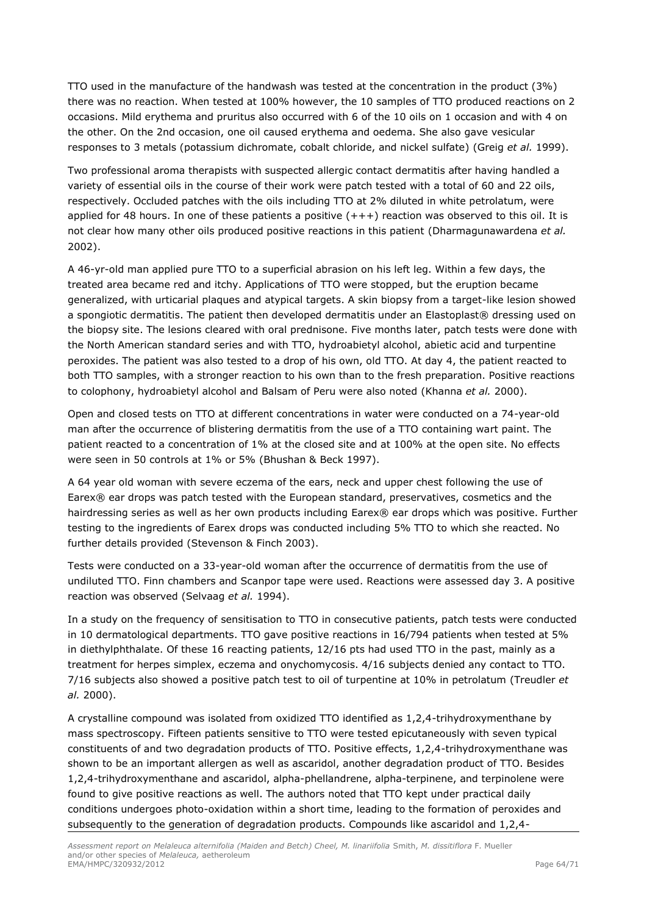TTO used in the manufacture of the handwash was tested at the concentration in the product (3%) there was no reaction. When tested at 100% however, the 10 samples of TTO produced reactions on 2 occasions. Mild erythema and pruritus also occurred with 6 of the 10 oils on 1 occasion and with 4 on the other. On the 2nd occasion, one oil caused erythema and oedema. She also gave vesicular responses to 3 metals (potassium dichromate, cobalt chloride, and nickel sulfate) (Greig *et al.* 1999).

Two professional aroma therapists with suspected allergic contact dermatitis after having handled a variety of essential oils in the course of their work were patch tested with a total of 60 and 22 oils, respectively. Occluded patches with the oils including TTO at 2% diluted in white petrolatum, were applied for 48 hours. In one of these patients a positive  $(++)$  reaction was observed to this oil. It is not clear how many other oils produced positive reactions in this patient (Dharmagunawardena *et al.* 2002).

A 46-yr-old man applied pure TTO to a superficial abrasion on his left leg. Within a few days, the treated area became red and itchy. Applications of TTO were stopped, but the eruption became generalized, with urticarial plaques and atypical targets. A skin biopsy from a target-like lesion showed a spongiotic dermatitis. The patient then developed dermatitis under an Elastoplast® dressing used on the biopsy site. The lesions cleared with oral prednisone. Five months later, patch tests were done with the North American standard series and with TTO, hydroabietyl alcohol, abietic acid and turpentine peroxides. The patient was also tested to a drop of his own, old TTO. At day 4, the patient reacted to both TTO samples, with a stronger reaction to his own than to the fresh preparation. Positive reactions to colophony, hydroabietyl alcohol and Balsam of Peru were also noted (Khanna *et al.* 2000).

Open and closed tests on TTO at different concentrations in water were conducted on a 74-year-old man after the occurrence of blistering dermatitis from the use of a TTO containing wart paint. The patient reacted to a concentration of 1% at the closed site and at 100% at the open site. No effects were seen in 50 controls at 1% or 5% (Bhushan & Beck 1997).

A 64 year old woman with severe eczema of the ears, neck and upper chest following the use of Earex® ear drops was patch tested with the European standard, preservatives, cosmetics and the hairdressing series as well as her own products including Earex® ear drops which was positive. Further testing to the ingredients of Earex drops was conducted including 5% TTO to which she reacted. No further details provided (Stevenson & Finch 2003).

Tests were conducted on a 33-year-old woman after the occurrence of dermatitis from the use of undiluted TTO. Finn chambers and Scanpor tape were used. Reactions were assessed day 3. A positive reaction was observed (Selvaag *et al.* 1994).

In a study on the frequency of sensitisation to TTO in consecutive patients, patch tests were conducted in 10 dermatological departments. TTO gave positive reactions in 16/794 patients when tested at 5% in diethylphthalate. Of these 16 reacting patients, 12/16 pts had used TTO in the past, mainly as a treatment for herpes simplex, eczema and onychomycosis. 4/16 subjects denied any contact to TTO. 7/16 subjects also showed a positive patch test to oil of turpentine at 10% in petrolatum (Treudler *et al.* 2000).

A crystalline compound was isolated from oxidized TTO identified as 1,2,4-trihydroxymenthane by mass spectroscopy. Fifteen patients sensitive to TTO were tested epicutaneously with seven typical constituents of and two degradation products of TTO. Positive effects, 1,2,4-trihydroxymenthane was shown to be an important allergen as well as ascaridol, another degradation product of TTO. Besides 1,2,4-trihydroxymenthane and ascaridol, alpha-phellandrene, alpha-terpinene, and terpinolene were found to give positive reactions as well. The authors noted that TTO kept under practical daily conditions undergoes photo-oxidation within a short time, leading to the formation of peroxides and subsequently to the generation of degradation products. Compounds like ascaridol and 1,2,4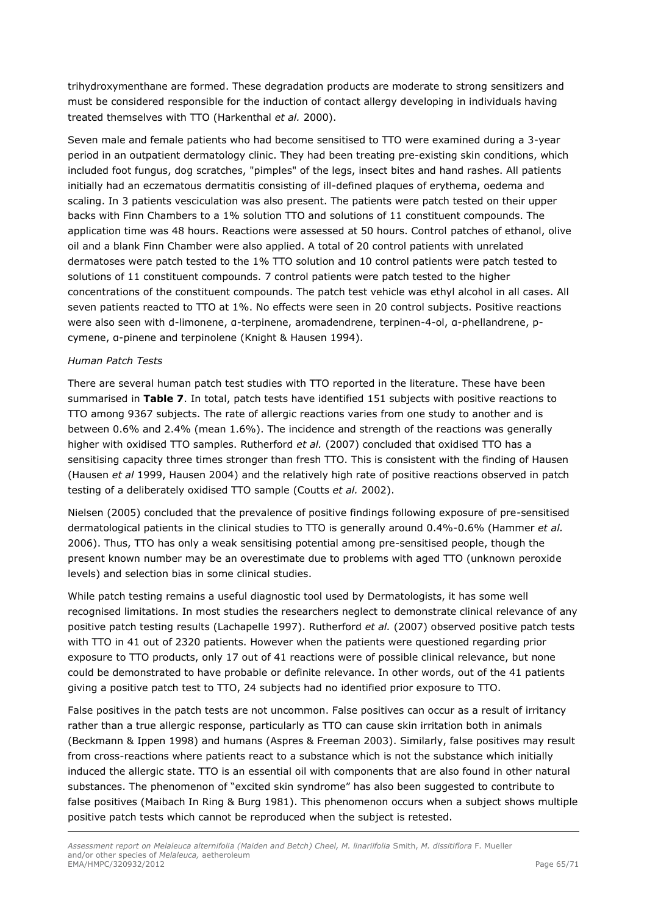trihydroxymenthane are formed. These degradation products are moderate to strong sensitizers and must be considered responsible for the induction of contact allergy developing in individuals having treated themselves with TTO (Harkenthal *et al.* 2000).

Seven male and female patients who had become sensitised to TTO were examined during a 3-year period in an outpatient dermatology clinic. They had been treating pre-existing skin conditions, which included foot fungus, dog scratches, "pimples" of the legs, insect bites and hand rashes. All patients initially had an eczematous dermatitis consisting of ill-defined plaques of erythema, oedema and scaling. In 3 patients vesciculation was also present. The patients were patch tested on their upper backs with Finn Chambers to a 1% solution TTO and solutions of 11 constituent compounds. The application time was 48 hours. Reactions were assessed at 50 hours. Control patches of ethanol, olive oil and a blank Finn Chamber were also applied. A total of 20 control patients with unrelated dermatoses were patch tested to the 1% TTO solution and 10 control patients were patch tested to solutions of 11 constituent compounds. 7 control patients were patch tested to the higher concentrations of the constituent compounds. The patch test vehicle was ethyl alcohol in all cases. All seven patients reacted to TTO at 1%. No effects were seen in 20 control subjects. Positive reactions were also seen with d-limonene, α-terpinene, aromadendrene, terpinen-4-ol, α-phellandrene, pcymene, α-pinene and terpinolene (Knight & Hausen 1994).

#### *Human Patch Tests*

There are several human patch test studies with TTO reported in the literature. These have been summarised in **Table 7**. In total, patch tests have identified 151 subjects with positive reactions to TTO among 9367 subjects. The rate of allergic reactions varies from one study to another and is between 0.6% and 2.4% (mean 1.6%). The incidence and strength of the reactions was generally higher with oxidised TTO samples. Rutherford *et al.* (2007) concluded that oxidised TTO has a sensitising capacity three times stronger than fresh TTO. This is consistent with the finding of Hausen (Hausen *et al* 1999, Hausen 2004) and the relatively high rate of positive reactions observed in patch testing of a deliberately oxidised TTO sample (Coutts *et al.* 2002).

Nielsen (2005) concluded that the prevalence of positive findings following exposure of pre-sensitised dermatological patients in the clinical studies to TTO is generally around 0.4%-0.6% (Hammer *et al.* 2006). Thus, TTO has only a weak sensitising potential among pre-sensitised people, though the present known number may be an overestimate due to problems with aged TTO (unknown peroxide levels) and selection bias in some clinical studies.

While patch testing remains a useful diagnostic tool used by Dermatologists, it has some well recognised limitations. In most studies the researchers neglect to demonstrate clinical relevance of any positive patch testing results (Lachapelle 1997). Rutherford *et al.* (2007) observed positive patch tests with TTO in 41 out of 2320 patients. However when the patients were questioned regarding prior exposure to TTO products, only 17 out of 41 reactions were of possible clinical relevance, but none could be demonstrated to have probable or definite relevance. In other words, out of the 41 patients giving a positive patch test to TTO, 24 subjects had no identified prior exposure to TTO.

False positives in the patch tests are not uncommon. False positives can occur as a result of irritancy rather than a true allergic response, particularly as TTO can cause skin irritation both in animals (Beckmann & Ippen 1998) and humans (Aspres & Freeman 2003). Similarly, false positives may result from cross-reactions where patients react to a substance which is not the substance which initially induced the allergic state. TTO is an essential oil with components that are also found in other natural substances. The phenomenon of "excited skin syndrome" has also been suggested to contribute to false positives (Maibach In Ring & Burg 1981). This phenomenon occurs when a subject shows multiple positive patch tests which cannot be reproduced when the subject is retested.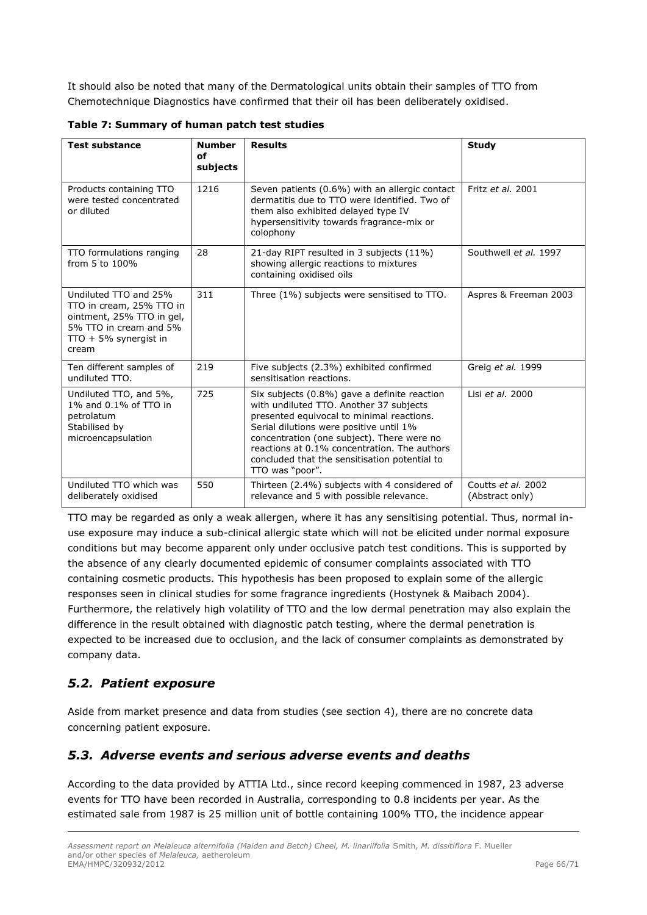It should also be noted that many of the Dermatological units obtain their samples of TTO from Chemotechnique Diagnostics have confirmed that their oil has been deliberately oxidised.

| <b>Test substance</b>                                                                                                                        | <b>Number</b><br>of<br>subjects | <b>Results</b>                                                                                                                                                                                                                                                                                                                                    | <b>Study</b>                          |
|----------------------------------------------------------------------------------------------------------------------------------------------|---------------------------------|---------------------------------------------------------------------------------------------------------------------------------------------------------------------------------------------------------------------------------------------------------------------------------------------------------------------------------------------------|---------------------------------------|
| Products containing TTO<br>were tested concentrated<br>or diluted                                                                            | 1216                            | Seven patients (0.6%) with an allergic contact<br>dermatitis due to TTO were identified. Two of<br>them also exhibited delayed type IV<br>hypersensitivity towards fragrance-mix or<br>colophony                                                                                                                                                  | Fritz et al. 2001                     |
| TTO formulations ranging<br>from 5 to 100%                                                                                                   | 28                              | 21-day RIPT resulted in 3 subjects (11%)<br>showing allergic reactions to mixtures<br>containing oxidised oils                                                                                                                                                                                                                                    | Southwell et al. 1997                 |
| Undiluted TTO and 25%<br>TTO in cream, 25% TTO in<br>ointment, 25% TTO in gel,<br>5% TTO in cream and 5%<br>$TTO + 5%$ synergist in<br>cream | 311                             | Three (1%) subjects were sensitised to TTO.                                                                                                                                                                                                                                                                                                       | Aspres & Freeman 2003                 |
| Ten different samples of<br>undiluted TTO.                                                                                                   | 219                             | Five subjects (2.3%) exhibited confirmed<br>sensitisation reactions.                                                                                                                                                                                                                                                                              | Greig et al. 1999                     |
| Undiluted TTO, and 5%,<br>1% and 0.1% of TTO in<br>petrolatum<br>Stabilised by<br>microencapsulation                                         | 725                             | Six subjects (0.8%) gave a definite reaction<br>with undiluted TTO. Another 37 subjects<br>presented equivocal to minimal reactions.<br>Serial dilutions were positive until 1%<br>concentration (one subject). There were no<br>reactions at 0.1% concentration. The authors<br>concluded that the sensitisation potential to<br>TTO was "poor". | Lisi et al. 2000                      |
| Undiluted TTO which was<br>deliberately oxidised                                                                                             | 550                             | Thirteen (2.4%) subjects with 4 considered of<br>relevance and 5 with possible relevance.                                                                                                                                                                                                                                                         | Coutts et al. 2002<br>(Abstract only) |

**Table 7: Summary of human patch test studies** 

TTO may be regarded as only a weak allergen, where it has any sensitising potential. Thus, normal inuse exposure may induce a sub-clinical allergic state which will not be elicited under normal exposure conditions but may become apparent only under occlusive patch test conditions. This is supported by the absence of any clearly documented epidemic of consumer complaints associated with TTO containing cosmetic products. This hypothesis has been proposed to explain some of the allergic responses seen in clinical studies for some fragrance ingredients (Hostynek & Maibach 2004). Furthermore, the relatively high volatility of TTO and the low dermal penetration may also explain the difference in the result obtained with diagnostic patch testing, where the dermal penetration is expected to be increased due to occlusion, and the lack of consumer complaints as demonstrated by company data.

# <span id="page-65-0"></span>*5.2. Patient exposure*

Aside from market presence and data from studies (see section 4), there are no concrete data concerning patient exposure.

# <span id="page-65-1"></span>*5.3. Adverse events and serious adverse events and deaths*

According to the data provided by ATTIA Ltd., since record keeping commenced in 1987, 23 adverse events for TTO have been recorded in Australia, corresponding to 0.8 incidents per year. As the estimated sale from 1987 is 25 million unit of bottle containing 100% TTO, the incidence appear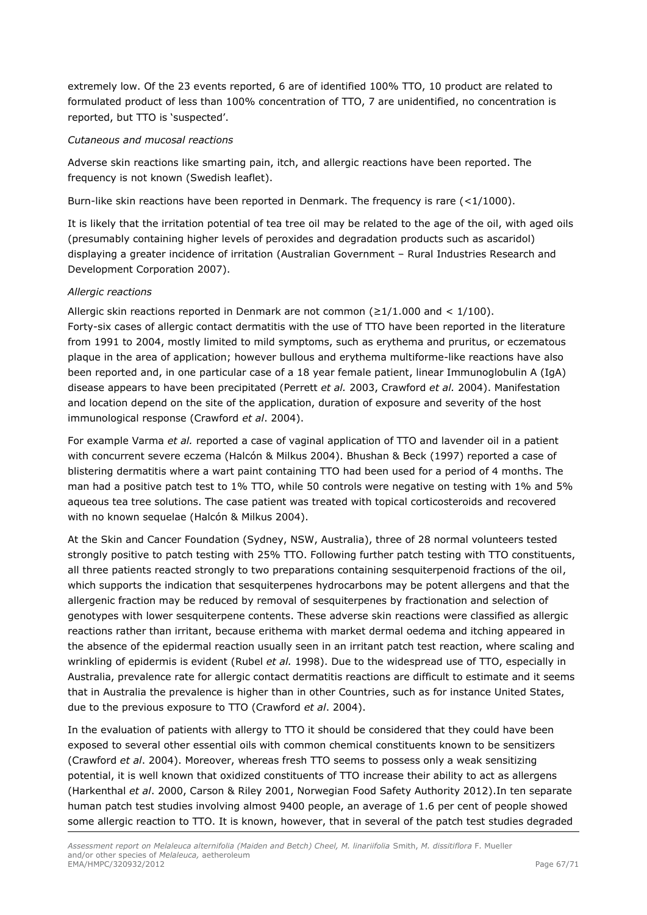extremely low. Of the 23 events reported, 6 are of identified 100% TTO, 10 product are related to formulated product of less than 100% concentration of TTO, 7 are unidentified, no concentration is reported, but TTO is 'suspected'.

#### *Cutaneous and mucosal reactions*

Adverse skin reactions like smarting pain, itch, and allergic reactions have been reported. The frequency is not known (Swedish leaflet).

Burn-like skin reactions have been reported in Denmark. The frequency is rare (<1/1000).

It is likely that the irritation potential of tea tree oil may be related to the age of the oil, with aged oils (presumably containing higher levels of peroxides and degradation products such as ascaridol) displaying a greater incidence of irritation (Australian Government – Rural Industries Research and Development Corporation 2007).

#### *Allergic reactions*

Allergic skin reactions reported in Denmark are not common ( $\geq 1/1.000$  and  $\lt 1/100$ ). Forty-six cases of allergic contact dermatitis with the use of TTO have been reported in the literature from 1991 to 2004, mostly limited to mild symptoms, such as erythema and pruritus, or eczematous plaque in the area of application; however bullous and erythema multiforme-like reactions have also been reported and, in one particular case of a 18 year female patient, linear Immunoglobulin A (IgA) disease appears to have been precipitated (Perrett *et al.* 2003, Crawford *et al.* 2004). Manifestation and location depend on the site of the application, duration of exposure and severity of the host immunological response (Crawford *et al*. 2004).

For example Varma *et al.* reported a case of vaginal application of TTO and lavender oil in a patient with concurrent severe eczema (Halcón & Milkus 2004). Bhushan & Beck (1997) reported a case of blistering dermatitis where a wart paint containing TTO had been used for a period of 4 months. The man had a positive patch test to 1% TTO, while 50 controls were negative on testing with 1% and 5% aqueous tea tree solutions. The case patient was treated with topical corticosteroids and recovered with no known sequelae (Halcón & Milkus 2004).

At the Skin and Cancer Foundation (Sydney, NSW, Australia), three of 28 normal volunteers tested strongly positive to patch testing with 25% TTO. Following further patch testing with TTO constituents, all three patients reacted strongly to two preparations containing sesquiterpenoid fractions of the oil, which supports the indication that sesquiterpenes hydrocarbons may be potent allergens and that the allergenic fraction may be reduced by removal of sesquiterpenes by fractionation and selection of genotypes with lower sesquiterpene contents. These adverse skin reactions were classified as allergic reactions rather than irritant, because erithema with market dermal oedema and itching appeared in the absence of the epidermal reaction usually seen in an irritant patch test reaction, where scaling and wrinkling of epidermis is evident (Rubel *et al.* 1998). Due to the widespread use of TTO, especially in Australia, prevalence rate for allergic contact dermatitis reactions are difficult to estimate and it seems that in Australia the prevalence is higher than in other Countries, such as for instance United States, due to the previous exposure to TTO (Crawford *et al*. 2004).

In the evaluation of patients with allergy to TTO it should be considered that they could have been exposed to several other essential oils with common chemical constituents known to be sensitizers (Crawford *et al*. 2004). Moreover, whereas fresh TTO seems to possess only a weak sensitizing potential, it is well known that oxidized constituents of TTO increase their ability to act as allergens (Harkenthal *et al*. 2000, Carson & Riley 2001, Norwegian Food Safety Authority 2012).In ten separate human patch test studies involving almost 9400 people, an average of 1.6 per cent of people showed some allergic reaction to TTO. It is known, however, that in several of the patch test studies degraded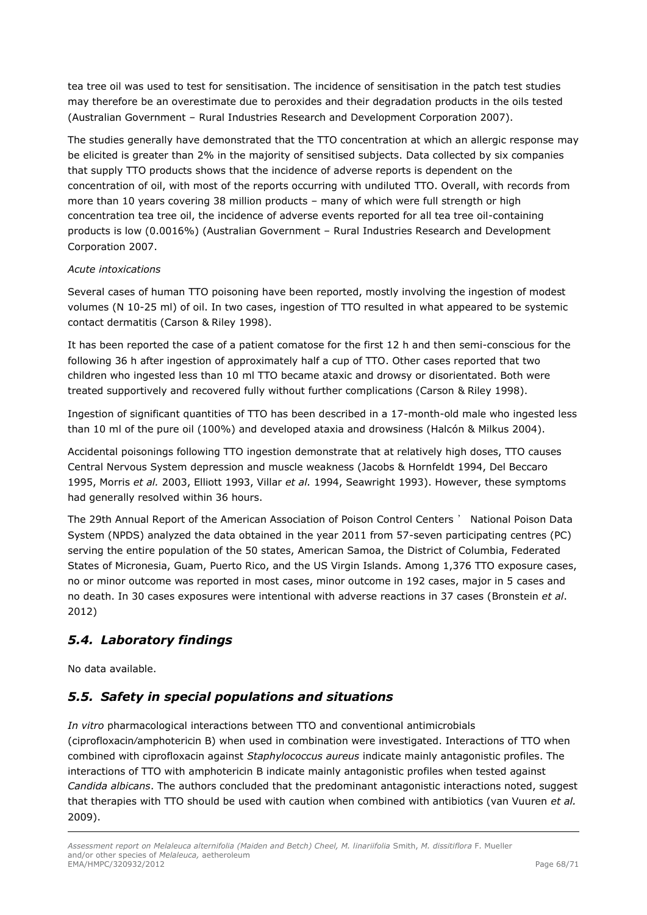tea tree oil was used to test for sensitisation. The incidence of sensitisation in the patch test studies may therefore be an overestimate due to peroxides and their degradation products in the oils tested (Australian Government – Rural Industries Research and Development Corporation 2007).

The studies generally have demonstrated that the TTO concentration at which an allergic response may be elicited is greater than 2% in the majority of sensitised subjects. Data collected by six companies that supply TTO products shows that the incidence of adverse reports is dependent on the concentration of oil, with most of the reports occurring with undiluted TTO. Overall, with records from more than 10 years covering 38 million products – many of which were full strength or high concentration tea tree oil, the incidence of adverse events reported for all tea tree oil-containing products is low (0.0016%) (Australian Government – Rural Industries Research and Development Corporation 2007.

## *Acute intoxications*

Several cases of human TTO poisoning have been reported, mostly involving the ingestion of modest volumes (N 10-25 ml) of oil. In two cases, ingestion of TTO resulted in what appeared to be systemic contact dermatitis (Carson & Riley 1998).

It has been reported the case of a patient comatose for the first 12 h and then semi-conscious for the following 36 h after ingestion of approximately half a cup of TTO. Other cases reported that two children who ingested less than 10 ml TTO became ataxic and drowsy or disorientated. Both were treated supportively and recovered fully without further complications (Carson & Riley 1998).

Ingestion of significant quantities of TTO has been described in a 17-month-old male who ingested less than 10 ml of the pure oil (100%) and developed ataxia and drowsiness (Halcón & Milkus 2004).

Accidental poisonings following TTO ingestion demonstrate that at relatively high doses, TTO causes Central Nervous System depression and muscle weakness (Jacobs & Hornfeldt 1994, Del Beccaro 1995, Morris *et al.* 2003, Elliott 1993, Villar *et al.* 1994, Seawright 1993). However, these symptoms had generally resolved within 36 hours.

The 29th Annual Report of the American Association of Poison Control Centers ' National Poison Data System (NPDS) analyzed the data obtained in the year 2011 from 57-seven participating centres (PC) serving the entire population of the 50 states, American Samoa, the District of Columbia, Federated States of Micronesia, Guam, Puerto Rico, and the US Virgin Islands. Among 1,376 TTO exposure cases, no or minor outcome was reported in most cases, minor outcome in 192 cases, major in 5 cases and no death. In 30 cases exposures were intentional with adverse reactions in 37 cases (Bronstein *et al*. 2012)

# <span id="page-67-0"></span>*5.4. Laboratory findings*

No data available.

# <span id="page-67-1"></span>*5.5. Safety in special populations and situations*

*In vitro* pharmacological interactions between TTO and conventional antimicrobials (ciprofloxacin⁄amphotericin B) when used in combination were investigated. Interactions of TTO when combined with ciprofloxacin against *Staphylococcus aureus* indicate mainly antagonistic profiles. The interactions of TTO with amphotericin B indicate mainly antagonistic profiles when tested against *Candida albicans*. The authors concluded that the predominant antagonistic interactions noted, suggest that therapies with TTO should be used with caution when combined with antibiotics (van Vuuren *et al.* 2009).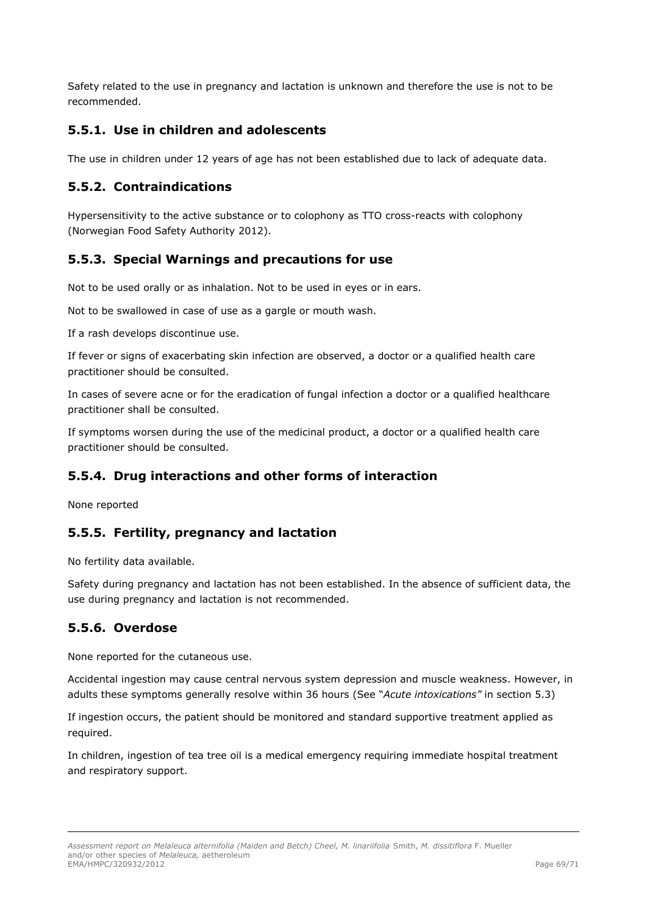Safety related to the use in pregnancy and lactation is unknown and therefore the use is not to be recommended.

# <span id="page-68-0"></span>**5.5.1. Use in children and adolescents**

The use in children under 12 years of age has not been established due to lack of adequate data.

# <span id="page-68-1"></span>**5.5.2. Contraindications**

Hypersensitivity to the active substance or to colophony as TTO cross-reacts with colophony (Norwegian Food Safety Authority 2012).

# <span id="page-68-2"></span>**5.5.3. Special Warnings and precautions for use**

Not to be used orally or as inhalation. Not to be used in eyes or in ears.

Not to be swallowed in case of use as a gargle or mouth wash.

If a rash develops discontinue use.

If fever or signs of exacerbating skin infection are observed, a doctor or a qualified health care practitioner should be consulted.

In cases of severe acne or for the eradication of fungal infection a doctor or a qualified healthcare practitioner shall be consulted.

If symptoms worsen during the use of the medicinal product, a doctor or a qualified health care practitioner should be consulted.

# <span id="page-68-3"></span>**5.5.4. Drug interactions and other forms of interaction**

None reported

# <span id="page-68-4"></span>**5.5.5. Fertility, pregnancy and lactation**

No fertility data available.

Safety during pregnancy and lactation has not been established. In the absence of sufficient data, the use during pregnancy and lactation is not recommended.

# <span id="page-68-5"></span>**5.5.6. Overdose**

None reported for the cutaneous use.

Accidental ingestion may cause central nervous system depression and muscle weakness. However, in adults these symptoms generally resolve within 36 hours (See "*Acute intoxications"* in section 5.3)

If ingestion occurs, the patient should be monitored and standard supportive treatment applied as required.

In children, ingestion of tea tree oil is a medical emergency requiring immediate hospital treatment and respiratory support.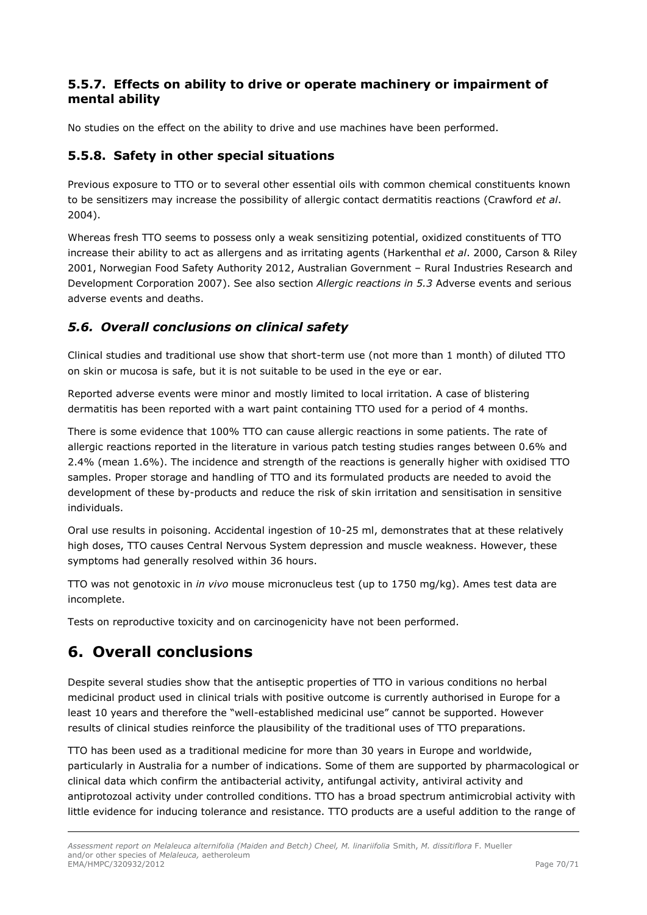# <span id="page-69-0"></span>**5.5.7. Effects on ability to drive or operate machinery or impairment of mental ability**

No studies on the effect on the ability to drive and use machines have been performed.

# <span id="page-69-1"></span>**5.5.8. Safety in other special situations**

Previous exposure to TTO or to several other essential oils with common chemical constituents known to be sensitizers may increase the possibility of allergic contact dermatitis reactions (Crawford *et al*. 2004).

Whereas fresh TTO seems to possess only a weak sensitizing potential, oxidized constituents of TTO increase their ability to act as allergens and as irritating agents (Harkenthal *et al*. 2000, Carson & Riley 2001, Norwegian Food Safety Authority 2012, Australian Government – Rural Industries Research and Development Corporation 2007). See also section *Allergic reactions in 5.3* Adverse events and serious adverse events and deaths.

# <span id="page-69-2"></span>*5.6. Overall conclusions on clinical safety*

Clinical studies and traditional use show that short-term use (not more than 1 month) of diluted TTO on skin or mucosa is safe, but it is not suitable to be used in the eye or ear.

Reported adverse events were minor and mostly limited to local irritation. A case of blistering dermatitis has been reported with a wart paint containing TTO used for a period of 4 months.

There is some evidence that 100% TTO can cause allergic reactions in some patients. The rate of allergic reactions reported in the literature in various patch testing studies ranges between 0.6% and 2.4% (mean 1.6%). The incidence and strength of the reactions is generally higher with oxidised TTO samples. Proper storage and handling of TTO and its formulated products are needed to avoid the development of these by-products and reduce the risk of skin irritation and sensitisation in sensitive individuals.

Oral use results in poisoning. Accidental ingestion of 10-25 ml, demonstrates that at these relatively high doses, TTO causes Central Nervous System depression and muscle weakness. However, these symptoms had generally resolved within 36 hours.

TTO was not genotoxic in *in vivo* mouse micronucleus test (up to 1750 mg/kg). Ames test data are incomplete.

Tests on reproductive toxicity and on carcinogenicity have not been performed.

# <span id="page-69-3"></span>**6. Overall conclusions**

Despite several studies show that the antiseptic properties of TTO in various conditions no herbal medicinal product used in clinical trials with positive outcome is currently authorised in Europe for a least 10 years and therefore the "well-established medicinal use" cannot be supported. However results of clinical studies reinforce the plausibility of the traditional uses of TTO preparations.

TTO has been used as a traditional medicine for more than 30 years in Europe and worldwide, particularly in Australia for a number of indications. Some of them are supported by pharmacological or clinical data which confirm the antibacterial activity, antifungal activity, antiviral activity and antiprotozoal activity under controlled conditions. TTO has a broad spectrum antimicrobial activity with little evidence for inducing tolerance and resistance. TTO products are a useful addition to the range of